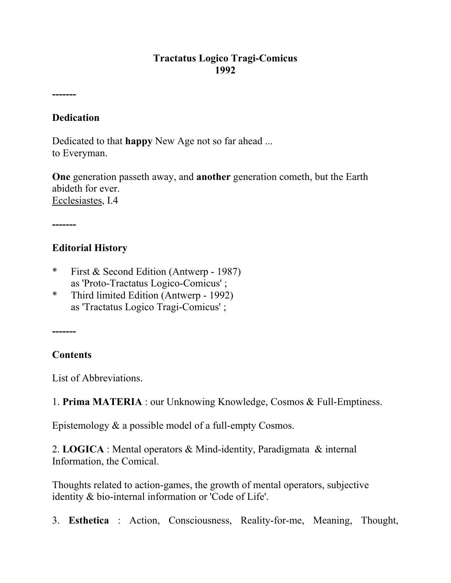### **Tractatus Logico Tragi-Comicus 1992**

**-------** 

### **Dedication**

Dedicated to that **happy** New Age not so far ahead ... to Everyman.

**One** generation passeth away, and **another** generation cometh, but the Earth abideth for ever. Ecclesiastes, I.4

**-------** 

## **Editorial History**

- \* First & Second Edition (Antwerp 1987) as 'Proto-Tractatus Logico-Comicus' ;
- \* Third limited Edition (Antwerp 1992) as 'Tractatus Logico Tragi-Comicus' ;

**-------**

## **Contents**

List of Abbreviations.

1. **Prima MATERIA** : our Unknowing Knowledge, Cosmos & Full-Emptiness.

Epistemology & a possible model of a full-empty Cosmos.

2. **LOGICA** : Mental operators & Mind-identity, Paradigmata & internal Information, the Comical.

Thoughts related to action-games, the growth of mental operators, subjective identity & bio-internal information or 'Code of Life'.

3. **Esthetica** : Action, Consciousness, Reality-for-me, Meaning, Thought,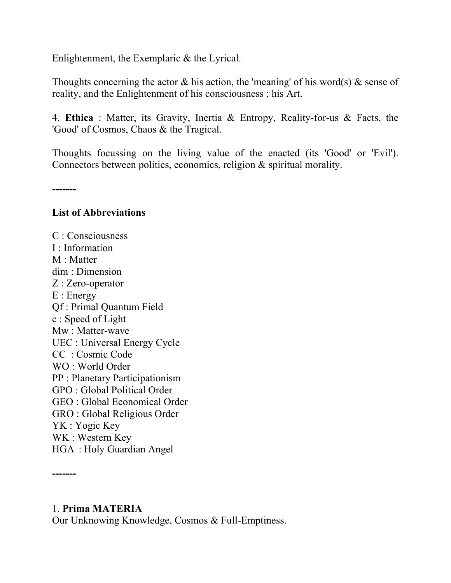Enlightenment, the Exemplaric & the Lyrical.

Thoughts concerning the actor  $\&$  his action, the 'meaning' of his word(s)  $\&$  sense of reality, and the Enlightenment of his consciousness ; his Art.

4. **Ethica** : Matter, its Gravity, Inertia & Entropy, Reality-for-us & Facts, the 'Good' of Cosmos, Chaos & the Tragical.

Thoughts focussing on the living value of the enacted (its 'Good' or 'Evil'). Connectors between politics, economics, religion & spiritual morality.

**-------** 

#### **List of Abbreviations**

C : Consciousness I : Information M : Matter dim : Dimension Z : Zero-operator E : Energy Qf : Primal Quantum Field c : Speed of Light Mw : Matter-wave UEC : Universal Energy Cycle CC : Cosmic Code WO : World Order PP : Planetary Participationism GPO : Global Political Order GEO : Global Economical Order GRO : Global Religious Order YK : Yogic Key WK : Western Key HGA : Holy Guardian Angel

#### 1. **Prima MATERIA**

**-------** 

Our Unknowing Knowledge, Cosmos & Full-Emptiness.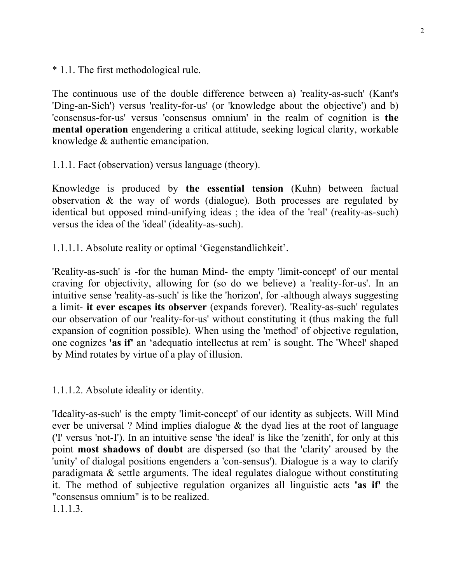\* 1.1. The first methodological rule.

The continuous use of the double difference between a) 'reality-as-such' (Kant's 'Ding-an-Sich') versus 'reality-for-us' (or 'knowledge about the objective') and b) 'consensus-for-us' versus 'consensus omnium' in the realm of cognition is **the mental operation** engendering a critical attitude, seeking logical clarity, workable knowledge & authentic emancipation.

1.1.1. Fact (observation) versus language (theory).

Knowledge is produced by **the essential tension** (Kuhn) between factual observation & the way of words (dialogue). Both processes are regulated by identical but opposed mind-unifying ideas ; the idea of the 'real' (reality-as-such) versus the idea of the 'ideal' (ideality-as-such).

1.1.1.1. Absolute reality or optimal 'Gegenstandlichkeit'.

'Reality-as-such' is -for the human Mind- the empty 'limit-concept' of our mental craving for objectivity, allowing for (so do we believe) a 'reality-for-us'. In an intuitive sense 'reality-as-such' is like the 'horizon', for -although always suggesting a limit- **it ever escapes its observer** (expands forever). 'Reality-as-such' regulates our observation of our 'reality-for-us' without constituting it (thus making the full expansion of cognition possible). When using the 'method' of objective regulation, one cognizes **'as if'** an 'adequatio intellectus at rem' is sought. The 'Wheel' shaped by Mind rotates by virtue of a play of illusion.

1.1.1.2. Absolute ideality or identity.

'Ideality-as-such' is the empty 'limit-concept' of our identity as subjects. Will Mind ever be universal ? Mind implies dialogue  $\&$  the dyad lies at the root of language ('I' versus 'not-I'). In an intuitive sense 'the ideal' is like the 'zenith', for only at this point **most shadows of doubt** are dispersed (so that the 'clarity' aroused by the 'unity' of dialogal positions engenders a 'con-sensus'). Dialogue is a way to clarify paradigmata & settle arguments. The ideal regulates dialogue without constituting it. The method of subjective regulation organizes all linguistic acts **'as if'** the "consensus omnium" is to be realized. 1.1.1.3.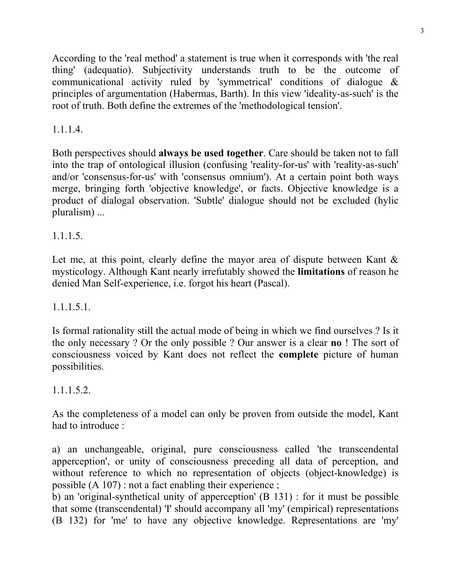According to the 'real method' a statement is true when it corresponds with 'the real thing' (adequatio). Subjectivity understands truth to be the outcome of communicational activity ruled by 'symmetrical' conditions of dialogue & principles of argumentation (Habermas, Barth). In this view 'ideality-as-such' is the root of truth. Both define the extremes of the 'methodological tension'.

# 1.1.1.4.

Both perspectives should **always be used together**. Care should be taken not to fall into the trap of ontological illusion (confusing 'reality-for-us' with 'reality-as-such' and/or 'consensus-for-us' with 'consensus omnium'). At a certain point both ways merge, bringing forth 'objective knowledge', or facts. Objective knowledge is a product of dialogal observation. 'Subtle' dialogue should not be excluded (hylic pluralism) ...

# 1.1.1.5.

Let me, at this point, clearly define the mayor area of dispute between Kant  $\&$ mysticology. Although Kant nearly irrefutably showed the **limitations** of reason he denied Man Self-experience, i.e. forgot his heart (Pascal).

# 1.1.1.5.1.

Is formal rationality still the actual mode of being in which we find ourselves ? Is it the only necessary ? Or the only possible ? Our answer is a clear **no** ! The sort of consciousness voiced by Kant does not reflect the **complete** picture of human possibilities.

# 1.1.1.5.2.

As the completeness of a model can only be proven from outside the model, Kant had to introduce :

a) an unchangeable, original, pure consciousness called 'the transcendental apperception', or unity of consciousness preceding all data of perception, and without reference to which no representation of objects (object-knowledge) is possible (A 107) : not a fact enabling their experience ;

b) an 'original-synthetical unity of apperception' (B 131) : for it must be possible that some (transcendental) 'I' should accompany all 'my' (empirical) representations (B 132) for 'me' to have any objective knowledge. Representations are 'my'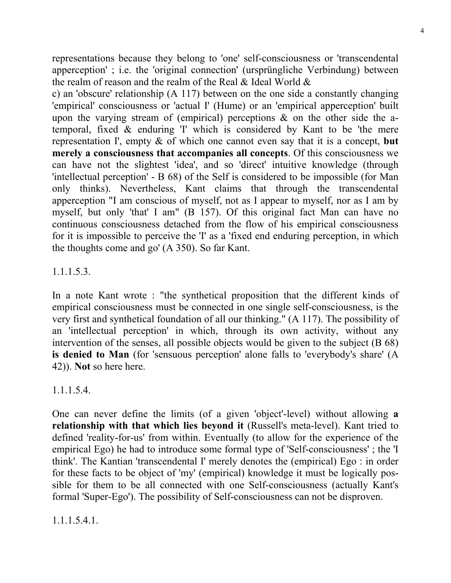representations because they belong to 'one' self-consciousness or 'transcendental apperception' ; i.e. the 'original connection' (ursprüngliche Verbindung) between the realm of reason and the realm of the Real & Ideal World &

c) an 'obscure' relationship (A 117) between on the one side a constantly changing 'empirical' consciousness or 'actual I' (Hume) or an 'empirical apperception' built upon the varying stream of (empirical) perceptions  $\&$  on the other side the atemporal, fixed & enduring 'I' which is considered by Kant to be 'the mere representation I', empty & of which one cannot even say that it is a concept, **but merely a consciousness that accompanies all concepts**. Of this consciousness we can have not the slightest 'idea', and so 'direct' intuitive knowledge (through 'intellectual perception' - B 68) of the Self is considered to be impossible (for Man only thinks). Nevertheless, Kant claims that through the transcendental apperception "I am conscious of myself, not as I appear to myself, nor as I am by myself, but only 'that' I am" (B 157). Of this original fact Man can have no continuous consciousness detached from the flow of his empirical consciousness for it is impossible to perceive the 'I' as a 'fixed end enduring perception, in which the thoughts come and go' (A 350). So far Kant.

# 1.1.1.5.3.

In a note Kant wrote : "the synthetical proposition that the different kinds of empirical consciousness must be connected in one single self-consciousness, is the very first and synthetical foundation of all our thinking." (A 117). The possibility of an 'intellectual perception' in which, through its own activity, without any intervention of the senses, all possible objects would be given to the subject (B 68) **is denied to Man** (for 'sensuous perception' alone falls to 'everybody's share' (A 42)). **Not** so here here.

1.1.1.5.4.

One can never define the limits (of a given 'object'-level) without allowing **a relationship with that which lies beyond it** (Russell's meta-level). Kant tried to defined 'reality-for-us' from within. Eventually (to allow for the experience of the empirical Ego) he had to introduce some formal type of 'Self-consciousness' ; the 'I think'. The Kantian 'transcendental I' merely denotes the (empirical) Ego : in order for these facts to be object of 'my' (empirical) knowledge it must be logically possible for them to be all connected with one Self-consciousness (actually Kant's formal 'Super-Ego'). The possibility of Self-consciousness can not be disproven.

1.1.1.5.4.1.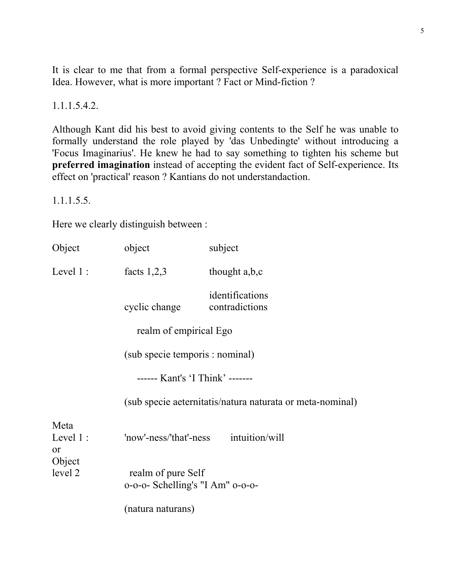It is clear to me that from a formal perspective Self-experience is a paradoxical Idea. However, what is more important ? Fact or Mind-fiction ?

1.1.1.5.4.2.

Although Kant did his best to avoid giving contents to the Self he was unable to formally understand the role played by 'das Unbedingte' without introducing a 'Focus Imaginarius'. He knew he had to say something to tighten his scheme but **preferred imagination** instead of accepting the evident fact of Self-experience. Its effect on 'practical' reason ? Kantians do not understandaction.

1.1.1.5.5.

Here we clearly distinguish between :

| Object                    | object                                                 | subject                                                   |  |
|---------------------------|--------------------------------------------------------|-----------------------------------------------------------|--|
| Level $1$ :               | facts $1,2,3$                                          | thought a,b,c                                             |  |
|                           | cyclic change                                          | identifications<br>contradictions                         |  |
|                           | realm of empirical Ego                                 |                                                           |  |
|                           | (sub specie temporis : nominal)                        |                                                           |  |
|                           | ------ Kant's 'I Think' -------                        |                                                           |  |
|                           |                                                        | (sub specie aeternitatis/natura naturata or meta-nominal) |  |
| Meta<br>Level $1$ :<br>or | 'now'-ness/'that'-ness intuition/will                  |                                                           |  |
| Object<br>level 2         | realm of pure Self<br>0-0-0- Schelling's "I Am" 0-0-0- |                                                           |  |
|                           | (natura naturans)                                      |                                                           |  |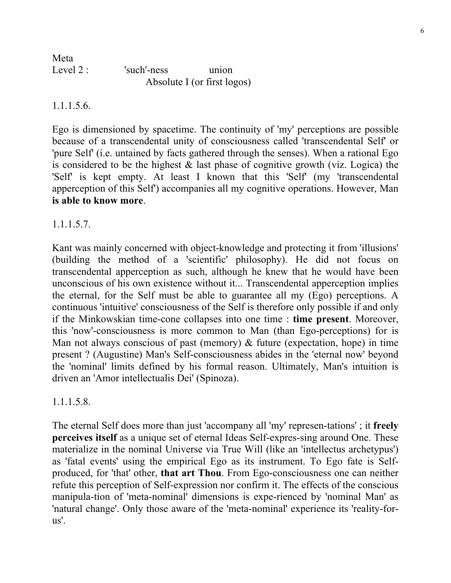| Meta       |                             |       |
|------------|-----------------------------|-------|
| Level $2:$ | 'such'-ness                 | union |
|            | Absolute I (or first logos) |       |

#### 1.1.1.5.6.

Ego is dimensioned by spacetime. The continuity of 'my' perceptions are possible because of a transcendental unity of consciousness called 'transcendental Self' or 'pure Self' (i.e. untained by facts gathered through the senses). When a rational Ego is considered to be the highest  $\&$  last phase of cognitive growth (viz. Logica) the 'Self' is kept empty. At least I known that this 'Self' (my 'transcendental apperception of this Self') accompanies all my cognitive operations. However, Man **is able to know more**.

## 1.1.1.5.7.

Kant was mainly concerned with object-knowledge and protecting it from 'illusions' (building the method of a 'scientific' philosophy). He did not focus on transcendental apperception as such, although he knew that he would have been unconscious of his own existence without it... Transcendental apperception implies the eternal, for the Self must be able to guarantee all my (Ego) perceptions. A continuous 'intuitive' consciousness of the Self is therefore only possible if and only if the Minkowskian time-cone collapses into one time : **time present**. Moreover, this 'now'-consciousness is more common to Man (than Ego-perceptions) for is Man not always conscious of past (memory) & future (expectation, hope) in time present ? (Augustine) Man's Self-consciousness abides in the 'eternal now' beyond the 'nominal' limits defined by his formal reason. Ultimately, Man's intuition is driven an 'Amor intellectualis Dei' (Spinoza).

#### 1.1.1.5.8.

The eternal Self does more than just 'accompany all 'my' represen-tations' ; it **freely perceives itself** as a unique set of eternal Ideas Self-expres-sing around One. These materialize in the nominal Universe via True Will (like an 'intellectus archetypus') as 'fatal events' using the empirical Ego as its instrument. To Ego fate is Selfproduced, for 'that' other, **that art Thou**. From Ego-consciousness one can neither refute this perception of Self-expression nor confirm it. The effects of the conscious manipula-tion of 'meta-nominal' dimensions is expe-rienced by 'nominal Man' as 'natural change'. Only those aware of the 'meta-nominal' experience its 'reality-forus'.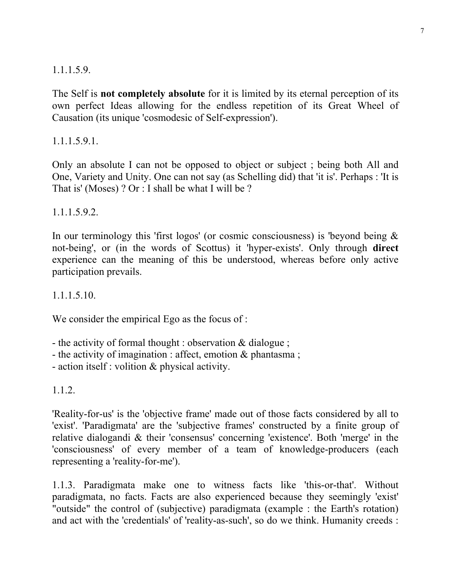## 1.1.1.5.9.

The Self is **not completely absolute** for it is limited by its eternal perception of its own perfect Ideas allowing for the endless repetition of its Great Wheel of Causation (its unique 'cosmodesic of Self-expression').

1.1.1.5.9.1.

Only an absolute I can not be opposed to object or subject ; being both All and One, Variety and Unity. One can not say (as Schelling did) that 'it is'. Perhaps : 'It is That is' (Moses) ? Or : I shall be what I will be ?

1.1.1.5.9.2.

In our terminology this 'first logos' (or cosmic consciousness) is 'beyond being  $\&$ not-being', or (in the words of Scottus) it 'hyper-exists'. Only through **direct** experience can the meaning of this be understood, whereas before only active participation prevails.

1.1.1.5.10.

We consider the empirical Ego as the focus of :

- the activity of formal thought : observation & dialogue ;

- the activity of imagination : affect, emotion & phantasma ;

- action itself : volition & physical activity.

1.1.2.

'Reality-for-us' is the 'objective frame' made out of those facts considered by all to 'exist'. 'Paradigmata' are the 'subjective frames' constructed by a finite group of relative dialogandi & their 'consensus' concerning 'existence'. Both 'merge' in the 'consciousness' of every member of a team of knowledge-producers (each representing a 'reality-for-me').

1.1.3. Paradigmata make one to witness facts like 'this-or-that'. Without paradigmata, no facts. Facts are also experienced because they seemingly 'exist' "outside" the control of (subjective) paradigmata (example : the Earth's rotation) and act with the 'credentials' of 'reality-as-such', so do we think. Humanity creeds :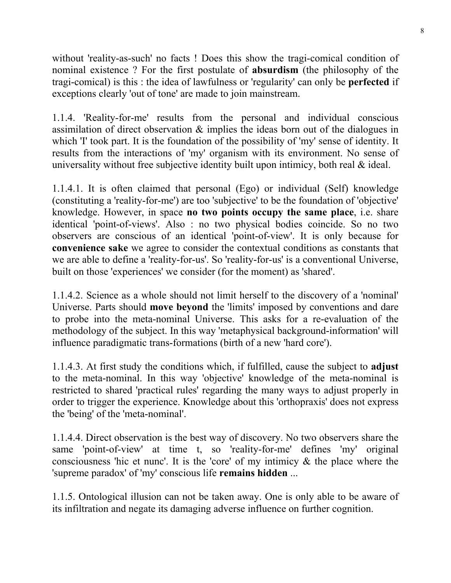without 'reality-as-such' no facts ! Does this show the tragi-comical condition of nominal existence ? For the first postulate of **absurdism** (the philosophy of the tragi-comical) is this : the idea of lawfulness or 'regularity' can only be **perfected** if exceptions clearly 'out of tone' are made to join mainstream.

1.1.4. 'Reality-for-me' results from the personal and individual conscious assimilation of direct observation & implies the ideas born out of the dialogues in which 'I' took part. It is the foundation of the possibility of 'my' sense of identity. It results from the interactions of 'my' organism with its environment. No sense of universality without free subjective identity built upon intimicy, both real & ideal.

1.1.4.1. It is often claimed that personal (Ego) or individual (Self) knowledge (constituting a 'reality-for-me') are too 'subjective' to be the foundation of 'objective' knowledge. However, in space **no two points occupy the same place**, i.e. share identical 'point-of-views'. Also : no two physical bodies coincide. So no two observers are conscious of an identical 'point-of-view'. It is only because for **convenience sake** we agree to consider the contextual conditions as constants that we are able to define a 'reality-for-us'. So 'reality-for-us' is a conventional Universe, built on those 'experiences' we consider (for the moment) as 'shared'.

1.1.4.2. Science as a whole should not limit herself to the discovery of a 'nominal' Universe. Parts should **move beyond** the 'limits' imposed by conventions and dare to probe into the meta-nominal Universe. This asks for a re-evaluation of the methodology of the subject. In this way 'metaphysical background-information' will influence paradigmatic trans-formations (birth of a new 'hard core').

1.1.4.3. At first study the conditions which, if fulfilled, cause the subject to **adjust** to the meta-nominal. In this way 'objective' knowledge of the meta-nominal is restricted to shared 'practical rules' regarding the many ways to adjust properly in order to trigger the experience. Knowledge about this 'orthopraxis' does not express the 'being' of the 'meta-nominal'.

1.1.4.4. Direct observation is the best way of discovery. No two observers share the same 'point-of-view' at time t, so 'reality-for-me' defines 'my' original consciousness 'hic et nunc'. It is the 'core' of my intimicy & the place where the 'supreme paradox' of 'my' conscious life **remains hidden** ...

1.1.5. Ontological illusion can not be taken away. One is only able to be aware of its infiltration and negate its damaging adverse influence on further cognition.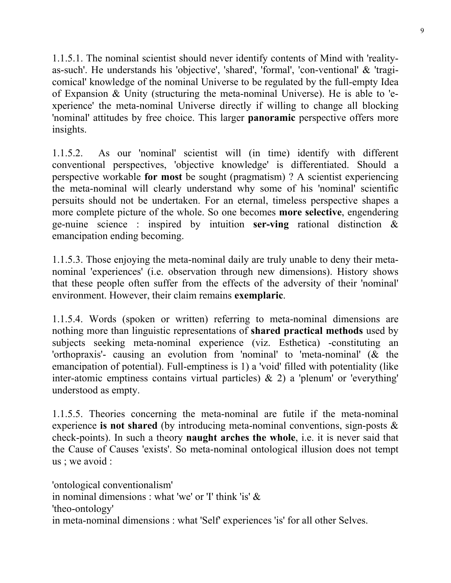1.1.5.1. The nominal scientist should never identify contents of Mind with 'realityas-such'. He understands his 'objective', 'shared', 'formal', 'con-ventional' & 'tragicomical' knowledge of the nominal Universe to be regulated by the full-empty Idea of Expansion & Unity (structuring the meta-nominal Universe). He is able to 'experience' the meta-nominal Universe directly if willing to change all blocking 'nominal' attitudes by free choice. This larger **panoramic** perspective offers more insights.

1.1.5.2. As our 'nominal' scientist will (in time) identify with different conventional perspectives, 'objective knowledge' is differentiated. Should a perspective workable **for most** be sought (pragmatism) ? A scientist experiencing the meta-nominal will clearly understand why some of his 'nominal' scientific persuits should not be undertaken. For an eternal, timeless perspective shapes a more complete picture of the whole. So one becomes **more selective**, engendering ge-nuine science : inspired by intuition **ser-ving** rational distinction & emancipation ending becoming.

1.1.5.3. Those enjoying the meta-nominal daily are truly unable to deny their metanominal 'experiences' (i.e. observation through new dimensions). History shows that these people often suffer from the effects of the adversity of their 'nominal' environment. However, their claim remains **exemplaric**.

1.1.5.4. Words (spoken or written) referring to meta-nominal dimensions are nothing more than linguistic representations of **shared practical methods** used by subjects seeking meta-nominal experience (viz. Esthetica) -constituting an 'orthopraxis'- causing an evolution from 'nominal' to 'meta-nominal' (& the emancipation of potential). Full-emptiness is 1) a 'void' filled with potentiality (like inter-atomic emptiness contains virtual particles) & 2) a 'plenum' or 'everything' understood as empty.

1.1.5.5. Theories concerning the meta-nominal are futile if the meta-nominal experience **is not shared** (by introducing meta-nominal conventions, sign-posts & check-points). In such a theory **naught arches the whole**, i.e. it is never said that the Cause of Causes 'exists'. So meta-nominal ontological illusion does not tempt us ; we avoid :

'ontological conventionalism' in nominal dimensions : what 'we' or 'I' think 'is' & 'theo-ontology' in meta-nominal dimensions : what 'Self' experiences 'is' for all other Selves.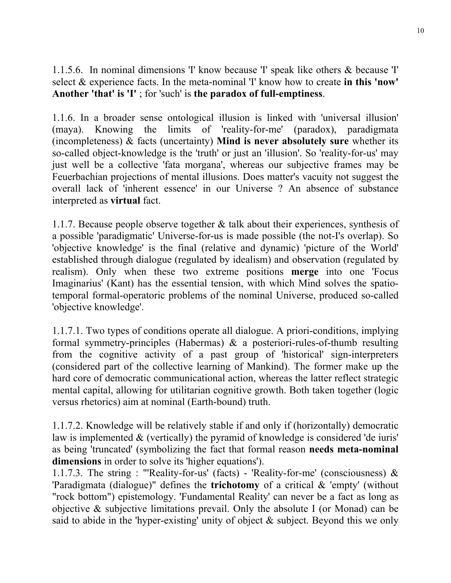1.1.5.6. In nominal dimensions 'I' know because 'I' speak like others & because 'I' select & experience facts. In the meta-nominal 'I' know how to create **in this 'now' Another 'that' is 'I'** ; for 'such' is **the paradox of full-emptiness**.

1.1.6. In a broader sense ontological illusion is linked with 'universal illusion' (maya). Knowing the limits of 'reality-for-me' (paradox), paradigmata (incompleteness) & facts (uncertainty) **Mind is never absolutely sure** whether its so-called object-knowledge is the 'truth' or just an 'illusion'. So 'reality-for-us' may just well be a collective 'fata morgana', whereas our subjective frames may be Feuerbachian projections of mental illusions. Does matter's vacuity not suggest the overall lack of 'inherent essence' in our Universe ? An absence of substance interpreted as **virtual** fact.

1.1.7. Because people observe together & talk about their experiences, synthesis of a possible 'paradigmatic' Universe-for-us is made possible (the not-I's overlap). So 'objective knowledge' is the final (relative and dynamic) 'picture of the World' established through dialogue (regulated by idealism) and observation (regulated by realism). Only when these two extreme positions **merge** into one 'Focus Imaginarius' (Kant) has the essential tension, with which Mind solves the spatiotemporal formal-operatoric problems of the nominal Universe, produced so-called 'objective knowledge'.

1.1.7.1. Two types of conditions operate all dialogue. A priori-conditions, implying formal symmetry-principles (Habermas) & a posteriori-rules-of-thumb resulting from the cognitive activity of a past group of 'historical' sign-interpreters (considered part of the collective learning of Mankind). The former make up the hard core of democratic communicational action, whereas the latter reflect strategic mental capital, allowing for utilitarian cognitive growth. Both taken together (logic versus rhetorics) aim at nominal (Earth-bound) truth.

1.1.7.2. Knowledge will be relatively stable if and only if (horizontally) democratic law is implemented  $\&$  (vertically) the pyramid of knowledge is considered 'de iuris' as being 'truncated' (symbolizing the fact that formal reason **needs meta-nominal dimensions** in order to solve its 'higher equations').

1.1.7.3. The string : "'Reality-for-us' (facts) - 'Reality-for-me' (consciousness) & 'Paradigmata (dialogue)" defines the **trichotomy** of a critical & 'empty' (without "rock bottom") epistemology. 'Fundamental Reality' can never be a fact as long as objective & subjective limitations prevail. Only the absolute I (or Monad) can be said to abide in the 'hyper-existing' unity of object  $\&$  subject. Beyond this we only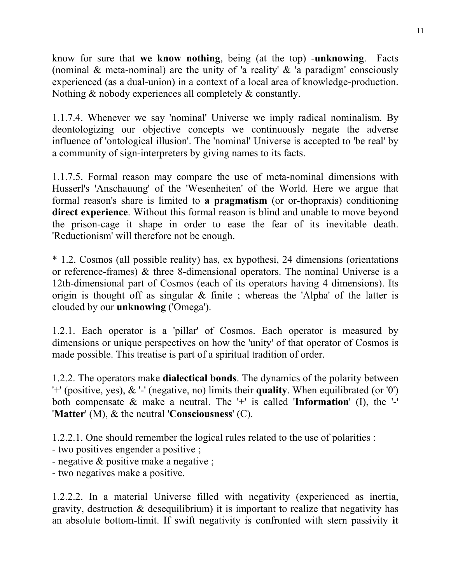know for sure that **we know nothing**, being (at the top) -**unknowing**. Facts (nominal  $\&$  meta-nominal) are the unity of 'a reality'  $\&$  'a paradigm' consciously experienced (as a dual-union) in a context of a local area of knowledge-production. Nothing & nobody experiences all completely & constantly.

1.1.7.4. Whenever we say 'nominal' Universe we imply radical nominalism. By deontologizing our objective concepts we continuously negate the adverse influence of 'ontological illusion'. The 'nominal' Universe is accepted to 'be real' by a community of sign-interpreters by giving names to its facts.

1.1.7.5. Formal reason may compare the use of meta-nominal dimensions with Husserl's 'Anschauung' of the 'Wesenheiten' of the World. Here we argue that formal reason's share is limited to **a pragmatism** (or or-thopraxis) conditioning **direct experience**. Without this formal reason is blind and unable to move beyond the prison-cage it shape in order to ease the fear of its inevitable death. 'Reductionism' will therefore not be enough.

\* 1.2. Cosmos (all possible reality) has, ex hypothesi, 24 dimensions (orientations or reference-frames) & three 8-dimensional operators. The nominal Universe is a 12th-dimensional part of Cosmos (each of its operators having 4 dimensions). Its origin is thought off as singular  $\&$  finite; whereas the 'Alpha' of the latter is clouded by our **unknowing** ('Omega').

1.2.1. Each operator is a 'pillar' of Cosmos. Each operator is measured by dimensions or unique perspectives on how the 'unity' of that operator of Cosmos is made possible. This treatise is part of a spiritual tradition of order.

1.2.2. The operators make **dialectical bonds**. The dynamics of the polarity between '+' (positive, yes), & '-' (negative, no) limits their **quality**. When equilibrated (or '0') both compensate & make a neutral. The '+' is called '**Information**' (I), the '-' '**Matter**' (M), & the neutral '**Consciousness**' (C).

1.2.2.1. One should remember the logical rules related to the use of polarities :

- two positives engender a positive ;
- negative & positive make a negative ;

- two negatives make a positive.

1.2.2.2. In a material Universe filled with negativity (experienced as inertia, gravity, destruction  $\&$  desequilibrium) it is important to realize that negativity has an absolute bottom-limit. If swift negativity is confronted with stern passivity **it**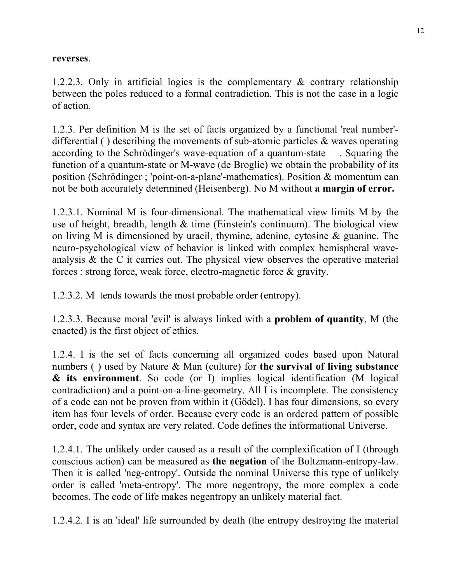#### **reverses**.

1.2.2.3. Only in artificial logics is the complementary & contrary relationship between the poles reduced to a formal contradiction. This is not the case in a logic of action.

1.2.3. Per definition M is the set of facts organized by a functional 'real number' differential ( ) describing the movements of sub-atomic particles  $\&$  waves operating according to the Schrödinger's wave-equation of a quantum-state . Squaring the function of a quantum-state or M-wave (de Broglie) we obtain the probability of its position (Schrödinger ; 'point-on-a-plane'-mathematics). Position & momentum can not be both accurately determined (Heisenberg). No M without **a margin of error.**

1.2.3.1. Nominal M is four-dimensional. The mathematical view limits M by the use of height, breadth, length  $\&$  time (Einstein's continuum). The biological view on living M is dimensioned by uracil, thymine, adenine, cytosine & guanine. The neuro-psychological view of behavior is linked with complex hemispheral waveanalysis & the C it carries out. The physical view observes the operative material forces : strong force, weak force, electro-magnetic force & gravity.

1.2.3.2. M tends towards the most probable order (entropy).

1.2.3.3. Because moral 'evil' is always linked with a **problem of quantity**, M (the enacted) is the first object of ethics.

1.2.4. I is the set of facts concerning all organized codes based upon Natural numbers ( ) used by Nature & Man (culture) for **the survival of living substance & its environment**. So code (or I) implies logical identification (M logical contradiction) and a point-on-a-line-geometry. All I is incomplete. The consistency of a code can not be proven from within it (Gödel). I has four dimensions, so every item has four levels of order. Because every code is an ordered pattern of possible order, code and syntax are very related. Code defines the informational Universe.

1.2.4.1. The unlikely order caused as a result of the complexification of I (through conscious action) can be measured as **the negation** of the Boltzmann-entropy-law. Then it is called 'neg-entropy'. Outside the nominal Universe this type of unlikely order is called 'meta-entropy'. The more negentropy, the more complex a code becomes. The code of life makes negentropy an unlikely material fact.

1.2.4.2. I is an 'ideal' life surrounded by death (the entropy destroying the material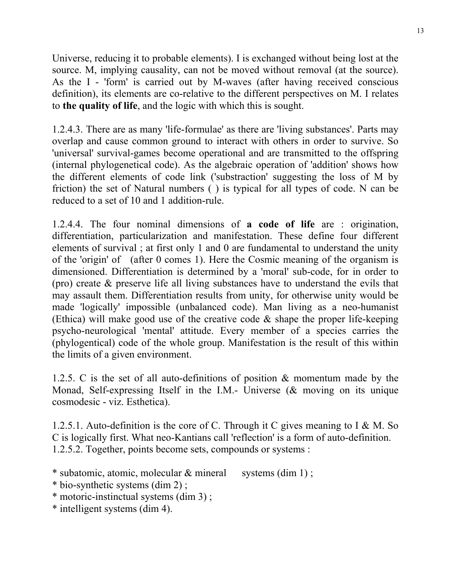Universe, reducing it to probable elements). I is exchanged without being lost at the source. M, implying causality, can not be moved without removal (at the source). As the I - 'form' is carried out by M-waves (after having received conscious definition), its elements are co-relative to the different perspectives on M. I relates to **the quality of life**, and the logic with which this is sought.

1.2.4.3. There are as many 'life-formulae' as there are 'living substances'. Parts may overlap and cause common ground to interact with others in order to survive. So 'universal' survival-games become operational and are transmitted to the offspring (internal phylogenetical code). As the algebraic operation of 'addition' shows how the different elements of code link ('substraction' suggesting the loss of M by friction) the set of Natural numbers ( ) is typical for all types of code. N can be reduced to a set of 10 and 1 addition-rule.

1.2.4.4. The four nominal dimensions of **a code of life** are : origination, differentiation, particularization and manifestation. These define four different elements of survival ; at first only 1 and 0 are fundamental to understand the unity of the 'origin' of (after 0 comes 1). Here the Cosmic meaning of the organism is dimensioned. Differentiation is determined by a 'moral' sub-code, for in order to (pro) create & preserve life all living substances have to understand the evils that may assault them. Differentiation results from unity, for otherwise unity would be made 'logically' impossible (unbalanced code). Man living as a neo-humanist (Ethica) will make good use of the creative code & shape the proper life-keeping psycho-neurological 'mental' attitude. Every member of a species carries the (phylogentical) code of the whole group. Manifestation is the result of this within the limits of a given environment.

1.2.5. C is the set of all auto-definitions of position & momentum made by the Monad, Self-expressing Itself in the I.M.- Universe (& moving on its unique cosmodesic - viz. Esthetica).

1.2.5.1. Auto-definition is the core of C. Through it C gives meaning to I & M. So C is logically first. What neo-Kantians call 'reflection' is a form of auto-definition. 1.2.5.2. Together, points become sets, compounds or systems :

- \* subatomic, atomic, molecular & mineral systems (dim 1);
- \* bio-synthetic systems (dim 2) ;
- \* motoric-instinctual systems (dim 3) ;
- \* intelligent systems (dim 4).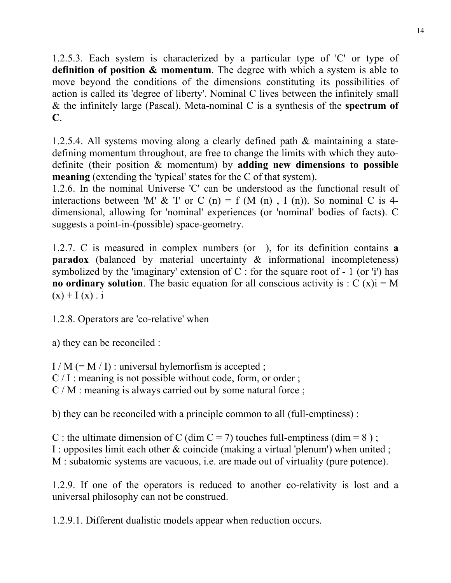1.2.5.3. Each system is characterized by a particular type of 'C' or type of **definition of position & momentum**. The degree with which a system is able to move beyond the conditions of the dimensions constituting its possibilities of action is called its 'degree of liberty'. Nominal C lives between the infinitely small & the infinitely large (Pascal). Meta-nominal C is a synthesis of the **spectrum of C**.

1.2.5.4. All systems moving along a clearly defined path & maintaining a statedefining momentum throughout, are free to change the limits with which they autodefinite (their position & momentum) by **adding new dimensions to possible meaning** (extending the 'typical' states for the C of that system).

1.2.6. In the nominal Universe 'C' can be understood as the functional result of interactions between 'M' & 'I' or C (n) = f (M (n), I (n)). So nominal C is 4dimensional, allowing for 'nominal' experiences (or 'nominal' bodies of facts). C suggests a point-in-(possible) space-geometry.

1.2.7. C is measured in complex numbers (or ), for its definition contains **a paradox** (balanced by material uncertainty & informational incompleteness) symbolized by the 'imaginary' extension of  $C$  : for the square root of - 1 (or 'i') has **no ordinary solution**. The basic equation for all conscious activity is :  $C(x)$  i = M  $(x) + I(x)$ . i

1.2.8. Operators are 'co-relative' when

a) they can be reconciled :

 $I/M (= M / I)$ : universal hylemorfism is accepted ;

 $C / I$ : meaning is not possible without code, form, or order;

C / M : meaning is always carried out by some natural force ;

b) they can be reconciled with a principle common to all (full-emptiness) :

C : the ultimate dimension of C (dim C = 7) touches full-emptiness (dim = 8);

I : opposites limit each other & coincide (making a virtual 'plenum') when united ;

M : subatomic systems are vacuous, i.e. are made out of virtuality (pure potence).

1.2.9. If one of the operators is reduced to another co-relativity is lost and a universal philosophy can not be construed.

1.2.9.1. Different dualistic models appear when reduction occurs.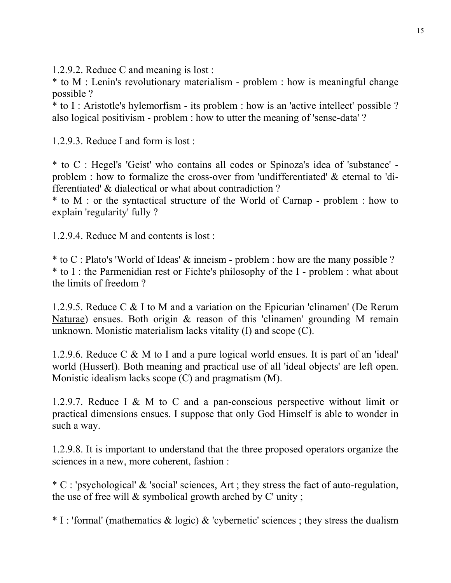1.2.9.2. Reduce C and meaning is lost :

\* to M : Lenin's revolutionary materialism - problem : how is meaningful change possible ?

\* to I : Aristotle's hylemorfism - its problem : how is an 'active intellect' possible ? also logical positivism - problem : how to utter the meaning of 'sense-data' ?

1.2.9.3. Reduce I and form is lost :

\* to C : Hegel's 'Geist' who contains all codes or Spinoza's idea of 'substance' problem : how to formalize the cross-over from 'undifferentiated' & eternal to 'differentiated' & dialectical or what about contradiction ?

\* to M : or the syntactical structure of the World of Carnap - problem : how to explain 'regularity' fully ?

1.2.9.4. Reduce M and contents is lost :

\* to C : Plato's 'World of Ideas' & inneism - problem : how are the many possible ? \* to I : the Parmenidian rest or Fichte's philosophy of the I - problem : what about the limits of freedom ?

1.2.9.5. Reduce C & I to M and a variation on the Epicurian 'clinamen' (De Rerum Naturae) ensues. Both origin & reason of this 'clinamen' grounding M remain unknown. Monistic materialism lacks vitality (I) and scope (C).

1.2.9.6. Reduce C & M to I and a pure logical world ensues. It is part of an 'ideal' world (Husserl). Both meaning and practical use of all 'ideal objects' are left open. Monistic idealism lacks scope (C) and pragmatism (M).

1.2.9.7. Reduce I & M to C and a pan-conscious perspective without limit or practical dimensions ensues. I suppose that only God Himself is able to wonder in such a way.

1.2.9.8. It is important to understand that the three proposed operators organize the sciences in a new, more coherent, fashion :

\* C : 'psychological' & 'social' sciences, Art ; they stress the fact of auto-regulation, the use of free will & symbolical growth arched by C' unity ;

 $*$  I : 'formal' (mathematics  $& logic) & cypernetic' sciences$ ; they stress the dualism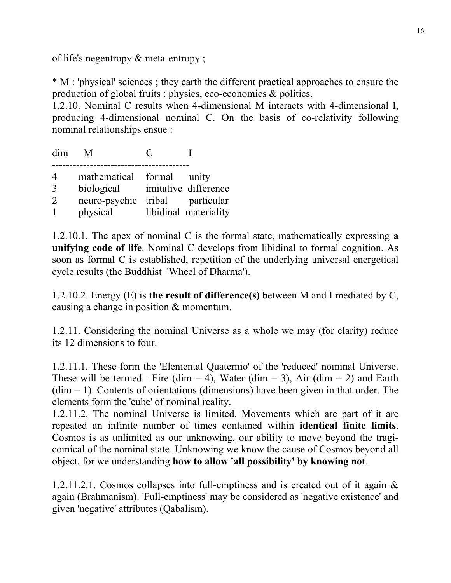of life's negentropy & meta-entropy ;

\* M : 'physical' sciences ; they earth the different practical approaches to ensure the production of global fruits : physics, eco-economics & politics.

1.2.10. Nominal C results when 4-dimensional M interacts with 4-dimensional I, producing 4-dimensional nominal C. On the basis of co-relativity following nominal relationships ensue :

dim M C I ---------------------------------------- 4 mathematical formal unity 3 biological imitative difference 2 neuro-psychic tribal particular 1 physical libidinal materiality

1.2.10.1. The apex of nominal C is the formal state, mathematically expressing **a unifying code of life**. Nominal C develops from libidinal to formal cognition. As soon as formal C is established, repetition of the underlying universal energetical cycle results (the Buddhist 'Wheel of Dharma').

1.2.10.2. Energy (E) is **the result of difference(s)** between M and I mediated by C, causing a change in position & momentum.

1.2.11. Considering the nominal Universe as a whole we may (for clarity) reduce its 12 dimensions to four.

1.2.11.1. These form the 'Elemental Quaternio' of the 'reduced' nominal Universe. These will be termed : Fire (dim = 4), Water (dim = 3), Air (dim = 2) and Earth  $(dim = 1)$ . Contents of orientations (dimensions) have been given in that order. The elements form the 'cube' of nominal reality.

1.2.11.2. The nominal Universe is limited. Movements which are part of it are repeated an infinite number of times contained within **identical finite limits**. Cosmos is as unlimited as our unknowing, our ability to move beyond the tragicomical of the nominal state. Unknowing we know the cause of Cosmos beyond all object, for we understanding **how to allow 'all possibility' by knowing not**.

1.2.11.2.1. Cosmos collapses into full-emptiness and is created out of it again & again (Brahmanism). 'Full-emptiness' may be considered as 'negative existence' and given 'negative' attributes (Qabalism).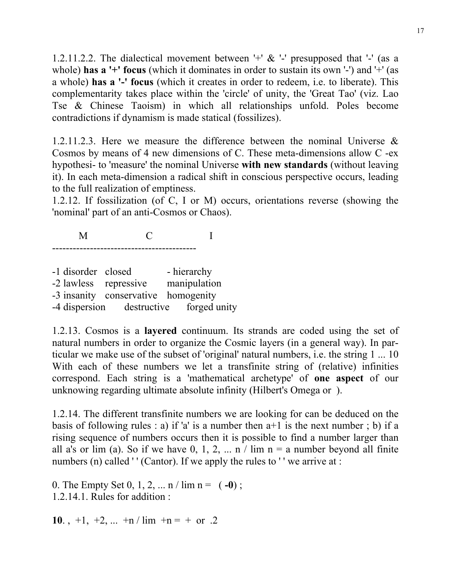1.2.11.2.2. The dialectical movement between '+'  $\&$  '-' presupposed that '-' (as a whole) **has a** '+' **focus** (which it dominates in order to sustain its own '-') and '+' (as a whole) **has a '-' focus** (which it creates in order to redeem, i.e. to liberate). This complementarity takes place within the 'circle' of unity, the 'Great Tao' (viz. Lao Tse & Chinese Taoism) in which all relationships unfold. Poles become contradictions if dynamism is made statical (fossilizes).

1.2.11.2.3. Here we measure the difference between the nominal Universe & Cosmos by means of 4 new dimensions of C. These meta-dimensions allow C -ex hypothesi- to 'measure' the nominal Universe **with new standards** (without leaving it). In each meta-dimension a radical shift in conscious perspective occurs, leading to the full realization of emptiness.

1.2.12. If fossilization (of C, I or M) occurs, orientations reverse (showing the 'nominal' part of an anti-Cosmos or Chaos).

 M C I ------------------------------------------

-1 disorder closed - hierarchy -2 lawless repressive manipulation -3 insanity conservative homogenity -4 dispersion destructive forged unity

1.2.13. Cosmos is a **layered** continuum. Its strands are coded using the set of natural numbers in order to organize the Cosmic layers (in a general way). In particular we make use of the subset of 'original' natural numbers, i.e. the string 1 ... 10 With each of these numbers we let a transfinite string of (relative) infinities correspond. Each string is a 'mathematical archetype' of **one aspect** of our unknowing regarding ultimate absolute infinity (Hilbert's Omega or ).

1.2.14. The different transfinite numbers we are looking for can be deduced on the basis of following rules : a) if 'a' is a number then  $a+1$  is the next number ; b) if a rising sequence of numbers occurs then it is possible to find a number larger than all a's or lim (a). So if we have  $0, 1, 2, \ldots n$  / lim  $n = a$  number beyond all finite numbers (n) called '' (Cantor). If we apply the rules to '' we arrive at :

0. The Empty Set 0, 1, 2, ...  $n / \lim n = (-0)$ ; 1.2.14.1. Rules for addition :

**10**.,  $+1$ ,  $+2$ , ...  $+n/\lim_{ } +n=+$  or .2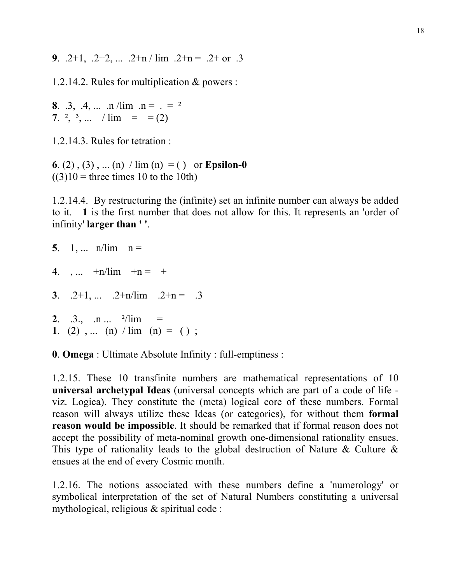**9**. .2+1, .2+2, ... .2+n / lim .2+n = .2+ or .3

1.2.14.2. Rules for multiplication & powers :

**8**. .3, .4, ... .n /lim .n =  $e^2$ **7.** <sup>2</sup>, <sup>3</sup>, ... /  $\lim$  = = (2)

1.2.14.3. Rules for tetration :

**6**. (2), (3), ... (n)  $\sin(n) = (x)$  or **Epsilon-0**  $((3)10)$  = three times 10 to the 10th)

1.2.14.4. By restructuring the (infinite) set an infinite number can always be added to it. **1** is the first number that does not allow for this. It represents an 'order of infinity' **larger than ' '**.

| 5. 1, $n/lim n =$                                                           |
|-----------------------------------------------------------------------------|
| 4. , $+n/lim + n = +$                                                       |
| 3. $.2+1, \ldots$ $.2+n/lim$ $.2+n = .3$                                    |
| 2. .3., .n <sup>2</sup> /lim<br>1. (2), (n) $\lim_{n \to \infty}$ (n) = (); |

**0**. **Omega** : Ultimate Absolute Infinity : full-emptiness :

1.2.15. These 10 transfinite numbers are mathematical representations of 10 **universal archetypal Ideas** (universal concepts which are part of a code of life viz. Logica). They constitute the (meta) logical core of these numbers. Formal reason will always utilize these Ideas (or categories), for without them **formal reason would be impossible**. It should be remarked that if formal reason does not accept the possibility of meta-nominal growth one-dimensional rationality ensues. This type of rationality leads to the global destruction of Nature & Culture  $\&$ ensues at the end of every Cosmic month.

1.2.16. The notions associated with these numbers define a 'numerology' or symbolical interpretation of the set of Natural Numbers constituting a universal mythological, religious & spiritual code :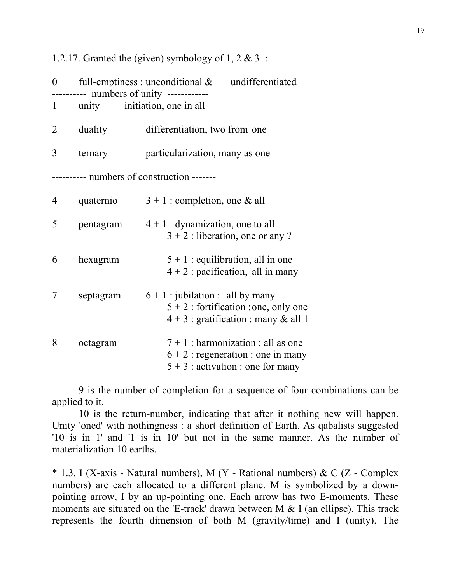1.2.17. Granted the (given) symbology of 1, 2  $\&$  3 :

| $\boldsymbol{0}$                       | ---------- numbers of unity ------------ | full-emptiness : unconditional $\&$<br>undifferentiated                                                                 |  |  |
|----------------------------------------|------------------------------------------|-------------------------------------------------------------------------------------------------------------------------|--|--|
| $\mathbf{1}$                           | unity                                    | initiation, one in all                                                                                                  |  |  |
| $\overline{2}$                         | duality                                  | differentiation, two from one                                                                                           |  |  |
| 3                                      | ternary                                  | particularization, many as one                                                                                          |  |  |
| ------ numbers of construction ------- |                                          |                                                                                                                         |  |  |
| 4                                      | quaternio                                | $3 + 1$ : completion, one & all                                                                                         |  |  |
| 5                                      | pentagram                                | $4 + 1$ : dynamization, one to all<br>$3 + 2$ : liberation, one or any ?                                                |  |  |
| 6                                      | hexagram                                 | $5 + 1$ : equilibration, all in one<br>$4 + 2$ : pacification, all in many                                              |  |  |
| 7                                      | septagram                                | $6 + 1$ : jubilation : all by many<br>$5 + 2$ : fortification : one, only one<br>$4 + 3$ : gratification : many & all 1 |  |  |
| 8                                      | octagram                                 | $7 + 1$ : harmonization : all as one<br>$6 + 2$ : regeneration : one in many<br>$5 + 3$ : activation : one for many     |  |  |

 9 is the number of completion for a sequence of four combinations can be applied to it.

 10 is the return-number, indicating that after it nothing new will happen. Unity 'oned' with nothingness : a short definition of Earth. As qabalists suggested '10 is in 1' and '1 is in 10' but not in the same manner. As the number of materialization 10 earths.

\* 1.3. I (X-axis - Natural numbers), M (Y - Rational numbers) & C (Z - Complex numbers) are each allocated to a different plane. M is symbolized by a downpointing arrow, I by an up-pointing one. Each arrow has two E-moments. These moments are situated on the 'E-track' drawn between M  $&$  I (an ellipse). This track represents the fourth dimension of both M (gravity/time) and I (unity). The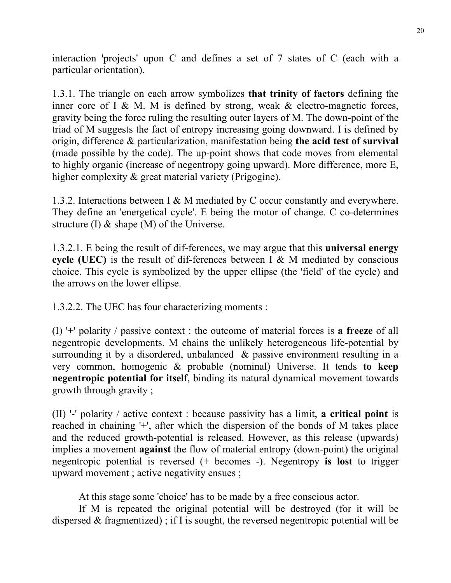interaction 'projects' upon C and defines a set of 7 states of C (each with a particular orientation).

1.3.1. The triangle on each arrow symbolizes **that trinity of factors** defining the inner core of I & M. M is defined by strong, weak  $\&$  electro-magnetic forces, gravity being the force ruling the resulting outer layers of M. The down-point of the triad of M suggests the fact of entropy increasing going downward. I is defined by origin, difference & particularization, manifestation being **the acid test of survival** (made possible by the code). The up-point shows that code moves from elemental to highly organic (increase of negentropy going upward). More difference, more E, higher complexity  $\&$  great material variety (Prigogine).

1.3.2. Interactions between I & M mediated by C occur constantly and everywhere. They define an 'energetical cycle'. E being the motor of change. C co-determines structure (I) & shape (M) of the Universe.

1.3.2.1. E being the result of dif-ferences, we may argue that this **universal energy cycle (UEC)** is the result of dif-ferences between I & M mediated by conscious choice. This cycle is symbolized by the upper ellipse (the 'field' of the cycle) and the arrows on the lower ellipse.

1.3.2.2. The UEC has four characterizing moments :

(I) '+' polarity / passive context : the outcome of material forces is **a freeze** of all negentropic developments. M chains the unlikely heterogeneous life-potential by surrounding it by a disordered, unbalanced & passive environment resulting in a very common, homogenic & probable (nominal) Universe. It tends **to keep negentropic potential for itself**, binding its natural dynamical movement towards growth through gravity ;

(II) '-' polarity / active context : because passivity has a limit, **a critical point** is reached in chaining '+', after which the dispersion of the bonds of M takes place and the reduced growth-potential is released. However, as this release (upwards) implies a movement **against** the flow of material entropy (down-point) the original negentropic potential is reversed (+ becomes -). Negentropy **is lost** to trigger upward movement ; active negativity ensues ;

At this stage some 'choice' has to be made by a free conscious actor.

 If M is repeated the original potential will be destroyed (for it will be dispersed & fragmentized) ; if I is sought, the reversed negentropic potential will be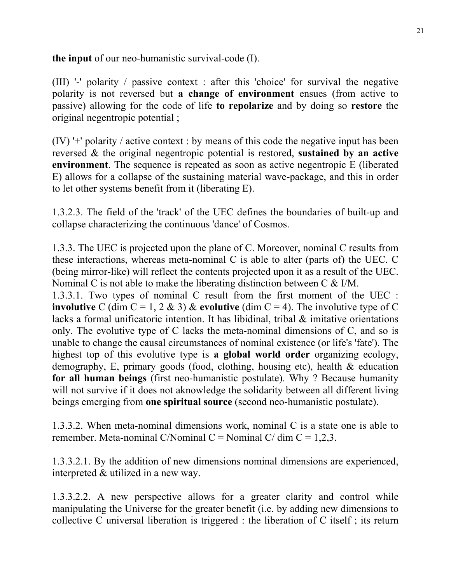**the input** of our neo-humanistic survival-code (I).

(III) '-' polarity / passive context : after this 'choice' for survival the negative polarity is not reversed but **a change of environment** ensues (from active to passive) allowing for the code of life **to repolarize** and by doing so **restore** the original negentropic potential ;

(IV) '+' polarity / active context : by means of this code the negative input has been reversed & the original negentropic potential is restored, **sustained by an active environment**. The sequence is repeated as soon as active negentropic E (liberated E) allows for a collapse of the sustaining material wave-package, and this in order to let other systems benefit from it (liberating E).

1.3.2.3. The field of the 'track' of the UEC defines the boundaries of built-up and collapse characterizing the continuous 'dance' of Cosmos.

1.3.3. The UEC is projected upon the plane of C. Moreover, nominal C results from these interactions, whereas meta-nominal C is able to alter (parts of) the UEC. C (being mirror-like) will reflect the contents projected upon it as a result of the UEC. Nominal C is not able to make the liberating distinction between C & I/M.

1.3.3.1. Two types of nominal C result from the first moment of the UEC : **involutive** C (dim  $C = 1$ , 2 & 3) & **evolutive** (dim  $C = 4$ ). The involutive type of C lacks a formal unificatoric intention. It has libidinal, tribal & imitative orientations only. The evolutive type of C lacks the meta-nominal dimensions of C, and so is unable to change the causal circumstances of nominal existence (or life's 'fate'). The highest top of this evolutive type is **a global world order** organizing ecology, demography, E, primary goods (food, clothing, housing etc), health & education **for all human beings** (first neo-humanistic postulate). Why ? Because humanity will not survive if it does not aknowledge the solidarity between all different living beings emerging from **one spiritual source** (second neo-humanistic postulate).

1.3.3.2. When meta-nominal dimensions work, nominal C is a state one is able to remember. Meta-nominal C/Nominal C = Nominal C/ dim  $C = 1,2,3$ .

1.3.3.2.1. By the addition of new dimensions nominal dimensions are experienced, interpreted & utilized in a new way.

1.3.3.2.2. A new perspective allows for a greater clarity and control while manipulating the Universe for the greater benefit (i.e. by adding new dimensions to collective C universal liberation is triggered : the liberation of C itself ; its return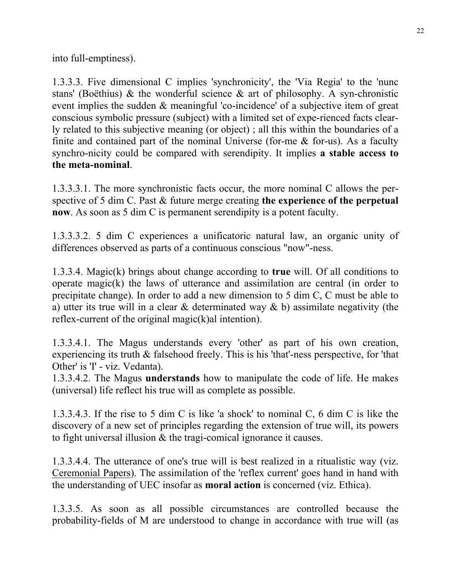into full-emptiness).

1.3.3.3. Five dimensional C implies 'synchronicity', the 'Via Regia' to the 'nunc stans' (Boëthius) & the wonderful science & art of philosophy. A syn-chronistic event implies the sudden & meaningful 'co-incidence' of a subjective item of great conscious symbolic pressure (subject) with a limited set of expe-rienced facts clearly related to this subjective meaning (or object) ; all this within the boundaries of a finite and contained part of the nominal Universe (for-me  $\&$  for-us). As a faculty synchro-nicity could be compared with serendipity. It implies **a stable access to the meta-nominal**.

1.3.3.3.1. The more synchronistic facts occur, the more nominal C allows the perspective of 5 dim C. Past & future merge creating **the experience of the perpetual now**. As soon as 5 dim C is permanent serendipity is a potent faculty.

1.3.3.3.2. 5 dim C experiences a unificatoric natural law, an organic unity of differences observed as parts of a continuous conscious "now"-ness.

1.3.3.4. Magic(k) brings about change according to **true** will. Of all conditions to operate magic(k) the laws of utterance and assimilation are central (in order to precipitate change). In order to add a new dimension to 5 dim C, C must be able to a) utter its true will in a clear & determinated way & b) assimilate negativity (the reflex-current of the original magic(k)al intention).

1.3.3.4.1. The Magus understands every 'other' as part of his own creation, experiencing its truth & falsehood freely. This is his 'that'-ness perspective, for 'that Other' is 'I' - viz. Vedanta).

1.3.3.4.2. The Magus **understands** how to manipulate the code of life. He makes (universal) life reflect his true will as complete as possible.

1.3.3.4.3. If the rise to 5 dim C is like 'a shock' to nominal C, 6 dim C is like the discovery of a new set of principles regarding the extension of true will, its powers to fight universal illusion & the tragi-comical ignorance it causes.

1.3.3.4.4. The utterance of one's true will is best realized in a ritualistic way (viz. Ceremonial Papers). The assimilation of the 'reflex current' goes hand in hand with the understanding of UEC insofar as **moral action** is concerned (viz. Ethica).

1.3.3.5. As soon as all possible circumstances are controlled because the probability-fields of M are understood to change in accordance with true will (as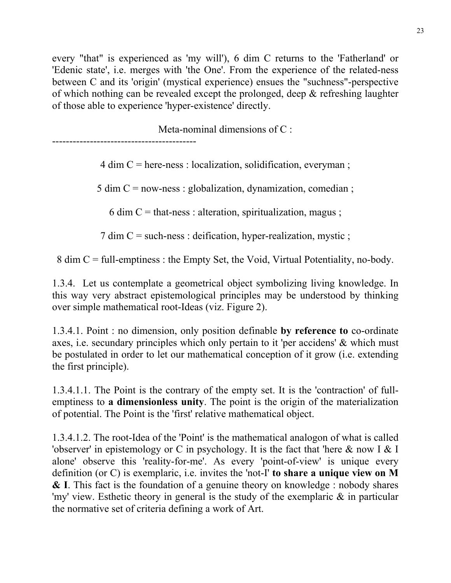every "that" is experienced as 'my will'), 6 dim C returns to the 'Fatherland' or 'Edenic state', i.e. merges with 'the One'. From the experience of the related-ness between C and its 'origin' (mystical experience) ensues the "suchness"-perspective of which nothing can be revealed except the prolonged, deep & refreshing laughter of those able to experience 'hyper-existence' directly.

Meta-nominal dimensions of C :

------------------------------------------

 $4 \text{ dim } C$  = here-ness : localization, solidification, everyman;

5 dim  $C = nowness$ : globalization, dynamization, comedian;

6 dim C = that-ness : alteration, spiritualization, magus ;

7 dim C = such-ness : deification, hyper-realization, mystic ;

8 dim C = full-emptiness : the Empty Set, the Void, Virtual Potentiality, no-body.

1.3.4. Let us contemplate a geometrical object symbolizing living knowledge. In this way very abstract epistemological principles may be understood by thinking over simple mathematical root-Ideas (viz. Figure 2).

1.3.4.1. Point : no dimension, only position definable **by reference to** co-ordinate axes, i.e. secundary principles which only pertain to it 'per accidens' & which must be postulated in order to let our mathematical conception of it grow (i.e. extending the first principle).

1.3.4.1.1. The Point is the contrary of the empty set. It is the 'contraction' of fullemptiness to **a dimensionless unity**. The point is the origin of the materialization of potential. The Point is the 'first' relative mathematical object.

1.3.4.1.2. The root-Idea of the 'Point' is the mathematical analogon of what is called 'observer' in epistemology or C in psychology. It is the fact that 'here  $\&$  now I  $\&$  I alone' observe this 'reality-for-me'. As every 'point-of-view' is unique every definition (or C) is exemplaric, i.e. invites the 'not-I' **to share a unique view on M & I**. This fact is the foundation of a genuine theory on knowledge : nobody shares 'my' view. Esthetic theory in general is the study of the exemplaric & in particular the normative set of criteria defining a work of Art.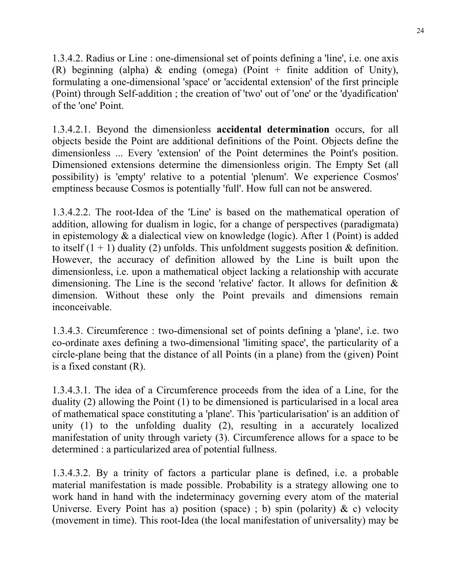1.3.4.2. Radius or Line : one-dimensional set of points defining a 'line', i.e. one axis (R) beginning (alpha)  $\&$  ending (omega) (Point + finite addition of Unity), formulating a one-dimensional 'space' or 'accidental extension' of the first principle (Point) through Self-addition ; the creation of 'two' out of 'one' or the 'dyadification' of the 'one' Point.

1.3.4.2.1. Beyond the dimensionless **accidental determination** occurs, for all objects beside the Point are additional definitions of the Point. Objects define the dimensionless ... Every 'extension' of the Point determines the Point's position. Dimensioned extensions determine the dimensionless origin. The Empty Set (all possibility) is 'empty' relative to a potential 'plenum'. We experience Cosmos' emptiness because Cosmos is potentially 'full'. How full can not be answered.

1.3.4.2.2. The root-Idea of the 'Line' is based on the mathematical operation of addition, allowing for dualism in logic, for a change of perspectives (paradigmata) in epistemology & a dialectical view on knowledge (logic). After 1 (Point) is added to itself  $(1 + 1)$  duality (2) unfolds. This unfoldment suggests position & definition. However, the accuracy of definition allowed by the Line is built upon the dimensionless, i.e. upon a mathematical object lacking a relationship with accurate dimensioning. The Line is the second 'relative' factor. It allows for definition  $\&$ dimension. Without these only the Point prevails and dimensions remain inconceivable.

1.3.4.3. Circumference : two-dimensional set of points defining a 'plane', i.e. two co-ordinate axes defining a two-dimensional 'limiting space', the particularity of a circle-plane being that the distance of all Points (in a plane) from the (given) Point is a fixed constant (R).

1.3.4.3.1. The idea of a Circumference proceeds from the idea of a Line, for the duality (2) allowing the Point (1) to be dimensioned is particularised in a local area of mathematical space constituting a 'plane'. This 'particularisation' is an addition of unity (1) to the unfolding duality (2), resulting in a accurately localized manifestation of unity through variety (3). Circumference allows for a space to be determined : a particularized area of potential fullness.

1.3.4.3.2. By a trinity of factors a particular plane is defined, i.e. a probable material manifestation is made possible. Probability is a strategy allowing one to work hand in hand with the indeterminacy governing every atom of the material Universe. Every Point has a) position (space); b) spin (polarity)  $\& c$ ) velocity (movement in time). This root-Idea (the local manifestation of universality) may be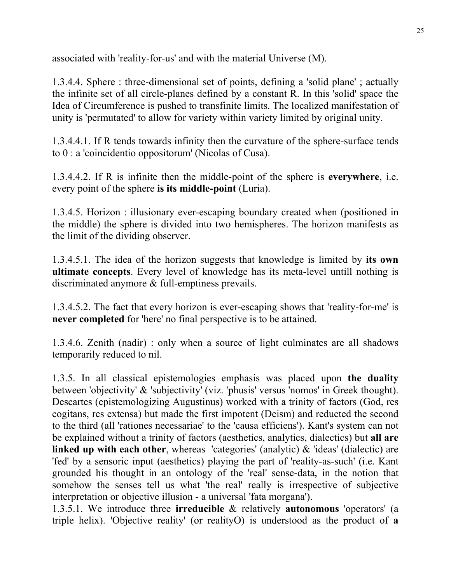associated with 'reality-for-us' and with the material Universe (M).

1.3.4.4. Sphere : three-dimensional set of points, defining a 'solid plane' ; actually the infinite set of all circle-planes defined by a constant R. In this 'solid' space the Idea of Circumference is pushed to transfinite limits. The localized manifestation of unity is 'permutated' to allow for variety within variety limited by original unity.

1.3.4.4.1. If R tends towards infinity then the curvature of the sphere-surface tends to 0 : a 'coincidentio oppositorum' (Nicolas of Cusa).

1.3.4.4.2. If R is infinite then the middle-point of the sphere is **everywhere**, i.e. every point of the sphere **is its middle-point** (Luria).

1.3.4.5. Horizon : illusionary ever-escaping boundary created when (positioned in the middle) the sphere is divided into two hemispheres. The horizon manifests as the limit of the dividing observer.

1.3.4.5.1. The idea of the horizon suggests that knowledge is limited by **its own ultimate concepts**. Every level of knowledge has its meta-level untill nothing is discriminated anymore & full-emptiness prevails.

1.3.4.5.2. The fact that every horizon is ever-escaping shows that 'reality-for-me' is **never completed** for 'here' no final perspective is to be attained.

1.3.4.6. Zenith (nadir) : only when a source of light culminates are all shadows temporarily reduced to nil.

1.3.5. In all classical epistemologies emphasis was placed upon **the duality** between 'objectivity' & 'subjectivity' (viz. 'phusis' versus 'nomos' in Greek thought). Descartes (epistemologizing Augustinus) worked with a trinity of factors (God, res cogitans, res extensa) but made the first impotent (Deism) and reducted the second to the third (all 'rationes necessariae' to the 'causa efficiens'). Kant's system can not be explained without a trinity of factors (aesthetics, analytics, dialectics) but **all are linked up with each other**, whereas 'categories' (analytic) & 'ideas' (dialectic) are 'fed' by a sensoric input (aesthetics) playing the part of 'reality-as-such' (i.e. Kant grounded his thought in an ontology of the 'real' sense-data, in the notion that somehow the senses tell us what 'the real' really is irrespective of subjective interpretation or objective illusion - a universal 'fata morgana').

1.3.5.1. We introduce three **irreducible** & relatively **autonomous** 'operators' (a triple helix). 'Objective reality' (or realityO) is understood as the product of **a**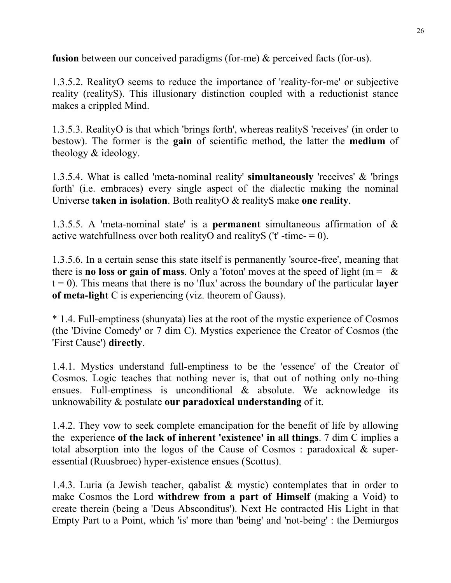**fusion** between our conceived paradigms (for-me) & perceived facts (for-us).

1.3.5.2. RealityO seems to reduce the importance of 'reality-for-me' or subjective reality (realityS). This illusionary distinction coupled with a reductionist stance makes a crippled Mind.

1.3.5.3. RealityO is that which 'brings forth', whereas realityS 'receives' (in order to bestow). The former is the **gain** of scientific method, the latter the **medium** of theology & ideology.

1.3.5.4. What is called 'meta-nominal reality' **simultaneously** 'receives' & 'brings forth' (i.e. embraces) every single aspect of the dialectic making the nominal Universe **taken in isolation**. Both realityO & realityS make **one reality**.

1.3.5.5. A 'meta-nominal state' is a **permanent** simultaneous affirmation of & active watchfullness over both realityO and realityS ( $'t'$  -time- = 0).

1.3.5.6. In a certain sense this state itself is permanently 'source-free', meaning that there is **no loss or gain of mass**. Only a 'foton' moves at the speed of light ( $m = \&$  $t = 0$ ). This means that there is no 'flux' across the boundary of the particular **layer of meta-light** C is experiencing (viz. theorem of Gauss).

\* 1.4. Full-emptiness (shunyata) lies at the root of the mystic experience of Cosmos (the 'Divine Comedy' or 7 dim C). Mystics experience the Creator of Cosmos (the 'First Cause') **directly**.

1.4.1. Mystics understand full-emptiness to be the 'essence' of the Creator of Cosmos. Logic teaches that nothing never is, that out of nothing only no-thing ensues. Full-emptiness is unconditional & absolute. We acknowledge its unknowability & postulate **our paradoxical understanding** of it.

1.4.2. They vow to seek complete emancipation for the benefit of life by allowing the experience **of the lack of inherent 'existence' in all things**. 7 dim C implies a total absorption into the logos of the Cause of Cosmos : paradoxical & superessential (Ruusbroec) hyper-existence ensues (Scottus).

1.4.3. Luria (a Jewish teacher, qabalist & mystic) contemplates that in order to make Cosmos the Lord **withdrew from a part of Himself** (making a Void) to create therein (being a 'Deus Absconditus'). Next He contracted His Light in that Empty Part to a Point, which 'is' more than 'being' and 'not-being' : the Demiurgos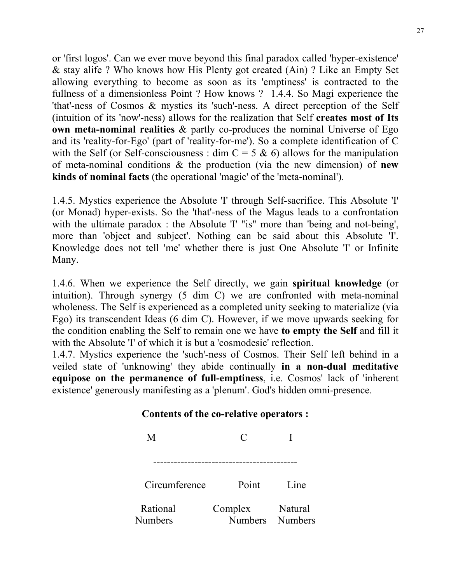or 'first logos'. Can we ever move beyond this final paradox called 'hyper-existence' & stay alife ? Who knows how His Plenty got created (Ain) ? Like an Empty Set allowing everything to become as soon as its 'emptiness' is contracted to the fullness of a dimensionless Point ? How knows ? 1.4.4. So Magi experience the 'that'-ness of Cosmos & mystics its 'such'-ness. A direct perception of the Self (intuition of its 'now'-ness) allows for the realization that Self **creates most of Its own meta-nominal realities** & partly co-produces the nominal Universe of Ego and its 'reality-for-Ego' (part of 'reality-for-me'). So a complete identification of C with the Self (or Self-consciousness : dim  $C = 5 \& 6$ ) allows for the manipulation of meta-nominal conditions & the production (via the new dimension) of **new kinds of nominal facts** (the operational 'magic' of the 'meta-nominal').

1.4.5. Mystics experience the Absolute 'I' through Self-sacrifice. This Absolute 'I' (or Monad) hyper-exists. So the 'that'-ness of the Magus leads to a confrontation with the ultimate paradox : the Absolute 'I' "is" more than 'being and not-being', more than 'object and subject'. Nothing can be said about this Absolute 'I'. Knowledge does not tell 'me' whether there is just One Absolute 'I' or Infinite Many.

1.4.6. When we experience the Self directly, we gain **spiritual knowledge** (or intuition). Through synergy (5 dim C) we are confronted with meta-nominal wholeness. The Self is experienced as a completed unity seeking to materialize (via Ego) its transcendent Ideas (6 dim C). However, if we move upwards seeking for the condition enabling the Self to remain one we have **to empty the Self** and fill it with the Absolute 'I' of which it is but a 'cosmodesic' reflection.

1.4.7. Mystics experience the 'such'-ness of Cosmos. Their Self left behind in a veiled state of 'unknowing' they abide continually **in a non-dual meditative equipose on the permanence of full-emptiness**, i.e. Cosmos' lack of 'inherent existence' generously manifesting as a 'plenum'. God's hidden omni-presence.

#### **Contents of the co-relative operators :**

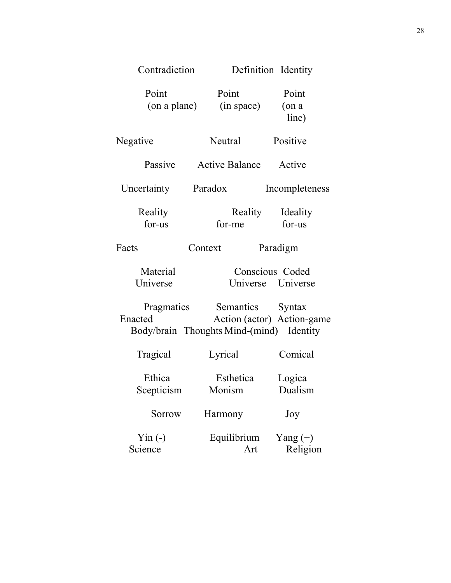| Contradiction         | Definition Identity                                                                        |                            |
|-----------------------|--------------------------------------------------------------------------------------------|----------------------------|
| Point<br>(on a plane) | Point<br>(in space)                                                                        | Point<br>$($ on a<br>line) |
| Negative              | Neutral                                                                                    | Positive                   |
| Passive               | <b>Active Balance</b>                                                                      | Active                     |
| Uncertainty           | Paradox                                                                                    | Incompleteness             |
| Reality<br>for-us     | Reality Ideality<br>for-me                                                                 | for-us                     |
| Facts                 | Context                                                                                    | Paradigm                   |
| Material<br>Universe  | Conscious Coded<br>Universe Universe                                                       |                            |
| Pragmatics<br>Enacted | Semantics Syntax<br>Action (actor) Action-game<br>Body/brain Thoughts Mind-(mind) Identity |                            |
| Tragical              | Lyrical                                                                                    | Comical                    |
| Ethica<br>Scepticism  | Esthetica<br>Monism                                                                        | Logica<br>Dualism          |
| Sorrow                | Harmony                                                                                    | Joy                        |
| $Yin (-)$<br>Science  | Equilibrium<br>Art                                                                         | Yang $(+)$<br>Religion     |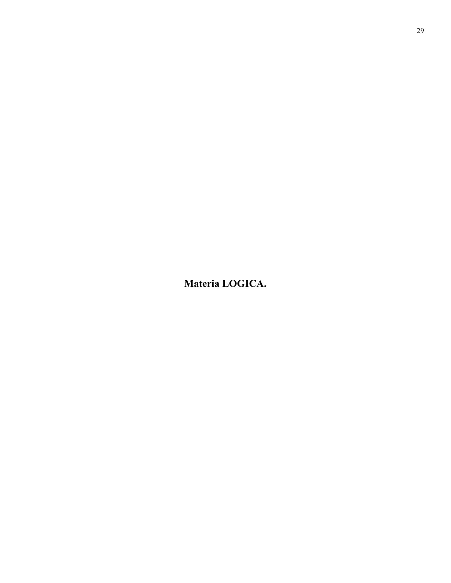**Materia LOGICA.**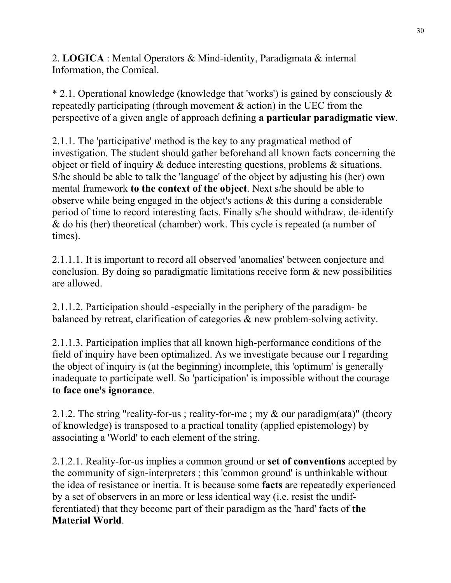2. **LOGICA** : Mental Operators & Mind-identity, Paradigmata & internal Information, the Comical.

\* 2.1. Operational knowledge (knowledge that 'works') is gained by consciously & repeatedly participating (through movement & action) in the UEC from the perspective of a given angle of approach defining **a particular paradigmatic view**.

2.1.1. The 'participative' method is the key to any pragmatical method of investigation. The student should gather beforehand all known facts concerning the object or field of inquiry & deduce interesting questions, problems & situations. S/he should be able to talk the 'language' of the object by adjusting his (her) own mental framework **to the context of the object**. Next s/he should be able to observe while being engaged in the object's actions & this during a considerable period of time to record interesting facts. Finally s/he should withdraw, de-identify & do his (her) theoretical (chamber) work. This cycle is repeated (a number of times).

2.1.1.1. It is important to record all observed 'anomalies' between conjecture and conclusion. By doing so paradigmatic limitations receive form & new possibilities are allowed.

2.1.1.2. Participation should -especially in the periphery of the paradigm- be balanced by retreat, clarification of categories & new problem-solving activity.

2.1.1.3. Participation implies that all known high-performance conditions of the field of inquiry have been optimalized. As we investigate because our I regarding the object of inquiry is (at the beginning) incomplete, this 'optimum' is generally inadequate to participate well. So 'participation' is impossible without the courage **to face one's ignorance**.

2.1.2. The string "reality-for-us ; reality-for-me ; my & our paradigm(ata)" (theory of knowledge) is transposed to a practical tonality (applied epistemology) by associating a 'World' to each element of the string.

2.1.2.1. Reality-for-us implies a common ground or **set of conventions** accepted by the community of sign-interpreters ; this 'common ground' is unthinkable without the idea of resistance or inertia. It is because some **facts** are repeatedly experienced by a set of observers in an more or less identical way (i.e. resist the undifferentiated) that they become part of their paradigm as the 'hard' facts of **the Material World**.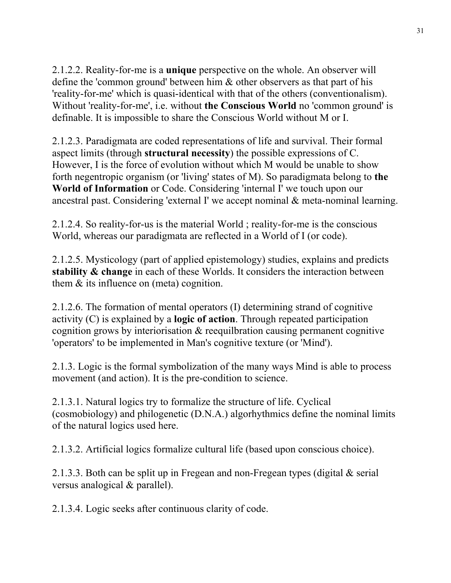2.1.2.2. Reality-for-me is a **unique** perspective on the whole. An observer will define the 'common ground' between him & other observers as that part of his 'reality-for-me' which is quasi-identical with that of the others (conventionalism). Without 'reality-for-me', i.e. without **the Conscious World** no 'common ground' is definable. It is impossible to share the Conscious World without M or I.

2.1.2.3. Paradigmata are coded representations of life and survival. Their formal aspect limits (through **structural necessity**) the possible expressions of C. However, I is the force of evolution without which M would be unable to show forth negentropic organism (or 'living' states of M). So paradigmata belong to **the World of Information** or Code. Considering 'internal I' we touch upon our ancestral past. Considering 'external I' we accept nominal & meta-nominal learning.

2.1.2.4. So reality-for-us is the material World ; reality-for-me is the conscious World, whereas our paradigmata are reflected in a World of I (or code).

2.1.2.5. Mysticology (part of applied epistemology) studies, explains and predicts **stability & change** in each of these Worlds. It considers the interaction between them & its influence on (meta) cognition.

2.1.2.6. The formation of mental operators (I) determining strand of cognitive activity (C) is explained by a **logic of action**. Through repeated participation cognition grows by interiorisation & reequilbration causing permanent cognitive 'operators' to be implemented in Man's cognitive texture (or 'Mind').

2.1.3. Logic is the formal symbolization of the many ways Mind is able to process movement (and action). It is the pre-condition to science.

2.1.3.1. Natural logics try to formalize the structure of life. Cyclical (cosmobiology) and philogenetic (D.N.A.) algorhythmics define the nominal limits of the natural logics used here.

2.1.3.2. Artificial logics formalize cultural life (based upon conscious choice).

2.1.3.3. Both can be split up in Fregean and non-Fregean types (digital & serial versus analogical & parallel).

2.1.3.4. Logic seeks after continuous clarity of code.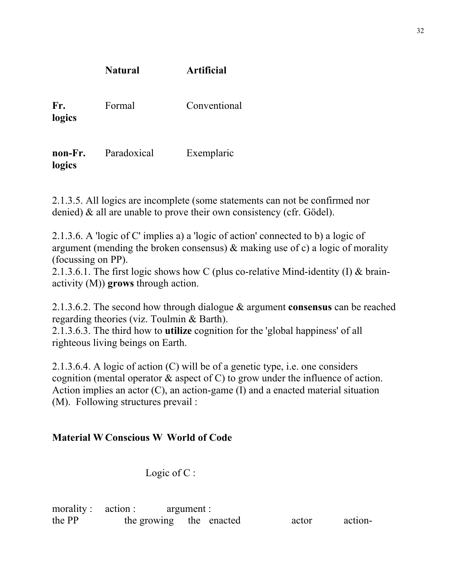| Fr.<br>logics     | Formal      | Conventional |
|-------------------|-------------|--------------|
| non-Fr.<br>logics | Paradoxical | Exemplaric   |

**Natural Artificial** 

2.1.3.5. All logics are incomplete (some statements can not be confirmed nor denied) & all are unable to prove their own consistency (cfr. Gödel).

2.1.3.6. A 'logic of C' implies a) a 'logic of action' connected to b) a logic of argument (mending the broken consensus) & making use of c) a logic of morality (focussing on PP).

2.1.3.6.1. The first logic shows how C (plus co-relative Mind-identity (I) & brainactivity (M)) **grows** through action.

2.1.3.6.2. The second how through dialogue & argument **consensus** can be reached regarding theories (viz. Toulmin & Barth).

2.1.3.6.3. The third how to **utilize** cognition for the 'global happiness' of all righteous living beings on Earth.

2.1.3.6.4. A logic of action (C) will be of a genetic type, i.e. one considers cognition (mental operator & aspect of C) to grow under the influence of action. Action implies an actor (C), an action-game (I) and a enacted material situation (M). Following structures prevail :

## **Material W Conscious W World of Code**

Logic of C:

morality : action : argument : the PP the growing the enacted actor action-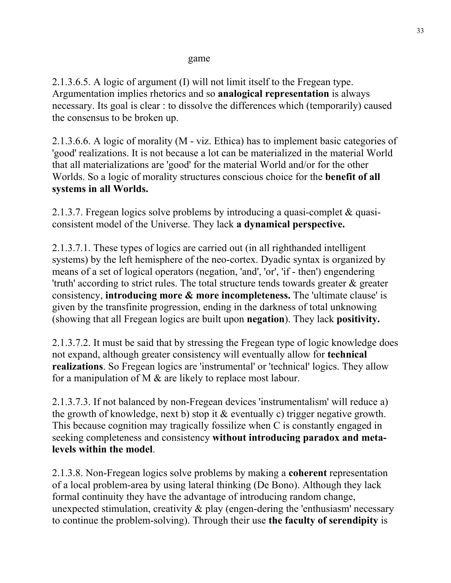#### game

2.1.3.6.5. A logic of argument (I) will not limit itself to the Fregean type. Argumentation implies rhetorics and so **analogical representation** is always necessary. Its goal is clear : to dissolve the differences which (temporarily) caused the consensus to be broken up.

2.1.3.6.6. A logic of morality (M - viz. Ethica) has to implement basic categories of 'good' realizations. It is not because a lot can be materialized in the material World that all materializations are 'good' for the material World and/or for the other Worlds. So a logic of morality structures conscious choice for the **benefit of all systems in all Worlds.** 

2.1.3.7. Fregean logics solve problems by introducing a quasi-complet & quasiconsistent model of the Universe. They lack **a dynamical perspective.** 

2.1.3.7.1. These types of logics are carried out (in all righthanded intelligent systems) by the left hemisphere of the neo-cortex. Dyadic syntax is organized by means of a set of logical operators (negation, 'and', 'or', 'if - then') engendering 'truth' according to strict rules. The total structure tends towards greater & greater consistency, **introducing more & more incompleteness.** The 'ultimate clause' is given by the transfinite progression, ending in the darkness of total unknowing (showing that all Fregean logics are built upon **negation**). They lack **positivity.** 

2.1.3.7.2. It must be said that by stressing the Fregean type of logic knowledge does not expand, although greater consistency will eventually allow for **technical realizations**. So Fregean logics are 'instrumental' or 'technical' logics. They allow for a manipulation of M & are likely to replace most labour.

2.1.3.7.3. If not balanced by non-Fregean devices 'instrumentalism' will reduce a) the growth of knowledge, next b) stop it & eventually c) trigger negative growth. This because cognition may tragically fossilize when C is constantly engaged in seeking completeness and consistency **without introducing paradox and metalevels within the model**.

2.1.3.8. Non-Fregean logics solve problems by making a **coherent** representation of a local problem-area by using lateral thinking (De Bono). Although they lack formal continuity they have the advantage of introducing random change, unexpected stimulation, creativity  $\&$  play (engen-dering the 'enthusiasm' necessary to continue the problem-solving). Through their use **the faculty of serendipity** is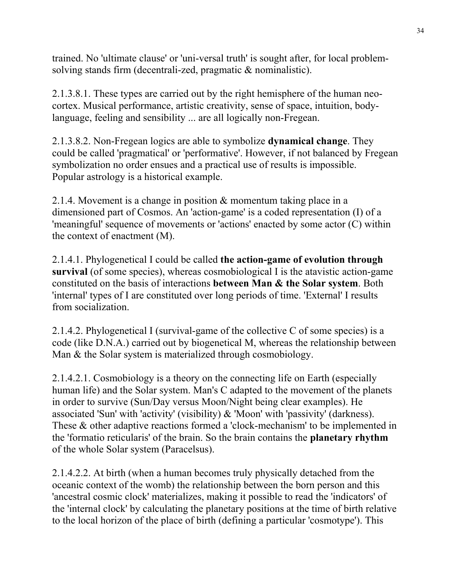trained. No 'ultimate clause' or 'uni-versal truth' is sought after, for local problemsolving stands firm (decentrali-zed, pragmatic & nominalistic).

2.1.3.8.1. These types are carried out by the right hemisphere of the human neocortex. Musical performance, artistic creativity, sense of space, intuition, bodylanguage, feeling and sensibility ... are all logically non-Fregean.

2.1.3.8.2. Non-Fregean logics are able to symbolize **dynamical change**. They could be called 'pragmatical' or 'performative'. However, if not balanced by Fregean symbolization no order ensues and a practical use of results is impossible. Popular astrology is a historical example.

2.1.4. Movement is a change in position & momentum taking place in a dimensioned part of Cosmos. An 'action-game' is a coded representation (I) of a 'meaningful' sequence of movements or 'actions' enacted by some actor (C) within the context of enactment (M).

2.1.4.1. Phylogenetical I could be called **the action-game of evolution through survival** (of some species), whereas cosmobiological I is the atavistic action-game constituted on the basis of interactions **between Man & the Solar system**. Both 'internal' types of I are constituted over long periods of time. 'External' I results from socialization.

2.1.4.2. Phylogenetical I (survival-game of the collective C of some species) is a code (like D.N.A.) carried out by biogenetical M, whereas the relationship between Man & the Solar system is materialized through cosmobiology.

2.1.4.2.1. Cosmobiology is a theory on the connecting life on Earth (especially human life) and the Solar system. Man's C adapted to the movement of the planets in order to survive (Sun/Day versus Moon/Night being clear examples). He associated 'Sun' with 'activity' (visibility) & 'Moon' with 'passivity' (darkness). These & other adaptive reactions formed a 'clock-mechanism' to be implemented in the 'formatio reticularis' of the brain. So the brain contains the **planetary rhythm** of the whole Solar system (Paracelsus).

2.1.4.2.2. At birth (when a human becomes truly physically detached from the oceanic context of the womb) the relationship between the born person and this 'ancestral cosmic clock' materializes, making it possible to read the 'indicators' of the 'internal clock' by calculating the planetary positions at the time of birth relative to the local horizon of the place of birth (defining a particular 'cosmotype'). This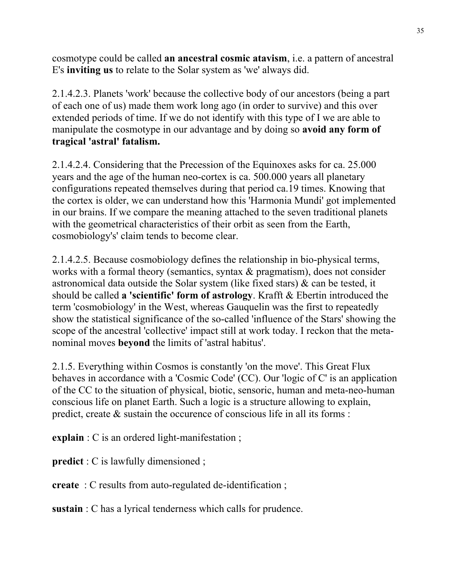cosmotype could be called **an ancestral cosmic atavism**, i.e. a pattern of ancestral E's **inviting us** to relate to the Solar system as 'we' always did.

2.1.4.2.3. Planets 'work' because the collective body of our ancestors (being a part of each one of us) made them work long ago (in order to survive) and this over extended periods of time. If we do not identify with this type of I we are able to manipulate the cosmotype in our advantage and by doing so **avoid any form of tragical 'astral' fatalism.** 

2.1.4.2.4. Considering that the Precession of the Equinoxes asks for ca. 25.000 years and the age of the human neo-cortex is ca. 500.000 years all planetary configurations repeated themselves during that period ca.19 times. Knowing that the cortex is older, we can understand how this 'Harmonia Mundi' got implemented in our brains. If we compare the meaning attached to the seven traditional planets with the geometrical characteristics of their orbit as seen from the Earth, cosmobiology's' claim tends to become clear.

2.1.4.2.5. Because cosmobiology defines the relationship in bio-physical terms, works with a formal theory (semantics, syntax & pragmatism), does not consider astronomical data outside the Solar system (like fixed stars) & can be tested, it should be called **a 'scientific' form of astrology**. Krafft & Ebertin introduced the term 'cosmobiology' in the West, whereas Gauquelin was the first to repeatedly show the statistical significance of the so-called 'influence of the Stars' showing the scope of the ancestral 'collective' impact still at work today. I reckon that the metanominal moves **beyond** the limits of 'astral habitus'.

2.1.5. Everything within Cosmos is constantly 'on the move'. This Great Flux behaves in accordance with a 'Cosmic Code' (CC). Our 'logic of C' is an application of the CC to the situation of physical, biotic, sensoric, human and meta-neo-human conscious life on planet Earth. Such a logic is a structure allowing to explain, predict, create & sustain the occurence of conscious life in all its forms :

**explain** : C is an ordered light-manifestation ;

**predict** : C is lawfully dimensioned ;

**create** : C results from auto-regulated de-identification ;

**sustain** : C has a lyrical tenderness which calls for prudence.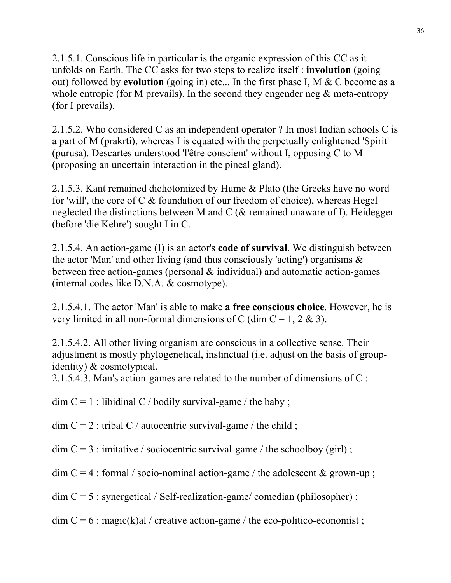2.1.5.1. Conscious life in particular is the organic expression of this CC as it unfolds on Earth. The CC asks for two steps to realize itself : **involution** (going out) followed by **evolution** (going in) etc... In the first phase I, M & C become as a whole entropic (for M prevails). In the second they engender neg  $\&$  meta-entropy (for I prevails).

2.1.5.2. Who considered C as an independent operator ? In most Indian schools C is a part of M (prakrti), whereas I is equated with the perpetually enlightened 'Spirit' (purusa). Descartes understood 'l'être conscient' without I, opposing C to M (proposing an uncertain interaction in the pineal gland).

2.1.5.3. Kant remained dichotomized by Hume & Plato (the Greeks have no word for 'will', the core of C & foundation of our freedom of choice), whereas Hegel neglected the distinctions between M and C (& remained unaware of I). Heidegger (before 'die Kehre') sought I in C.

2.1.5.4. An action-game (I) is an actor's **code of survival**. We distinguish between the actor 'Man' and other living (and thus consciously 'acting') organisms & between free action-games (personal  $\&$  individual) and automatic action-games (internal codes like D.N.A. & cosmotype).

2.1.5.4.1. The actor 'Man' is able to make **a free conscious choice**. However, he is very limited in all non-formal dimensions of C (dim  $C = 1, 2 \& 3$ ).

2.1.5.4.2. All other living organism are conscious in a collective sense. Their adjustment is mostly phylogenetical, instinctual (i.e. adjust on the basis of groupidentity) & cosmotypical.

2.1.5.4.3. Man's action-games are related to the number of dimensions of C :

 $\dim C = 1$ : libidinal C / bodily survival-game / the baby;

 $\dim C = 2$ : tribal C / autocentric survival-game / the child ;

 $\dim C = 3$ : imitative / sociocentric survival-game / the schoolboy (girl);

 $\dim C = 4$ : formal / socio-nominal action-game / the adolescent & grown-up;

 $\dim C = 5$ : synergetical / Self-realization-game/ comedian (philosopher);

 $\dim C = 6$ : magic(k)al / creative action-game / the eco-politico-economist;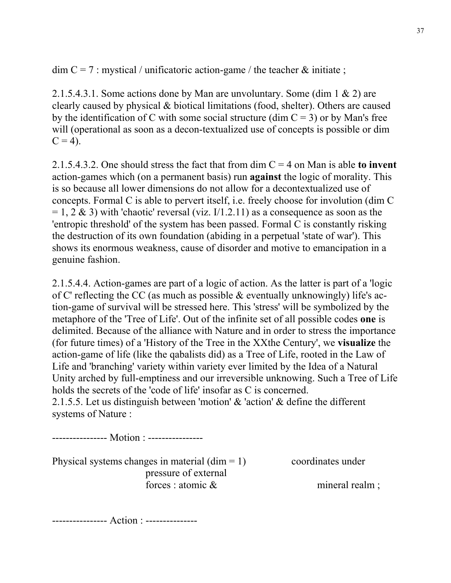$\dim C = 7$ : mystical / unificatoric action-game / the teacher & initiate;

2.1.5.4.3.1. Some actions done by Man are unvoluntary. Some (dim 1 & 2) are clearly caused by physical & biotical limitations (food, shelter). Others are caused by the identification of C with some social structure (dim  $C = 3$ ) or by Man's free will (operational as soon as a decon-textualized use of concepts is possible or dim  $C = 4$ ).

2.1.5.4.3.2. One should stress the fact that from dim C = 4 on Man is able **to invent** action-games which (on a permanent basis) run **against** the logic of morality. This is so because all lower dimensions do not allow for a decontextualized use of concepts. Formal C is able to pervert itself, i.e. freely choose for involution (dim C  $= 1, 2 \& 3$ ) with 'chaotic' reversal (viz. I/1.2.11) as a consequence as soon as the 'entropic threshold' of the system has been passed. Formal C is constantly risking the destruction of its own foundation (abiding in a perpetual 'state of war'). This shows its enormous weakness, cause of disorder and motive to emancipation in a genuine fashion.

2.1.5.4.4. Action-games are part of a logic of action. As the latter is part of a 'logic of C' reflecting the CC (as much as possible & eventually unknowingly) life's action-game of survival will be stressed here. This 'stress' will be symbolized by the metaphore of the 'Tree of Life'. Out of the infinite set of all possible codes **one** is delimited. Because of the alliance with Nature and in order to stress the importance (for future times) of a 'History of the Tree in the XXthe Century', we **visualize** the action-game of life (like the qabalists did) as a Tree of Life, rooted in the Law of Life and 'branching' variety within variety ever limited by the Idea of a Natural Unity arched by full-emptiness and our irreversible unknowing. Such a Tree of Life holds the secrets of the 'code of life' insofar as C is concerned. 2.1.5.5. Let us distinguish between 'motion' & 'action' & define the different

systems of Nature :

---------------- Motion : ----------------

Physical systems changes in material  $(\text{dim} = 1)$  coordinates under pressure of external forces : atomic & mineral realm ;

---------------- Action : ---------------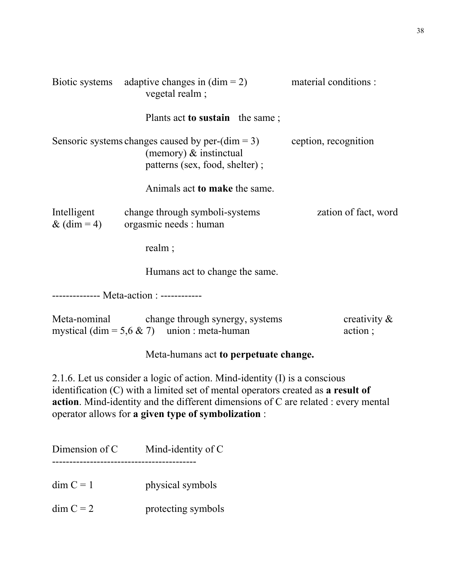| Biotic systems adaptive changes in $(\text{dim} = 2)$<br>vegetal realm; |                                                                                                                           | material conditions :      |
|-------------------------------------------------------------------------|---------------------------------------------------------------------------------------------------------------------------|----------------------------|
|                                                                         | Plants act <b>to sustain</b> the same;                                                                                    |                            |
|                                                                         | Sensoric systems changes caused by per- $(\text{dim} = 3)$<br>(memory) $\&$ instinctual<br>patterns (sex, food, shelter); | ception, recognition       |
|                                                                         | Animals act to make the same.                                                                                             |                            |
| Intelligent<br>& $(\text{dim} = 4)$                                     | change through symboli-systems<br>orgasmic needs : human                                                                  | zation of fact, word       |
|                                                                         | realm;                                                                                                                    |                            |
|                                                                         | Humans act to change the same.                                                                                            |                            |
|                                                                         |                                                                                                                           |                            |
| Meta-nominal                                                            | change through synergy, systems<br>mystical (dim = $5.6 \& 7$ ) union : meta-human                                        | creativity $\&$<br>action; |

## Meta-humans act **to perpetuate change.**

2.1.6. Let us consider a logic of action. Mind-identity (I) is a conscious identification (C) with a limited set of mental operators created as **a result of action**. Mind-identity and the different dimensions of C are related : every mental operator allows for **a given type of symbolization** :

| Dimension of C | Mind-identity of C |
|----------------|--------------------|
| $dim C = 1$    | physical symbols   |
| $dim C = 2$    | protecting symbols |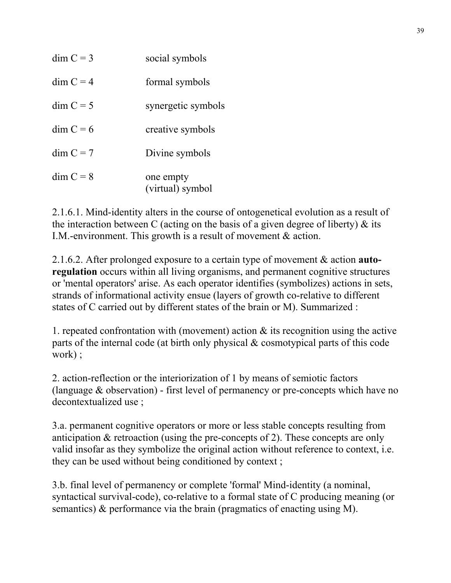| $\dim C = 3$ | social symbols                |
|--------------|-------------------------------|
| $dim C = 4$  | formal symbols                |
| $dim C = 5$  | synergetic symbols            |
| $\dim C = 6$ | creative symbols              |
| $\dim C = 7$ | Divine symbols                |
| $dim C = 8$  | one empty<br>(virtual) symbol |

2.1.6.1. Mind-identity alters in the course of ontogenetical evolution as a result of the interaction between C (acting on the basis of a given degree of liberty)  $\&$  its I.M.-environment. This growth is a result of movement & action.

2.1.6.2. After prolonged exposure to a certain type of movement & action **autoregulation** occurs within all living organisms, and permanent cognitive structures or 'mental operators' arise. As each operator identifies (symbolizes) actions in sets, strands of informational activity ensue (layers of growth co-relative to different states of C carried out by different states of the brain or M). Summarized :

1. repeated confrontation with (movement) action & its recognition using the active parts of the internal code (at birth only physical & cosmotypical parts of this code work) ;

2. action-reflection or the interiorization of 1 by means of semiotic factors (language & observation) - first level of permanency or pre-concepts which have no decontextualized use ;

3.a. permanent cognitive operators or more or less stable concepts resulting from anticipation & retroaction (using the pre-concepts of 2). These concepts are only valid insofar as they symbolize the original action without reference to context, i.e. they can be used without being conditioned by context ;

3.b. final level of permanency or complete 'formal' Mind-identity (a nominal, syntactical survival-code), co-relative to a formal state of C producing meaning (or semantics) & performance via the brain (pragmatics of enacting using M).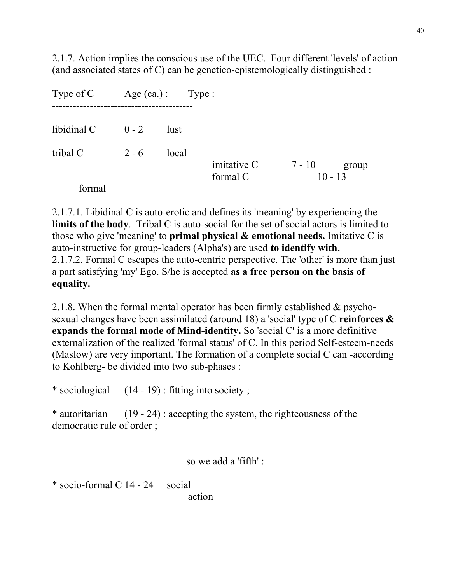2.1.7. Action implies the conscious use of the UEC. Four different 'levels' of action (and associated states of C) can be genetico-epistemologically distinguished :

| Type of C   |         | $Age (ca.): \tType:$ |                         |                              |
|-------------|---------|----------------------|-------------------------|------------------------------|
| libidinal C | $0 - 2$ | lust                 |                         |                              |
| tribal C    | $2 - 6$ | local                |                         |                              |
| formal      |         |                      | imitative C<br>formal C | 7 - 10<br>group<br>$10 - 13$ |

2.1.7.1. Libidinal C is auto-erotic and defines its 'meaning' by experiencing the **limits of the body**. Tribal C is auto-social for the set of social actors is limited to those who give 'meaning' to **primal physical & emotional needs.** Imitative C is auto-instructive for group-leaders (Alpha's) are used **to identify with.** 2.1.7.2. Formal C escapes the auto-centric perspective. The 'other' is more than just a part satisfying 'my' Ego. S/he is accepted **as a free person on the basis of equality.**

2.1.8. When the formal mental operator has been firmly established & psychosexual changes have been assimilated (around 18) a 'social' type of C **reinforces & expands the formal mode of Mind-identity.** So 'social C' is a more definitive externalization of the realized 'formal status' of C. In this period Self-esteem-needs (Maslow) are very important. The formation of a complete social C can -according to Kohlberg- be divided into two sub-phases :

\* sociological (14 - 19) : fitting into society ;

\* autoritarian (19 - 24) : accepting the system, the righteousness of the democratic rule of order ;

so we add a 'fifth' :

\* socio-formal C 14 - 24 social

action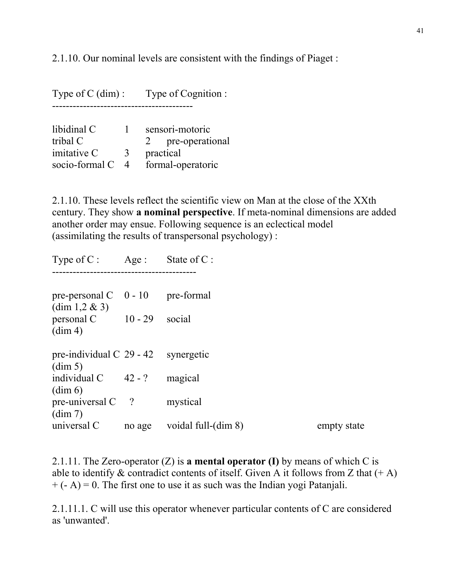2.1.10. Our nominal levels are consistent with the findings of Piaget :

Type of C (dim) : Type of Cognition : ---------------------------------------- libidinal C 1 sensori-motoric tribal C<br>imitative C<br>3 practical<br>practical imitative  $C$ socio-formal C 4 formal-operatoric

2.1.10. These levels reflect the scientific view on Man at the close of the XXth century. They show **a nominal perspective**. If meta-nominal dimensions are added another order may ensue. Following sequence is an eclectical model (assimilating the results of transpersonal psychology) :

Type of  $C$  : Age : State of  $C$  : ----------------------------------------- pre-personal  $C \quad 0 - 10$  pre-formal  $(\dim 1, 2 \& 3)$ personal C 10 - 29 social  $(\dim 4)$ pre-individual  $C$  29 - 42 synergetic (dim 5) individual  $C = 42 - ?$  magical (dim 6) pre-universal C ? mystical (dim 7) universal C and age voidal full-(dim 8) empty state

2.1.11. The Zero-operator (Z) is **a mental operator (I)** by means of which C is able to identify  $\&$  contradict contents of itself. Given A it follows from Z that  $(+ A)$  $+ (- A) = 0$ . The first one to use it as such was the Indian yogi Patanjali.

2.1.11.1. C will use this operator whenever particular contents of C are considered as 'unwanted'.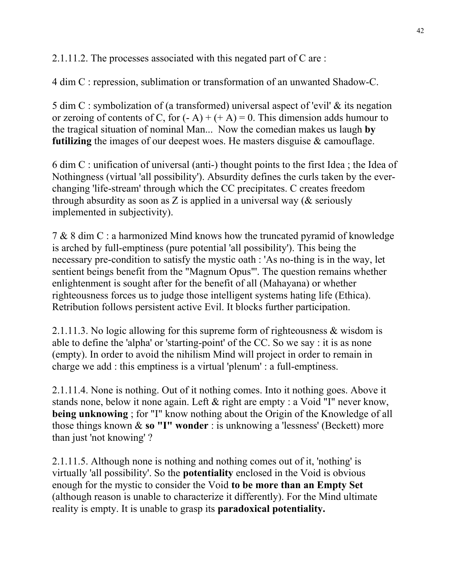2.1.11.2. The processes associated with this negated part of C are :

4 dim C : repression, sublimation or transformation of an unwanted Shadow-C.

5 dim C : symbolization of (a transformed) universal aspect of 'evil' & its negation or zeroing of contents of C, for  $(-A) + (+A) = 0$ . This dimension adds humour to the tragical situation of nominal Man... Now the comedian makes us laugh **by futilizing** the images of our deepest woes. He masters disguise & camouflage.

6 dim C : unification of universal (anti-) thought points to the first Idea ; the Idea of Nothingness (virtual 'all possibility'). Absurdity defines the curls taken by the everchanging 'life-stream' through which the CC precipitates. C creates freedom through absurdity as soon as Z is applied in a universal way ( $&$  seriously implemented in subjectivity).

7 & 8 dim C : a harmonized Mind knows how the truncated pyramid of knowledge is arched by full-emptiness (pure potential 'all possibility'). This being the necessary pre-condition to satisfy the mystic oath : 'As no-thing is in the way, let sentient beings benefit from the "Magnum Opus"'. The question remains whether enlightenment is sought after for the benefit of all (Mahayana) or whether righteousness forces us to judge those intelligent systems hating life (Ethica). Retribution follows persistent active Evil. It blocks further participation.

2.1.11.3. No logic allowing for this supreme form of righteousness & wisdom is able to define the 'alpha' or 'starting-point' of the CC. So we say : it is as none (empty). In order to avoid the nihilism Mind will project in order to remain in charge we add : this emptiness is a virtual 'plenum' : a full-emptiness.

2.1.11.4. None is nothing. Out of it nothing comes. Into it nothing goes. Above it stands none, below it none again. Left & right are empty : a Void "I" never know, **being unknowing**; for "I" know nothing about the Origin of the Knowledge of all those things known & **so "I" wonder** : is unknowing a 'lessness' (Beckett) more than just 'not knowing' ?

2.1.11.5. Although none is nothing and nothing comes out of it, 'nothing' is virtually 'all possibility'. So the **potentiality** enclosed in the Void is obvious enough for the mystic to consider the Void **to be more than an Empty Set** (although reason is unable to characterize it differently). For the Mind ultimate reality is empty. It is unable to grasp its **paradoxical potentiality.**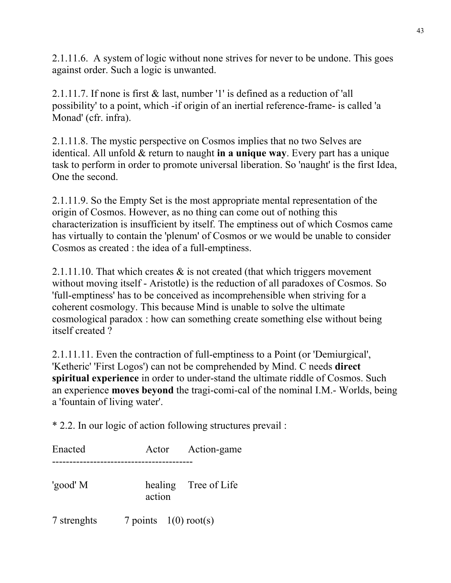2.1.11.6. A system of logic without none strives for never to be undone. This goes against order. Such a logic is unwanted.

2.1.11.7. If none is first & last, number '1' is defined as a reduction of 'all possibility' to a point, which -if origin of an inertial reference-frame- is called 'a Monad' (cfr. infra).

2.1.11.8. The mystic perspective on Cosmos implies that no two Selves are identical. All unfold & return to naught **in a unique way**. Every part has a unique task to perform in order to promote universal liberation. So 'naught' is the first Idea, One the second.

2.1.11.9. So the Empty Set is the most appropriate mental representation of the origin of Cosmos. However, as no thing can come out of nothing this characterization is insufficient by itself. The emptiness out of which Cosmos came has virtually to contain the 'plenum' of Cosmos or we would be unable to consider Cosmos as created : the idea of a full-emptiness.

2.1.11.10. That which creates  $\&$  is not created (that which triggers movement without moving itself - Aristotle) is the reduction of all paradoxes of Cosmos. So 'full-emptiness' has to be conceived as incomprehensible when striving for a coherent cosmology. This because Mind is unable to solve the ultimate cosmological paradox : how can something create something else without being itself created ?

2.1.11.11. Even the contraction of full-emptiness to a Point (or 'Demiurgical', 'Ketheric' 'First Logos') can not be comprehended by Mind. C needs **direct spiritual experience** in order to under-stand the ultimate riddle of Cosmos. Such an experience **moves beyond** the tragi-comi-cal of the nominal I.M.- Worlds, being a 'fountain of living water'.

\* 2.2. In our logic of action following structures prevail :

Enacted Actor Action-game ----------------------------------------- 'good' M healing Tree of Life action 7 strenghts 7 points 1(0) root(s)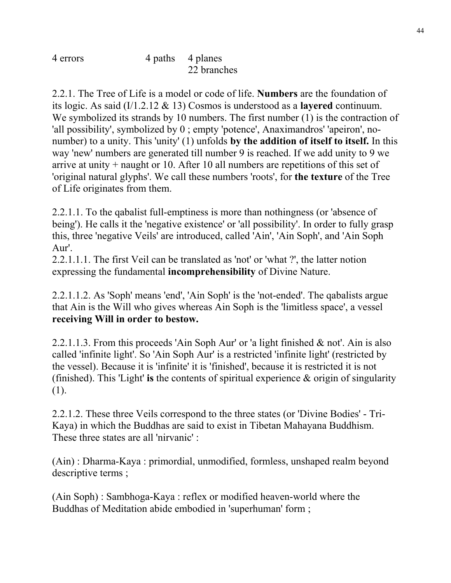4 errors 4 paths 4 planes 22 branches

2.2.1. The Tree of Life is a model or code of life. **Numbers** are the foundation of its logic. As said (I/1.2.12 & 13) Cosmos is understood as a **layered** continuum. We symbolized its strands by 10 numbers. The first number (1) is the contraction of 'all possibility', symbolized by 0 ; empty 'potence', Anaximandros' 'apeiron', nonumber) to a unity. This 'unity' (1) unfolds **by the addition of itself to itself.** In this way 'new' numbers are generated till number 9 is reached. If we add unity to 9 we arrive at unity + naught or 10. After 10 all numbers are repetitions of this set of 'original natural glyphs'. We call these numbers 'roots', for **the texture** of the Tree of Life originates from them.

2.2.1.1. To the qabalist full-emptiness is more than nothingness (or 'absence of being'). He calls it the 'negative existence' or 'all possibility'. In order to fully grasp this, three 'negative Veils' are introduced, called 'Ain', 'Ain Soph', and 'Ain Soph Aur'.

2.2.1.1.1. The first Veil can be translated as 'not' or 'what ?', the latter notion expressing the fundamental **incomprehensibility** of Divine Nature.

2.2.1.1.2. As 'Soph' means 'end', 'Ain Soph' is the 'not-ended'. The qabalists argue that Ain is the Will who gives whereas Ain Soph is the 'limitless space', a vessel **receiving Will in order to bestow.** 

2.2.1.1.3. From this proceeds 'Ain Soph Aur' or 'a light finished & not'. Ain is also called 'infinite light'. So 'Ain Soph Aur' is a restricted 'infinite light' (restricted by the vessel). Because it is 'infinite' it is 'finished', because it is restricted it is not (finished). This 'Light' **is** the contents of spiritual experience & origin of singularity (1).

2.2.1.2. These three Veils correspond to the three states (or 'Divine Bodies' - Tri-Kaya) in which the Buddhas are said to exist in Tibetan Mahayana Buddhism. These three states are all 'nirvanic' :

(Ain) : Dharma-Kaya : primordial, unmodified, formless, unshaped realm beyond descriptive terms ;

(Ain Soph) : Sambhoga-Kaya : reflex or modified heaven-world where the Buddhas of Meditation abide embodied in 'superhuman' form ;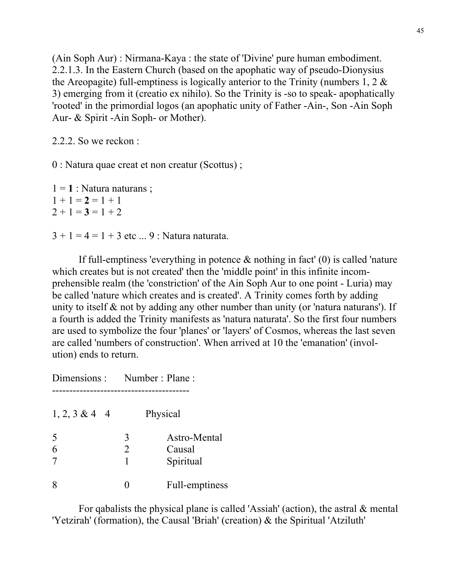(Ain Soph Aur) : Nirmana-Kaya : the state of 'Divine' pure human embodiment. 2.2.1.3. In the Eastern Church (based on the apophatic way of pseudo-Dionysius the Areopagite) full-emptiness is logically anterior to the Trinity (numbers  $1, 2 \&$ 3) emerging from it (creatio ex nihilo). So the Trinity is -so to speak- apophatically 'rooted' in the primordial logos (an apophatic unity of Father -Ain-, Son -Ain Soph Aur- & Spirit -Ain Soph- or Mother).

2.2.2. So we reckon :

0 : Natura quae creat et non creatur (Scottus) ;

 $1 = 1$  : Natura naturans ;  $1 + 1 = 2 = 1 + 1$  $2 + 1 = 3 = 1 + 2$  $3 + 1 = 4 = 1 + 3$  etc ... 9 : Natura naturata.

If full-emptiness 'everything in potence  $\&$  nothing in fact' (0) is called 'nature which creates but is not created' then the 'middle point' in this infinite incomprehensible realm (the 'constriction' of the Ain Soph Aur to one point - Luria) may be called 'nature which creates and is created'. A Trinity comes forth by adding unity to itself  $\&$  not by adding any other number than unity (or 'natura naturans'). If a fourth is added the Trinity manifests as 'natura naturata'. So the first four numbers are used to symbolize the four 'planes' or 'layers' of Cosmos, whereas the last seven are called 'numbers of construction'. When arrived at 10 the 'emanation' (involution) ends to return.

Dimensions : Number : Plane : ---------------------------------------- 1, 2, 3 & 4 4 Physical

| 5<br>6 | Astro-Mental<br>Causal<br>Spiritual |
|--------|-------------------------------------|
| 8      | Full-emptiness                      |

 For qabalists the physical plane is called 'Assiah' (action), the astral & mental 'Yetzirah' (formation), the Causal 'Briah' (creation) & the Spiritual 'Atziluth'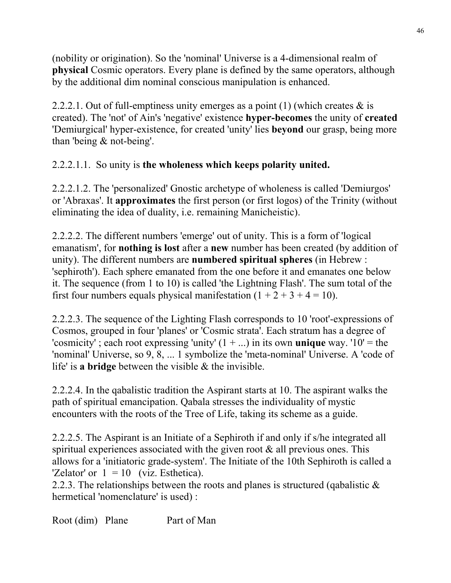(nobility or origination). So the 'nominal' Universe is a 4-dimensional realm of **physical** Cosmic operators. Every plane is defined by the same operators, although by the additional dim nominal conscious manipulation is enhanced.

2.2.2.1. Out of full-emptiness unity emerges as a point (1) (which creates  $\&$  is created). The 'not' of Ain's 'negative' existence **hyper-becomes** the unity of **created** 'Demiurgical' hyper-existence, for created 'unity' lies **beyond** our grasp, being more than 'being & not-being'.

## 2.2.2.1.1. So unity is **the wholeness which keeps polarity united.**

2.2.2.1.2. The 'personalized' Gnostic archetype of wholeness is called 'Demiurgos' or 'Abraxas'. It **approximates** the first person (or first logos) of the Trinity (without eliminating the idea of duality, i.e. remaining Manicheistic).

2.2.2.2. The different numbers 'emerge' out of unity. This is a form of 'logical emanatism', for **nothing is lost** after a **new** number has been created (by addition of unity). The different numbers are **numbered spiritual spheres** (in Hebrew : 'sephiroth'). Each sphere emanated from the one before it and emanates one below it. The sequence (from 1 to 10) is called 'the Lightning Flash'. The sum total of the first four numbers equals physical manifestation  $(1 + 2 + 3 + 4 = 10)$ .

2.2.2.3. The sequence of the Lighting Flash corresponds to 10 'root'-expressions of Cosmos, grouped in four 'planes' or 'Cosmic strata'. Each stratum has a degree of 'cosmicity'; each root expressing 'unity'  $(1 + ...)$  in its own **unique** way. ' $10'$  = the 'nominal' Universe, so 9, 8, ... 1 symbolize the 'meta-nominal' Universe. A 'code of life' is **a bridge** between the visible & the invisible.

2.2.2.4. In the qabalistic tradition the Aspirant starts at 10. The aspirant walks the path of spiritual emancipation. Qabala stresses the individuality of mystic encounters with the roots of the Tree of Life, taking its scheme as a guide.

2.2.2.5. The Aspirant is an Initiate of a Sephiroth if and only if s/he integrated all spiritual experiences associated with the given root  $\&$  all previous ones. This allows for a 'initiatoric grade-system'. The Initiate of the 10th Sephiroth is called a 'Zelator' or  $1 = 10$  (viz. Esthetica).

2.2.3. The relationships between the roots and planes is structured (qabalistic  $\&$ hermetical 'nomenclature' is used) :

Root (dim) Plane Part of Man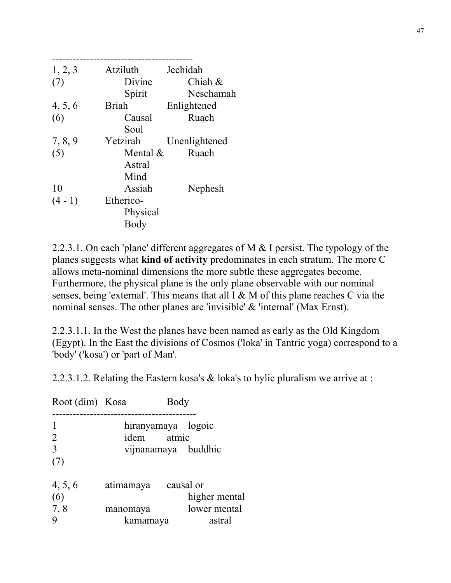| 1, 2, 3 | Atziluth     | Jechidah      |
|---------|--------------|---------------|
| (7)     | Divine       | Chiah $\&$    |
|         | Spirit       | Neschamah     |
| 4, 5, 6 | <b>Briah</b> | Enlightened   |
| (6)     | Causal       | Ruach         |
|         | Soul         |               |
| 7, 8, 9 | Yetzirah     | Unenlightened |
| (5)     | Mental $\&$  | Ruach         |
|         | Astral       |               |
|         | Mind         |               |
| 10      | Assiah       | Nephesh       |
| $(4-1)$ | Etherico-    |               |
|         | Physical     |               |
|         | Body         |               |
|         |              |               |

2.2.3.1. On each 'plane' different aggregates of M & I persist. The typology of the planes suggests what **kind of activity** predominates in each stratum. The more C allows meta-nominal dimensions the more subtle these aggregates become. Furthermore, the physical plane is the only plane observable with our nominal senses, being 'external'. This means that all I & M of this plane reaches C via the nominal senses. The other planes are 'invisible' & 'internal' (Max Ernst).

2.2.3.1.1. In the West the planes have been named as early as the Old Kingdom (Egypt). In the East the divisions of Cosmos ('loka' in Tantric yoga) correspond to a 'body' ('kosa') or 'part of Man'.

2.2.3.1.2. Relating the Eastern kosa's & loka's to hylic pluralism we arrive at :

| Root (dim) Kosa |                     | Body |                     |
|-----------------|---------------------|------|---------------------|
|                 |                     |      |                     |
|                 | hiranyamaya logoic  |      |                     |
| 2               | idem atmic          |      |                     |
| 3               |                     |      | vijnanamaya buddhic |
| (7)             |                     |      |                     |
| 4, 5, 6         | atimamaya causal or |      |                     |
| (6)             |                     |      | higher mental       |
| 7,8             | manomaya            |      | lower mental        |
|                 | kamamaya            |      | astral              |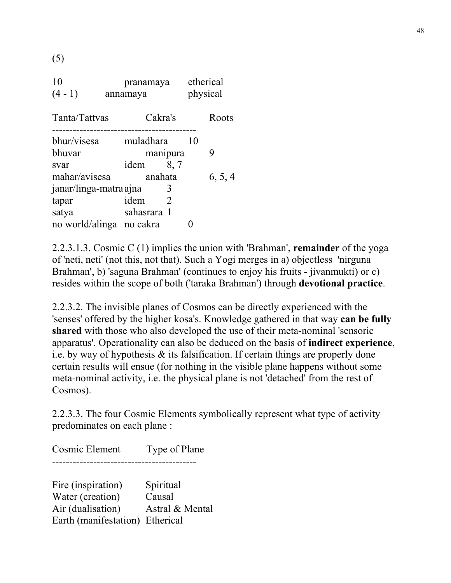(5)

| 10<br>$(4-1)$            | pranamaya<br>annamaya |          | etherical<br>physical |         |
|--------------------------|-----------------------|----------|-----------------------|---------|
| Tanta/Tattvas            | Cakra's               |          |                       | Roots   |
| bhur/visesa              | muladhara             |          | 10                    |         |
| bhuvar                   |                       | manipura |                       | 9       |
| svar                     | idem                  | 8,7      |                       |         |
| mahar/avisesa            | anahata               |          |                       | 6, 5, 4 |
| janar/linga-matra ajna   |                       |          |                       |         |
| tapar                    | idem                  | 2        |                       |         |
| satya                    | sahasrara 1           |          |                       |         |
| no world/alinga no cakra |                       |          |                       |         |

2.2.3.1.3. Cosmic C (1) implies the union with 'Brahman', **remainder** of the yoga of 'neti, neti' (not this, not that). Such a Yogi merges in a) objectless 'nirguna Brahman', b) 'saguna Brahman' (continues to enjoy his fruits - jivanmukti) or c) resides within the scope of both ('taraka Brahman') through **devotional practice**.

2.2.3.2. The invisible planes of Cosmos can be directly experienced with the 'senses' offered by the higher kosa's. Knowledge gathered in that way **can be fully shared** with those who also developed the use of their meta-nominal 'sensoric apparatus'. Operationality can also be deduced on the basis of **indirect experience**, i.e. by way of hypothesis & its falsification. If certain things are properly done certain results will ensue (for nothing in the visible plane happens without some meta-nominal activity, i.e. the physical plane is not 'detached' from the rest of Cosmos).

2.2.3.3. The four Cosmic Elements symbolically represent what type of activity predominates on each plane :

Cosmic Element Type of Plane ------------------------------------------

Fire (inspiration) Spiritual Water (creation) Causal Air (dualisation) Astral & Mental Earth (manifestation) Etherical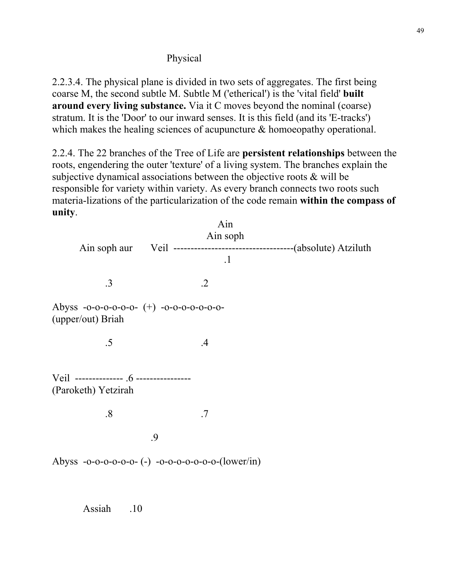## Physical

2.2.3.4. The physical plane is divided in two sets of aggregates. The first being coarse M, the second subtle M. Subtle M ('etherical') is the 'vital field' **built around every living substance.** Via it C moves beyond the nominal (coarse) stratum. It is the 'Door' to our inward senses. It is this field (and its 'E-tracks') which makes the healing sciences of acupuncture  $\&$  homoeopathy operational.

2.2.4. The 22 branches of the Tree of Life are **persistent relationships** between the roots, engendering the outer 'texture' of a living system. The branches explain the subjective dynamical associations between the objective roots & will be responsible for variety within variety. As every branch connects two roots such materia-lizations of the particularization of the code remain **within the compass of unity**.

| Ain soph aur                                                   | Ain<br>Ain soph                                   |  |
|----------------------------------------------------------------|---------------------------------------------------|--|
|                                                                | $\cdot$ 1                                         |  |
| .3                                                             | $\cdot$ .2                                        |  |
| Abyss -0-0-0-0-0-0- (+) -0-0-0-0-0-0-0-0-<br>(upper/out) Briah |                                                   |  |
| .5                                                             | .4                                                |  |
| Veil -------------- .6 ---------------<br>(Paroketh) Yetzirah  |                                                   |  |
| .8                                                             | .7                                                |  |
|                                                                | .9                                                |  |
|                                                                | Abyss -0-0-0-0-0-0- (-) -0-0-0-0-0-0-0-(lower/in) |  |

Assiah .10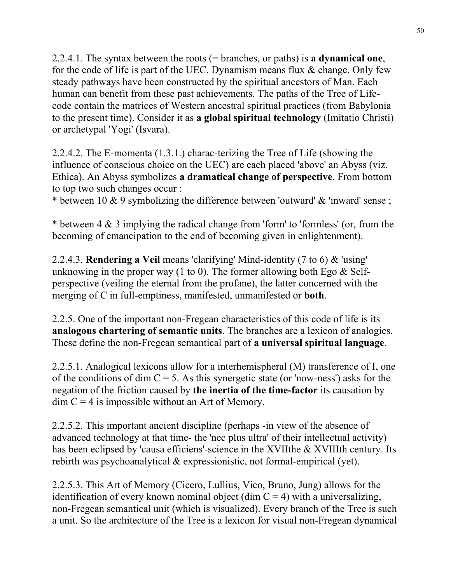2.2.4.1. The syntax between the roots (= branches, or paths) is **a dynamical one**, for the code of life is part of the UEC. Dynamism means flux  $\&$  change. Only few steady pathways have been constructed by the spiritual ancestors of Man. Each human can benefit from these past achievements. The paths of the Tree of Lifecode contain the matrices of Western ancestral spiritual practices (from Babylonia to the present time). Consider it as **a global spiritual technology** (Imitatio Christi) or archetypal 'Yogi' (Isvara).

2.2.4.2. The E-momenta (1.3.1.) charac-terizing the Tree of Life (showing the influence of conscious choice on the UEC) are each placed 'above' an Abyss (viz. Ethica). An Abyss symbolizes **a dramatical change of perspective**. From bottom to top two such changes occur :

\* between 10  $\&$  9 symbolizing the difference between 'outward'  $\&$  'inward' sense;

\* between 4 & 3 implying the radical change from 'form' to 'formless' (or, from the becoming of emancipation to the end of becoming given in enlightenment).

2.2.4.3. **Rendering a Veil** means 'clarifying' Mind-identity (7 to 6) & 'using' unknowing in the proper way (1 to 0). The former allowing both Ego  $\&$  Selfperspective (veiling the eternal from the profane), the latter concerned with the merging of C in full-emptiness, manifested, unmanifested or **both**.

2.2.5. One of the important non-Fregean characteristics of this code of life is its **analogous chartering of semantic units**. The branches are a lexicon of analogies. These define the non-Fregean semantical part of **a universal spiritual language**.

2.2.5.1. Analogical lexicons allow for a interhemispheral (M) transference of I, one of the conditions of dim  $C = 5$ . As this synergetic state (or 'now-ness') asks for the negation of the friction caused by **the inertia of the time-factor** its causation by  $\dim C = 4$  is impossible without an Art of Memory.

2.2.5.2. This important ancient discipline (perhaps -in view of the absence of advanced technology at that time- the 'nec plus ultra' of their intellectual activity) has been eclipsed by 'causa efficiens'-science in the XVIIthe & XVIIIth century. Its rebirth was psychoanalytical & expressionistic, not formal-empirical (yet).

2.2.5.3. This Art of Memory (Cicero, Lullius, Vico, Bruno, Jung) allows for the identification of every known nominal object (dim  $C = 4$ ) with a universalizing, non-Fregean semantical unit (which is visualized). Every branch of the Tree is such a unit. So the architecture of the Tree is a lexicon for visual non-Fregean dynamical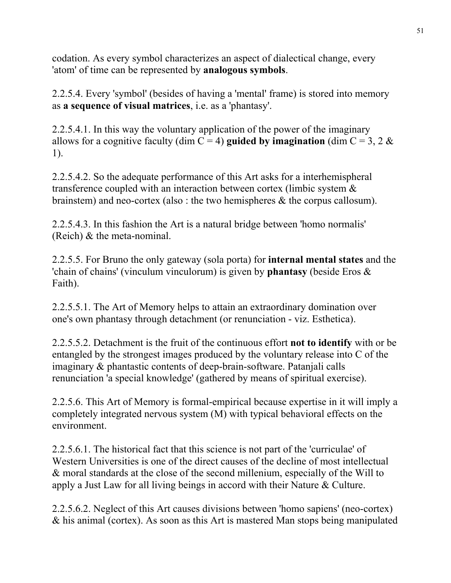codation. As every symbol characterizes an aspect of dialectical change, every 'atom' of time can be represented by **analogous symbols**.

2.2.5.4. Every 'symbol' (besides of having a 'mental' frame) is stored into memory as **a sequence of visual matrices**, i.e. as a 'phantasy'.

2.2.5.4.1. In this way the voluntary application of the power of the imaginary allows for a cognitive faculty (dim  $C = 4$ ) **guided by imagination** (dim  $C = 3, 2 \&$ 1).

2.2.5.4.2. So the adequate performance of this Art asks for a interhemispheral transference coupled with an interaction between cortex (limbic system & brainstem) and neo-cortex (also : the two hemispheres & the corpus callosum).

2.2.5.4.3. In this fashion the Art is a natural bridge between 'homo normalis' (Reich) & the meta-nominal.

2.2.5.5. For Bruno the only gateway (sola porta) for **internal mental states** and the 'chain of chains' (vinculum vinculorum) is given by **phantasy** (beside Eros & Faith).

2.2.5.5.1. The Art of Memory helps to attain an extraordinary domination over one's own phantasy through detachment (or renunciation - viz. Esthetica).

2.2.5.5.2. Detachment is the fruit of the continuous effort **not to identify** with or be entangled by the strongest images produced by the voluntary release into C of the imaginary & phantastic contents of deep-brain-software. Patanjali calls renunciation 'a special knowledge' (gathered by means of spiritual exercise).

2.2.5.6. This Art of Memory is formal-empirical because expertise in it will imply a completely integrated nervous system (M) with typical behavioral effects on the environment.

2.2.5.6.1. The historical fact that this science is not part of the 'curriculae' of Western Universities is one of the direct causes of the decline of most intellectual & moral standards at the close of the second millenium, especially of the Will to apply a Just Law for all living beings in accord with their Nature & Culture.

2.2.5.6.2. Neglect of this Art causes divisions between 'homo sapiens' (neo-cortex) & his animal (cortex). As soon as this Art is mastered Man stops being manipulated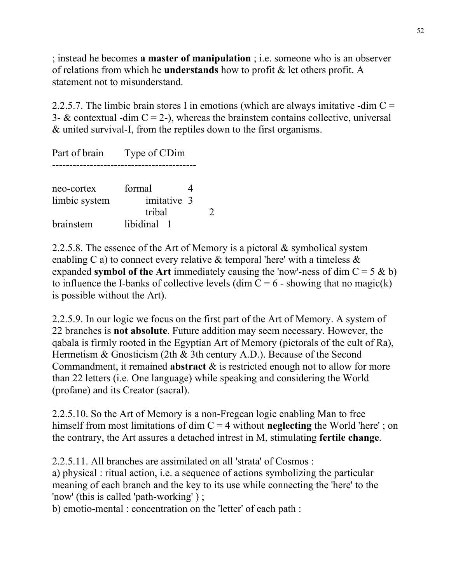; instead he becomes **a master of manipulation** ; i.e. someone who is an observer of relations from which he **understands** how to profit & let others profit. A statement not to misunderstand.

2.2.5.7. The limbic brain stores I in emotions (which are always imitative -dim  $C =$ 3-  $\&$  contextual -dim C = 2-), whereas the brainstem contains collective, universal & united survival-I, from the reptiles down to the first organisms.

Part of brain Type of CDim ----------------------------------------- neo-cortex formal 4 limbic system imitative 3 tribal 2 brainstem libidinal 1

2.2.5.8. The essence of the Art of Memory is a pictoral  $\&$  symbolical system enabling C a) to connect every relative  $\&$  temporal 'here' with a timeless  $\&$ expanded **symbol of the Art** immediately causing the 'now'-ness of dim  $C = 5 \& b$ ) to influence the I-banks of collective levels (dim  $C = 6$  - showing that no magic(k) is possible without the Art).

2.2.5.9. In our logic we focus on the first part of the Art of Memory. A system of 22 branches is **not absolute**. Future addition may seem necessary. However, the qabala is firmly rooted in the Egyptian Art of Memory (pictorals of the cult of Ra), Hermetism & Gnosticism (2th & 3th century A.D.). Because of the Second Commandment, it remained **abstract** & is restricted enough not to allow for more than 22 letters (i.e. One language) while speaking and considering the World (profane) and its Creator (sacral).

2.2.5.10. So the Art of Memory is a non-Fregean logic enabling Man to free himself from most limitations of dim C = 4 without **neglecting** the World 'here' ; on the contrary, the Art assures a detached intrest in M, stimulating **fertile change**.

2.2.5.11. All branches are assimilated on all 'strata' of Cosmos :

a) physical : ritual action, i.e. a sequence of actions symbolizing the particular meaning of each branch and the key to its use while connecting the 'here' to the 'now' (this is called 'path-working' ) ;

b) emotio-mental : concentration on the 'letter' of each path :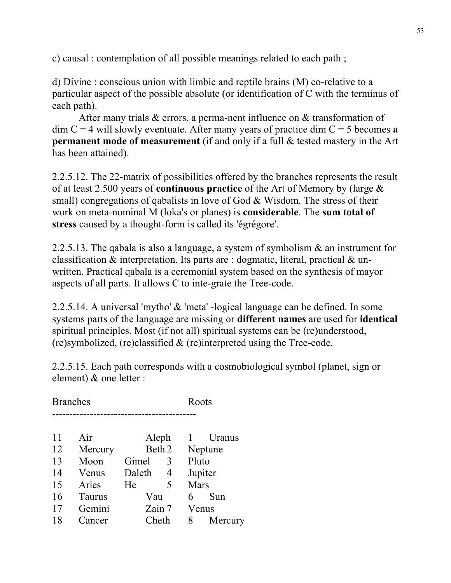c) causal : contemplation of all possible meanings related to each path ;

d) Divine : conscious union with limbic and reptile brains (M) co-relative to a particular aspect of the possible absolute (or identification of C with the terminus of each path).

After many trials & errors, a perma-nent influence on & transformation of  $\dim C = 4$  will slowly eventuate. After many years of practice  $\dim C = 5$  becomes **a permanent mode of measurement** (if and only if a full & tested mastery in the Art has been attained).

2.2.5.12. The 22-matrix of possibilities offered by the branches represents the result of at least 2.500 years of **continuous practice** of the Art of Memory by (large & small) congregations of qabalists in love of God & Wisdom. The stress of their work on meta-nominal M (loka's or planes) is **considerable**. The **sum total of stress** caused by a thought-form is called its 'égrégore'.

2.2.5.13. The qabala is also a language, a system of symbolism & an instrument for classification & interpretation. Its parts are : dogmatic, literal, practical & unwritten. Practical qabala is a ceremonial system based on the synthesis of mayor aspects of all parts. It allows C to inte-grate the Tree-code.

2.2.5.14. A universal 'mytho' & 'meta' -logical language can be defined. In some systems parts of the language are missing or **different names** are used for **identical** spiritual principles. Most (if not all) spiritual systems can be (re)understood, (re)symbolized, (re)classified & (re)interpreted using the Tree-code.

2.2.5.15. Each path corresponds with a cosmobiological symbol (planet, sign or element) & one letter :

|    | <b>Branches</b> |        |        | Roots |         |
|----|-----------------|--------|--------|-------|---------|
| 11 | Air             | Aleph  |        |       | Uranus  |
| 12 | Mercury         |        | Beth 2 |       | Neptune |
| 13 | Moon            | Gimel  | 3      | Pluto |         |
| 14 | Venus           | Daleth | 4      |       | Jupiter |
| 15 | Aries           | He     | 5      | Mars  |         |
| 16 | <b>Taurus</b>   | Vau    |        | 6     | Sun     |
| 17 | Gemini          | Zain 7 |        | Venus |         |
| 18 | Cancer          | Cheth  |        | 8     | Mercury |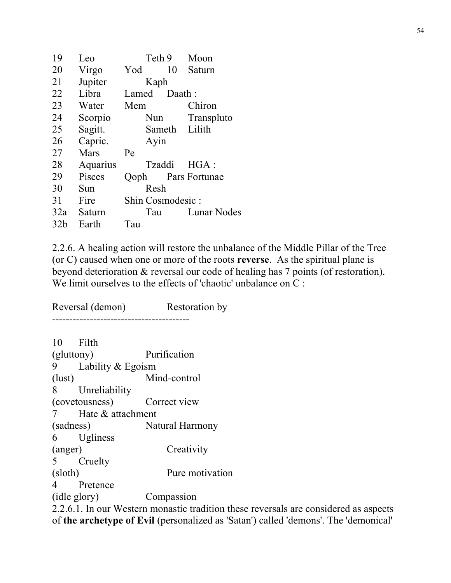| 19  | Leo      | Teth 9           | Moon          |
|-----|----------|------------------|---------------|
| 20  | Virgo    | 10<br>Yod        | Saturn        |
| 21  | Jupiter  | Kaph             |               |
| 22  | Libra    | Lamed            | Daath:        |
| 23  | Water    | Mem              | Chiron        |
| 24  | Scorpio  | Nun              | Transpluto    |
| 25  | Sagitt.  | Sameth           | Lilith        |
| 26  | Capric.  | Ayin             |               |
| 27  | Mars     | Pe               |               |
| 28  | Aquarius | Tzaddi           | $HGA$ :       |
| 29  | Pisces   | Qoph             | Pars Fortunae |
| 30  | Sun      | Resh             |               |
| 31  | Fire     | Shin Cosmodesic: |               |
| 32a | Saturn   | Tau              | Lunar Nodes   |
| 32b | Earth    | Tau              |               |

2.2.6. A healing action will restore the unbalance of the Middle Pillar of the Tree (or C) caused when one or more of the roots **reverse**. As the spiritual plane is beyond deterioration & reversal our code of healing has 7 points (of restoration). We limit ourselves to the effects of 'chaotic' unbalance on C :

Reversal (demon) Restoration by ---------------------------------------- 10 Filth (gluttony) Purification 9 Lability & Egoism (lust) Mind-control 8 Unreliability (covetousness) Correct view 7 Hate & attachment (sadness) Natural Harmony 6 Ugliness (anger) Creativity 5 Cruelty (sloth) Pure motivation 4 Pretence (idle glory) Compassion

2.2.6.1. In our Western monastic tradition these reversals are considered as aspects of **the archetype of Evil** (personalized as 'Satan') called 'demons'. The 'demonical'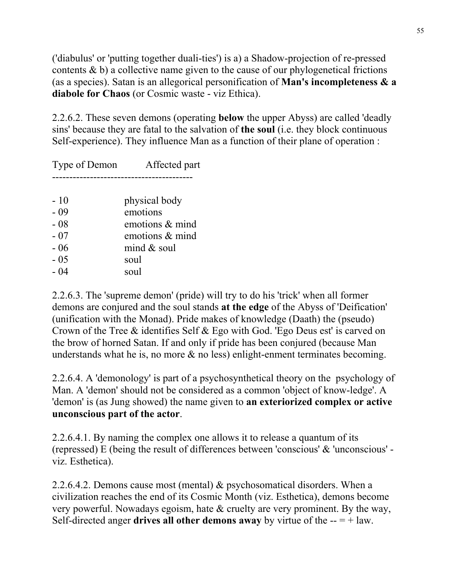('diabulus' or 'putting together duali-ties') is a) a Shadow-projection of re-pressed contents  $\&$  b) a collective name given to the cause of our phylogenetical frictions (as a species). Satan is an allegorical personification of **Man's incompleteness & a diabole for Chaos** (or Cosmic waste - viz Ethica).

2.2.6.2. These seven demons (operating **below** the upper Abyss) are called 'deadly sins' because they are fatal to the salvation of **the soul** (i.e. they block continuous Self-experience). They influence Man as a function of their plane of operation :

| Type of Demon | Affected part      |
|---------------|--------------------|
|               |                    |
| $-10$         | physical body      |
| $-09$         | emotions           |
| $-08$         | emotions $\&$ mind |
| - 07          | emotions $&$ mind  |
| $-06$         | mind $&$ soul      |
| $-0.5$        | soul               |
| - 04          | soul               |

2.2.6.3. The 'supreme demon' (pride) will try to do his 'trick' when all former demons are conjured and the soul stands **at the edge** of the Abyss of 'Deification' (unification with the Monad). Pride makes of knowledge (Daath) the (pseudo) Crown of the Tree & identifies Self & Ego with God. 'Ego Deus est' is carved on the brow of horned Satan. If and only if pride has been conjured (because Man understands what he is, no more & no less) enlight-enment terminates becoming.

2.2.6.4. A 'demonology' is part of a psychosynthetical theory on the psychology of Man. A 'demon' should not be considered as a common 'object of know-ledge'. A 'demon' is (as Jung showed) the name given to **an exteriorized complex or active unconscious part of the actor**.

2.2.6.4.1. By naming the complex one allows it to release a quantum of its (repressed) E (being the result of differences between 'conscious' & 'unconscious' viz. Esthetica).

2.2.6.4.2. Demons cause most (mental) & psychosomatical disorders. When a civilization reaches the end of its Cosmic Month (viz. Esthetica), demons become very powerful. Nowadays egoism, hate & cruelty are very prominent. By the way, Self-directed anger **drives all other demons away** by virtue of the  $-- = +$  law.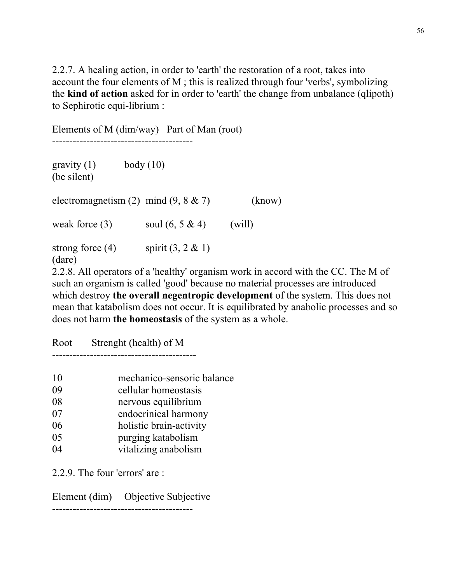2.2.7. A healing action, in order to 'earth' the restoration of a root, takes into account the four elements of M ; this is realized through four 'verbs', symbolizing the **kind of action** asked for in order to 'earth' the change from unbalance (qlipoth) to Sephirotic equi-librium :

Elements of M (dim/way) Part of Man (root) ---------------------------------------- gravity  $(1)$  body  $(10)$ (be silent) electromagnetism  $(2)$  mind  $(9, 8 \& 7)$  (know) weak force (3) soul  $(6, 5 \& 4)$  (will) strong force (4) spirit  $(3, 2 \& 1)$ (dare)

2.2.8. All operators of a 'healthy' organism work in accord with the CC. The M of such an organism is called 'good' because no material processes are introduced which destroy **the overall negentropic development** of the system. This does not mean that katabolism does not occur. It is equilibrated by anabolic processes and so does not harm **the homeostasis** of the system as a whole.

Root Strenght (health) of M

------------------------------------------

| 10 | mechanico-sensoric balance |
|----|----------------------------|
| 09 | cellular homeostasis       |
| 08 | nervous equilibrium        |
| 07 | endocrinical harmony       |
| 06 | holistic brain-activity    |
| 05 | purging katabolism         |
| 04 | vitalizing anabolism       |
|    |                            |

2.2.9. The four 'errors' are :

Element (dim) Objective Subjective

-----------------------------------------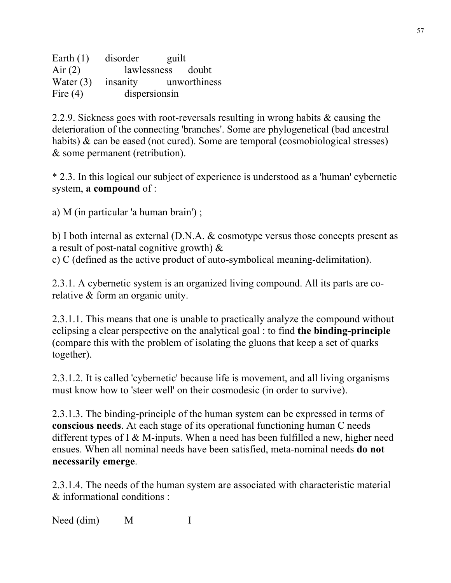Earth (1) disorder guilt Air (2) lawlessness doubt Water (3) insanity unworthiness Fire (4) dispersions in

2.2.9. Sickness goes with root-reversals resulting in wrong habits & causing the deterioration of the connecting 'branches'. Some are phylogenetical (bad ancestral habits) & can be eased (not cured). Some are temporal (cosmobiological stresses) & some permanent (retribution).

\* 2.3. In this logical our subject of experience is understood as a 'human' cybernetic system, **a compound** of :

a) M (in particular 'a human brain') ;

b) I both internal as external (D.N.A. & cosmotype versus those concepts present as a result of post-natal cognitive growth) &

c) C (defined as the active product of auto-symbolical meaning-delimitation).

2.3.1. A cybernetic system is an organized living compound. All its parts are corelative & form an organic unity.

2.3.1.1. This means that one is unable to practically analyze the compound without eclipsing a clear perspective on the analytical goal : to find **the binding-principle** (compare this with the problem of isolating the gluons that keep a set of quarks together).

2.3.1.2. It is called 'cybernetic' because life is movement, and all living organisms must know how to 'steer well' on their cosmodesic (in order to survive).

2.3.1.3. The binding-principle of the human system can be expressed in terms of **conscious needs**. At each stage of its operational functioning human C needs different types of I  $&$  M-inputs. When a need has been fulfilled a new, higher need ensues. When all nominal needs have been satisfied, meta-nominal needs **do not necessarily emerge**.

2.3.1.4. The needs of the human system are associated with characteristic material & informational conditions :

Need (dim) M I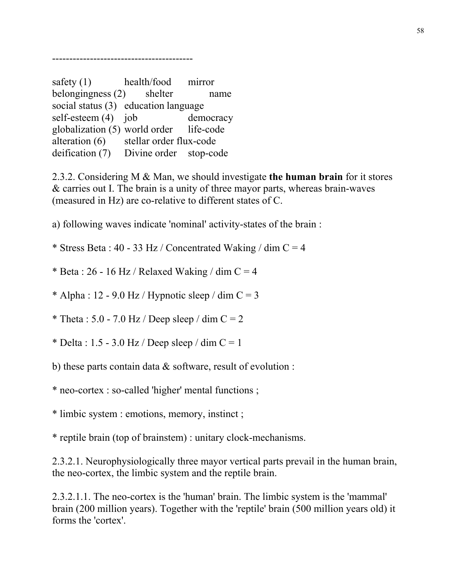-----------------------------------------

safety (1) health/food mirror belongingness (2) shelter name social status (3) education language self-esteem (4) job democracy globalization (5) world order life-code alteration (6) stellar order flux-code deification (7) Divine order stop-code

2.3.2. Considering M & Man, we should investigate **the human brain** for it stores & carries out I. The brain is a unity of three mayor parts, whereas brain-waves (measured in Hz) are co-relative to different states of C.

a) following waves indicate 'nominal' activity-states of the brain :

\* Stress Beta : 40 - 33 Hz / Concentrated Waking / dim  $C = 4$ 

\* Beta : 26 - 16 Hz / Relaxed Waking / dim  $C = 4$ 

 $*$  Alpha : 12 - 9.0 Hz / Hypnotic sleep / dim C = 3

\* Theta :  $5.0 - 7.0$  Hz / Deep sleep / dim C = 2

\* Delta : 1.5 - 3.0 Hz / Deep sleep / dim  $C = 1$ 

b) these parts contain data  $\&$  software, result of evolution :

\* neo-cortex : so-called 'higher' mental functions ;

\* limbic system : emotions, memory, instinct ;

\* reptile brain (top of brainstem) : unitary clock-mechanisms.

2.3.2.1. Neurophysiologically three mayor vertical parts prevail in the human brain, the neo-cortex, the limbic system and the reptile brain.

2.3.2.1.1. The neo-cortex is the 'human' brain. The limbic system is the 'mammal' brain (200 million years). Together with the 'reptile' brain (500 million years old) it forms the 'cortex'.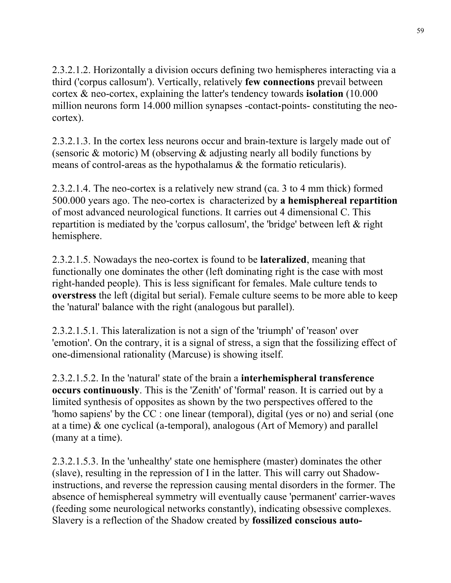2.3.2.1.2. Horizontally a division occurs defining two hemispheres interacting via a third ('corpus callosum'). Vertically, relatively **few connections** prevail between cortex & neo-cortex, explaining the latter's tendency towards **isolation** (10.000 million neurons form 14.000 million synapses -contact-points- constituting the neocortex).

2.3.2.1.3. In the cortex less neurons occur and brain-texture is largely made out of (sensoric & motoric) M (observing & adjusting nearly all bodily functions by means of control-areas as the hypothalamus & the formatio reticularis).

2.3.2.1.4. The neo-cortex is a relatively new strand (ca. 3 to 4 mm thick) formed 500.000 years ago. The neo-cortex is characterized by **a hemisphereal repartition** of most advanced neurological functions. It carries out 4 dimensional C. This repartition is mediated by the 'corpus callosum', the 'bridge' between left & right hemisphere.

2.3.2.1.5. Nowadays the neo-cortex is found to be **lateralized**, meaning that functionally one dominates the other (left dominating right is the case with most right-handed people). This is less significant for females. Male culture tends to **overstress** the left (digital but serial). Female culture seems to be more able to keep the 'natural' balance with the right (analogous but parallel).

2.3.2.1.5.1. This lateralization is not a sign of the 'triumph' of 'reason' over 'emotion'. On the contrary, it is a signal of stress, a sign that the fossilizing effect of one-dimensional rationality (Marcuse) is showing itself.

2.3.2.1.5.2. In the 'natural' state of the brain a **interhemispheral transference occurs continuously**. This is the 'Zenith' of 'formal' reason. It is carried out by a limited synthesis of opposites as shown by the two perspectives offered to the 'homo sapiens' by the CC : one linear (temporal), digital (yes or no) and serial (one at a time) & one cyclical (a-temporal), analogous (Art of Memory) and parallel (many at a time).

2.3.2.1.5.3. In the 'unhealthy' state one hemisphere (master) dominates the other (slave), resulting in the repression of I in the latter. This will carry out Shadowinstructions, and reverse the repression causing mental disorders in the former. The absence of hemisphereal symmetry will eventually cause 'permanent' carrier-waves (feeding some neurological networks constantly), indicating obsessive complexes. Slavery is a reflection of the Shadow created by **fossilized conscious auto-**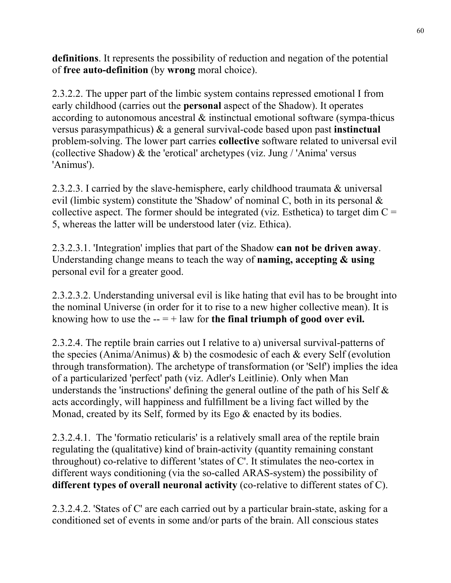**definitions**. It represents the possibility of reduction and negation of the potential of **free auto-definition** (by **wrong** moral choice).

2.3.2.2. The upper part of the limbic system contains repressed emotional I from early childhood (carries out the **personal** aspect of the Shadow). It operates according to autonomous ancestral & instinctual emotional software (sympa-thicus versus parasympathicus) & a general survival-code based upon past **instinctual** problem-solving. The lower part carries **collective** software related to universal evil (collective Shadow) & the 'erotical' archetypes (viz. Jung / 'Anima' versus 'Animus').

2.3.2.3. I carried by the slave-hemisphere, early childhood traumata & universal evil (limbic system) constitute the 'Shadow' of nominal C, both in its personal & collective aspect. The former should be integrated (viz. Esthetica) to target dim  $C =$ 5, whereas the latter will be understood later (viz. Ethica).

2.3.2.3.1. 'Integration' implies that part of the Shadow **can not be driven away**. Understanding change means to teach the way of **naming, accepting & using** personal evil for a greater good.

2.3.2.3.2. Understanding universal evil is like hating that evil has to be brought into the nominal Universe (in order for it to rise to a new higher collective mean). It is knowing how to use the  $- = +$  law for **the final triumph of good over evil.** 

2.3.2.4. The reptile brain carries out I relative to a) universal survival-patterns of the species (Anima/Animus)  $\&$  b) the cosmodesic of each  $\&$  every Self (evolution through transformation). The archetype of transformation (or 'Self') implies the idea of a particularized 'perfect' path (viz. Adler's Leitlinie). Only when Man understands the 'instructions' defining the general outline of the path of his Self  $\&$ acts accordingly, will happiness and fulfillment be a living fact willed by the Monad, created by its Self, formed by its Ego & enacted by its bodies.

2.3.2.4.1. The 'formatio reticularis' is a relatively small area of the reptile brain regulating the (qualitative) kind of brain-activity (quantity remaining constant throughout) co-relative to different 'states of C'. It stimulates the neo-cortex in different ways conditioning (via the so-called ARAS-system) the possibility of **different types of overall neuronal activity** (co-relative to different states of C).

2.3.2.4.2. 'States of C' are each carried out by a particular brain-state, asking for a conditioned set of events in some and/or parts of the brain. All conscious states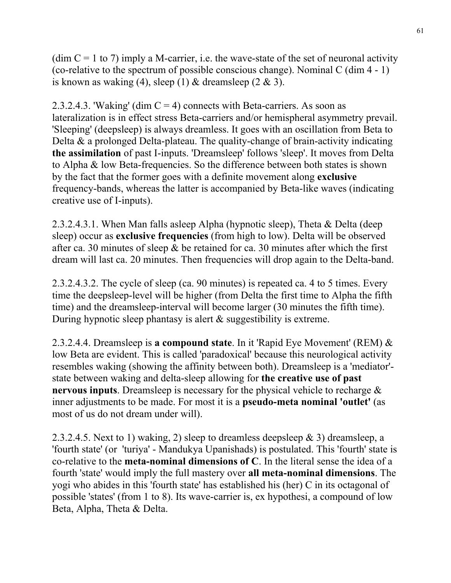(dim  $C = 1$  to 7) imply a M-carrier, i.e. the wave-state of the set of neuronal activity (co-relative to the spectrum of possible conscious change). Nominal C (dim 4 - 1) is known as waking (4), sleep (1) & dreamsleep  $(2 \& 3)$ .

2.3.2.4.3. 'Waking' (dim  $C = 4$ ) connects with Beta-carriers. As soon as lateralization is in effect stress Beta-carriers and/or hemispheral asymmetry prevail. 'Sleeping' (deepsleep) is always dreamless. It goes with an oscillation from Beta to Delta & a prolonged Delta-plateau. The quality-change of brain-activity indicating **the assimilation** of past I-inputs. 'Dreamsleep' follows 'sleep'. It moves from Delta to Alpha & low Beta-frequencies. So the difference between both states is shown by the fact that the former goes with a definite movement along **exclusive** frequency-bands, whereas the latter is accompanied by Beta-like waves (indicating creative use of I-inputs).

2.3.2.4.3.1. When Man falls asleep Alpha (hypnotic sleep), Theta & Delta (deep sleep) occur as **exclusive frequencies** (from high to low). Delta will be observed after ca. 30 minutes of sleep  $\&$  be retained for ca. 30 minutes after which the first dream will last ca. 20 minutes. Then frequencies will drop again to the Delta-band.

2.3.2.4.3.2. The cycle of sleep (ca. 90 minutes) is repeated ca. 4 to 5 times. Every time the deepsleep-level will be higher (from Delta the first time to Alpha the fifth time) and the dreamsleep-interval will become larger (30 minutes the fifth time). During hypnotic sleep phantasy is alert & suggestibility is extreme.

2.3.2.4.4. Dreamsleep is **a compound state**. In it 'Rapid Eye Movement' (REM) & low Beta are evident. This is called 'paradoxical' because this neurological activity resembles waking (showing the affinity between both). Dreamsleep is a 'mediator' state between waking and delta-sleep allowing for **the creative use of past nervous inputs**. Dreamsleep is necessary for the physical vehicle to recharge & inner adjustments to be made. For most it is a **pseudo-meta nominal 'outlet'** (as most of us do not dream under will).

2.3.2.4.5. Next to 1) waking, 2) sleep to dreamless deepsleep & 3) dreamsleep, a 'fourth state' (or 'turiya' - Mandukya Upanishads) is postulated. This 'fourth' state is co-relative to the **meta-nominal dimensions of C**. In the literal sense the idea of a fourth 'state' would imply the full mastery over **all meta-nominal dimensions**. The yogi who abides in this 'fourth state' has established his (her) C in its octagonal of possible 'states' (from 1 to 8). Its wave-carrier is, ex hypothesi, a compound of low Beta, Alpha, Theta & Delta.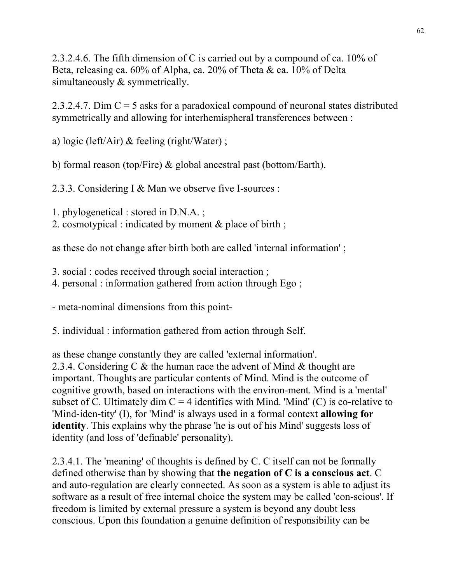2.3.2.4.6. The fifth dimension of C is carried out by a compound of ca. 10% of Beta, releasing ca. 60% of Alpha, ca. 20% of Theta & ca. 10% of Delta simultaneously  $&$  symmetrically.

2.3.2.4.7. Dim  $C = 5$  asks for a paradoxical compound of neuronal states distributed symmetrically and allowing for interhemispheral transferences between :

a) logic (left/Air) & feeling (right/Water) ;

b) formal reason (top/Fire) & global ancestral past (bottom/Earth).

2.3.3. Considering I & Man we observe five I-sources :

1. phylogenetical : stored in D.N.A. ;

2. cosmotypical : indicated by moment & place of birth ;

as these do not change after birth both are called 'internal information' ;

3. social : codes received through social interaction ;

4. personal : information gathered from action through Ego ;

- meta-nominal dimensions from this point-

5. individual : information gathered from action through Self.

as these change constantly they are called 'external information'. 2.3.4. Considering C & the human race the advent of Mind & thought are important. Thoughts are particular contents of Mind. Mind is the outcome of cognitive growth, based on interactions with the environ-ment. Mind is a 'mental' subset of C. Ultimately dim  $C = 4$  identifies with Mind. 'Mind' (C) is co-relative to 'Mind-iden-tity' (I), for 'Mind' is always used in a formal context **allowing for identity**. This explains why the phrase 'he is out of his Mind' suggests loss of identity (and loss of 'definable' personality).

2.3.4.1. The 'meaning' of thoughts is defined by C. C itself can not be formally defined otherwise than by showing that **the negation of C is a conscious act**. C and auto-regulation are clearly connected. As soon as a system is able to adjust its software as a result of free internal choice the system may be called 'con-scious'. If freedom is limited by external pressure a system is beyond any doubt less conscious. Upon this foundation a genuine definition of responsibility can be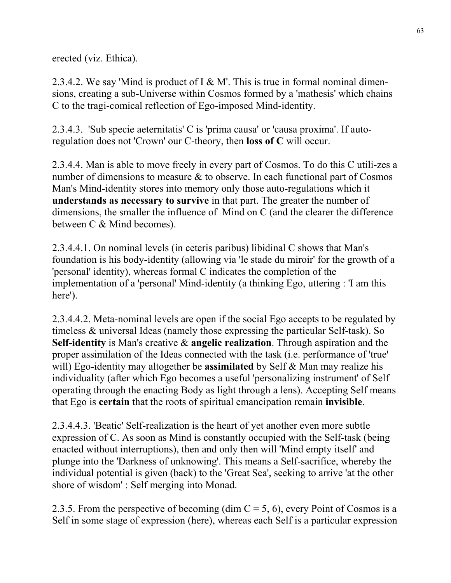erected (viz. Ethica).

2.3.4.2. We say 'Mind is product of I  $\&$  M'. This is true in formal nominal dimensions, creating a sub-Universe within Cosmos formed by a 'mathesis' which chains C to the tragi-comical reflection of Ego-imposed Mind-identity.

2.3.4.3. 'Sub specie aeternitatis' C is 'prima causa' or 'causa proxima'. If autoregulation does not 'Crown' our C-theory, then **loss of C** will occur.

2.3.4.4. Man is able to move freely in every part of Cosmos. To do this C utili-zes a number of dimensions to measure & to observe. In each functional part of Cosmos Man's Mind-identity stores into memory only those auto-regulations which it **understands as necessary to survive** in that part. The greater the number of dimensions, the smaller the influence of Mind on C (and the clearer the difference between C & Mind becomes).

2.3.4.4.1. On nominal levels (in ceteris paribus) libidinal C shows that Man's foundation is his body-identity (allowing via 'le stade du miroir' for the growth of a 'personal' identity), whereas formal C indicates the completion of the implementation of a 'personal' Mind-identity (a thinking Ego, uttering : 'I am this here').

2.3.4.4.2. Meta-nominal levels are open if the social Ego accepts to be regulated by timeless & universal Ideas (namely those expressing the particular Self-task). So **Self-identity** is Man's creative & **angelic realization**. Through aspiration and the proper assimilation of the Ideas connected with the task (i.e. performance of 'true' will) Ego-identity may altogether be **assimilated** by Self & Man may realize his individuality (after which Ego becomes a useful 'personalizing instrument' of Self operating through the enacting Body as light through a lens). Accepting Self means that Ego is **certain** that the roots of spiritual emancipation remain **invisible**.

2.3.4.4.3. 'Beatic' Self-realization is the heart of yet another even more subtle expression of C. As soon as Mind is constantly occupied with the Self-task (being enacted without interruptions), then and only then will 'Mind empty itself' and plunge into the 'Darkness of unknowing'. This means a Self-sacrifice, whereby the individual potential is given (back) to the 'Great Sea', seeking to arrive 'at the other shore of wisdom' : Self merging into Monad.

2.3.5. From the perspective of becoming (dim  $C = 5, 6$ ), every Point of Cosmos is a Self in some stage of expression (here), whereas each Self is a particular expression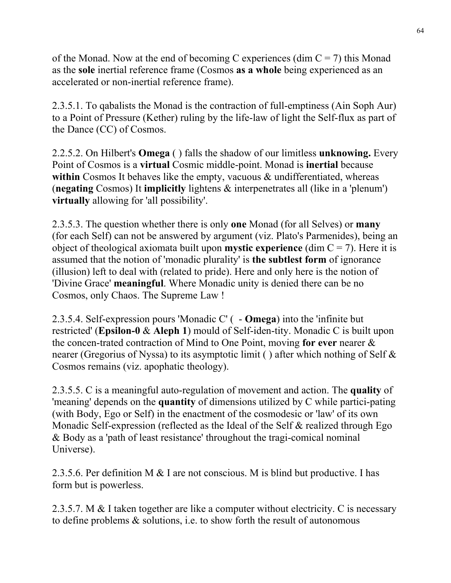of the Monad. Now at the end of becoming C experiences (dim  $C = 7$ ) this Monad as the **sole** inertial reference frame (Cosmos **as a whole** being experienced as an accelerated or non-inertial reference frame).

2.3.5.1. To qabalists the Monad is the contraction of full-emptiness (Ain Soph Aur) to a Point of Pressure (Kether) ruling by the life-law of light the Self-flux as part of the Dance (CC) of Cosmos.

2.2.5.2. On Hilbert's **Omega** ( ) falls the shadow of our limitless **unknowing.** Every Point of Cosmos is a **virtual** Cosmic middle-point. Monad is **inertial** because within Cosmos It behaves like the empty, vacuous  $\&$  undifferentiated, whereas (**negating** Cosmos) It **implicitly** lightens & interpenetrates all (like in a 'plenum') **virtually** allowing for 'all possibility'.

2.3.5.3. The question whether there is only **one** Monad (for all Selves) or **many** (for each Self) can not be answered by argument (viz. Plato's Parmenides), being an object of theological axiomata built upon **mystic experience** (dim  $C = 7$ ). Here it is assumed that the notion of 'monadic plurality' is **the subtlest form** of ignorance (illusion) left to deal with (related to pride). Here and only here is the notion of 'Divine Grace' **meaningful**. Where Monadic unity is denied there can be no Cosmos, only Chaos. The Supreme Law !

2.3.5.4. Self-expression pours 'Monadic C' ( - **Omega**) into the 'infinite but restricted' (**Epsilon-0** & **Aleph 1**) mould of Self-iden-tity. Monadic C is built upon the concen-trated contraction of Mind to One Point, moving **for ever** nearer & nearer (Gregorius of Nyssa) to its asymptotic limit ( ) after which nothing of Self & Cosmos remains (viz. apophatic theology).

2.3.5.5. C is a meaningful auto-regulation of movement and action. The **quality** of 'meaning' depends on the **quantity** of dimensions utilized by C while partici-pating (with Body, Ego or Self) in the enactment of the cosmodesic or 'law' of its own Monadic Self-expression (reflected as the Ideal of the Self & realized through Ego & Body as a 'path of least resistance' throughout the tragi-comical nominal Universe).

2.3.5.6. Per definition M & I are not conscious. M is blind but productive. I has form but is powerless.

2.3.5.7. M & I taken together are like a computer without electricity. C is necessary to define problems & solutions, i.e. to show forth the result of autonomous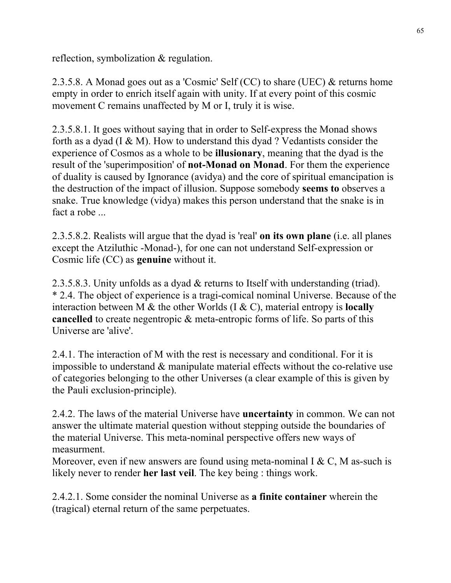reflection, symbolization & regulation.

2.3.5.8. A Monad goes out as a 'Cosmic' Self (CC) to share (UEC) & returns home empty in order to enrich itself again with unity. If at every point of this cosmic movement C remains unaffected by M or I, truly it is wise.

2.3.5.8.1. It goes without saying that in order to Self-express the Monad shows forth as a dyad (I & M). How to understand this dyad ? Vedantists consider the experience of Cosmos as a whole to be **illusionary**, meaning that the dyad is the result of the 'superimposition' of **not-Monad on Monad**. For them the experience of duality is caused by Ignorance (avidya) and the core of spiritual emancipation is the destruction of the impact of illusion. Suppose somebody **seems to** observes a snake. True knowledge (vidya) makes this person understand that the snake is in fact a robe ...

2.3.5.8.2. Realists will argue that the dyad is 'real' **on its own plane** (i.e. all planes except the Atziluthic -Monad-), for one can not understand Self-expression or Cosmic life (CC) as **genuine** without it.

2.3.5.8.3. Unity unfolds as a dyad & returns to Itself with understanding (triad). \* 2.4. The object of experience is a tragi-comical nominal Universe. Because of the interaction between M & the other Worlds (I & C), material entropy is **locally cancelled** to create negentropic & meta-entropic forms of life. So parts of this Universe are 'alive'.

2.4.1. The interaction of M with the rest is necessary and conditional. For it is impossible to understand & manipulate material effects without the co-relative use of categories belonging to the other Universes (a clear example of this is given by the Pauli exclusion-principle).

2.4.2. The laws of the material Universe have **uncertainty** in common. We can not answer the ultimate material question without stepping outside the boundaries of the material Universe. This meta-nominal perspective offers new ways of measurment.

Moreover, even if new answers are found using meta-nominal I & C, M as-such is likely never to render **her last veil**. The key being : things work.

2.4.2.1. Some consider the nominal Universe as **a finite container** wherein the (tragical) eternal return of the same perpetuates.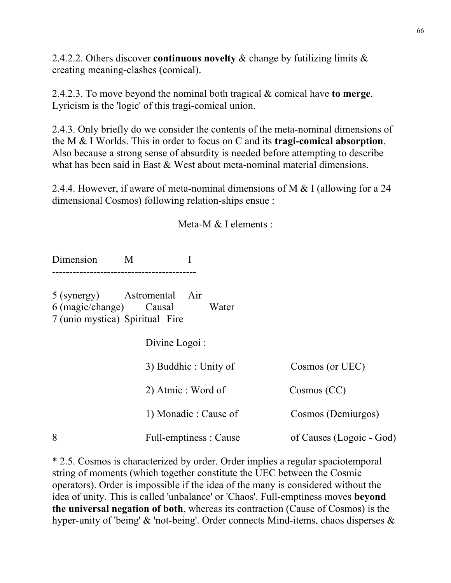2.4.2.2. Others discover **continuous novelty** & change by futilizing limits & creating meaning-clashes (comical).

2.4.2.3. To move beyond the nominal both tragical & comical have **to merge**. Lyricism is the 'logic' of this tragi-comical union.

2.4.3. Only briefly do we consider the contents of the meta-nominal dimensions of the M & I Worlds. This in order to focus on C and its **tragi-comical absorption**. Also because a strong sense of absurdity is needed before attempting to describe what has been said in East & West about meta-nominal material dimensions.

2.4.4. However, if aware of meta-nominal dimensions of M & I (allowing for a 24 dimensional Cosmos) following relation-ships ensue :

Meta-M & I elements :

Dimension M I ------------------------------------------

5 (synergy) Astromental Air 6 (magic/change) Causal Water 7 (unio mystica) Spiritual Fire

Divine Logoi :

|   | 3) Buddhic: Unity of   | Cosmos (or UEC)          |  |
|---|------------------------|--------------------------|--|
|   | 2) Atmic : Word of     | Cosmos (CC)              |  |
|   | 1) Monadic: Cause of   | Cosmos (Demiurgos)       |  |
| 8 | Full-emptiness : Cause | of Causes (Logoic - God) |  |

\* 2.5. Cosmos is characterized by order. Order implies a regular spaciotemporal string of moments (which together constitute the UEC between the Cosmic operators). Order is impossible if the idea of the many is considered without the idea of unity. This is called 'unbalance' or 'Chaos'. Full-emptiness moves **beyond the universal negation of both**, whereas its contraction (Cause of Cosmos) is the hyper-unity of 'being' & 'not-being'. Order connects Mind-items, chaos disperses &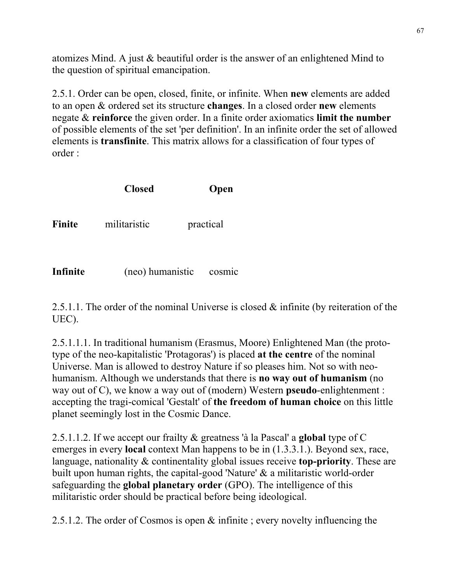atomizes Mind. A just & beautiful order is the answer of an enlightened Mind to the question of spiritual emancipation.

2.5.1. Order can be open, closed, finite, or infinite. When **new** elements are added to an open & ordered set its structure **changes**. In a closed order **new** elements negate & **reinforce** the given order. In a finite order axiomatics **limit the number** of possible elements of the set 'per definition'. In an infinite order the set of allowed elements is **transfinite**. This matrix allows for a classification of four types of order :

|               | <b>Closed</b> | Open      |
|---------------|---------------|-----------|
| <b>Finite</b> | militaristic  | practical |
|               |               |           |

**Infinite** (neo) humanistic cosmic

2.5.1.1. The order of the nominal Universe is closed & infinite (by reiteration of the UEC).

2.5.1.1.1. In traditional humanism (Erasmus, Moore) Enlightened Man (the prototype of the neo-kapitalistic 'Protagoras') is placed **at the centre** of the nominal Universe. Man is allowed to destroy Nature if so pleases him. Not so with neohumanism. Although we understands that there is **no way out of humanism** (no way out of C), we know a way out of (modern) Western **pseudo**-enlightenment : accepting the tragi-comical 'Gestalt' of **the freedom of human choice** on this little planet seemingly lost in the Cosmic Dance.

2.5.1.1.2. If we accept our frailty & greatness 'à la Pascal' a **global** type of C emerges in every **local** context Man happens to be in (1.3.3.1.). Beyond sex, race, language, nationality & continentality global issues receive **top-priority**. These are built upon human rights, the capital-good 'Nature' & a militaristic world-order safeguarding the **global planetary order** (GPO). The intelligence of this militaristic order should be practical before being ideological.

2.5.1.2. The order of Cosmos is open & infinite ; every novelty influencing the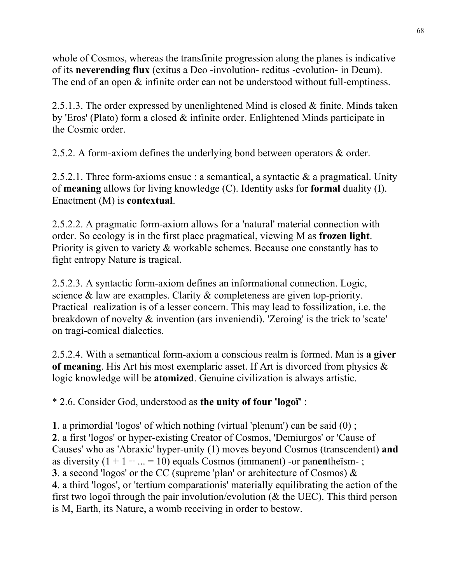whole of Cosmos, whereas the transfinite progression along the planes is indicative of its **neverending flux** (exitus a Deo -involution- reditus -evolution- in Deum). The end of an open  $\&$  infinite order can not be understood without full-emptiness.

2.5.1.3. The order expressed by unenlightened Mind is closed & finite. Minds taken by 'Eros' (Plato) form a closed & infinite order. Enlightened Minds participate in the Cosmic order.

2.5.2. A form-axiom defines the underlying bond between operators & order.

2.5.2.1. Three form-axioms ensue : a semantical, a syntactic  $\&$  a pragmatical. Unity of **meaning** allows for living knowledge (C). Identity asks for **formal** duality (I). Enactment (M) is **contextual**.

2.5.2.2. A pragmatic form-axiom allows for a 'natural' material connection with order. So ecology is in the first place pragmatical, viewing M as **frozen light**. Priority is given to variety & workable schemes. Because one constantly has to fight entropy Nature is tragical.

2.5.2.3. A syntactic form-axiom defines an informational connection. Logic, science & law are examples. Clarity & completeness are given top-priority. Practical realization is of a lesser concern. This may lead to fossilization, i.e. the breakdown of novelty & invention (ars inveniendi). 'Zeroing' is the trick to 'scate' on tragi-comical dialectics.

2.5.2.4. With a semantical form-axiom a conscious realm is formed. Man is **a giver of meaning**. His Art his most exemplaric asset. If Art is divorced from physics & logic knowledge will be **atomized**. Genuine civilization is always artistic.

\* 2.6. Consider God, understood as **the unity of four 'logoï'** :

**1**. a primordial 'logos' of which nothing (virtual 'plenum') can be said (0) ; **2**. a first 'logos' or hyper-existing Creator of Cosmos, 'Demiurgos' or 'Cause of Causes' who as 'Abraxic' hyper-unity (1) moves beyond Cosmos (transcendent) **and** as diversity  $(1 + 1 + ... = 10)$  equals Cosmos (immanent) -or panenthe<sup>ssm-</sup>; **3**. a second 'logos' or the CC (supreme 'plan' or architecture of Cosmos) & **4**. a third 'logos', or 'tertium comparationis' materially equilibrating the action of the first two logoï through the pair involution/evolution (& the UEC). This third person is M, Earth, its Nature, a womb receiving in order to bestow.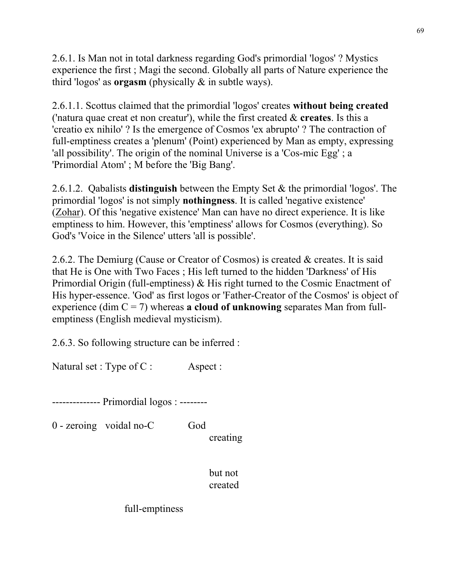2.6.1. Is Man not in total darkness regarding God's primordial 'logos' ? Mystics experience the first ; Magi the second. Globally all parts of Nature experience the third 'logos' as **orgasm** (physically & in subtle ways).

2.6.1.1. Scottus claimed that the primordial 'logos' creates **without being created** ('natura quae creat et non creatur'), while the first created & **creates**. Is this a 'creatio ex nihilo' ? Is the emergence of Cosmos 'ex abrupto' ? The contraction of full-emptiness creates a 'plenum' (Point) experienced by Man as empty, expressing 'all possibility'. The origin of the nominal Universe is a 'Cos-mic Egg' ; a 'Primordial Atom' ; M before the 'Big Bang'.

2.6.1.2. Qabalists **distinguish** between the Empty Set & the primordial 'logos'. The primordial 'logos' is not simply **nothingness**. It is called 'negative existence' (Zohar). Of this 'negative existence' Man can have no direct experience. It is like emptiness to him. However, this 'emptiness' allows for Cosmos (everything). So God's 'Voice in the Silence' utters 'all is possible'.

2.6.2. The Demiurg (Cause or Creator of Cosmos) is created & creates. It is said that He is One with Two Faces ; His left turned to the hidden 'Darkness' of His Primordial Origin (full-emptiness) & His right turned to the Cosmic Enactment of His hyper-essence. 'God' as first logos or 'Father-Creator of the Cosmos' is object of experience (dim C = 7) whereas **a cloud of unknowing** separates Man from fullemptiness (English medieval mysticism).

2.6.3. So following structure can be inferred :

Natural set : Type of C : Aspect :

-------------- Primordial logos : --------

0 - zeroing voidal no-C God

creating

 but not created

full-emptiness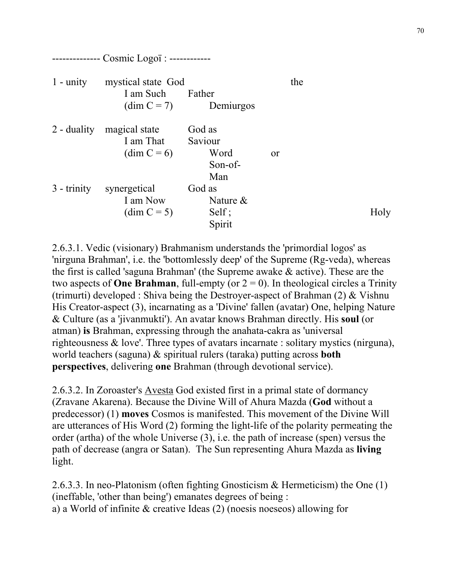| $1 -$ unity   | mystical state God<br>I am Such<br>$\dim C = 7$ | Father<br>Demiurgos                         | the |      |
|---------------|-------------------------------------------------|---------------------------------------------|-----|------|
| $2$ - duality | magical state<br>I am That<br>$\dim C = 6$      | God as<br>Saviour<br>Word<br>Son-of-<br>Man | or  |      |
| $3 -$ trinity | synergetical<br>I am Now<br>$(dim C = 5)$       | God as<br>Nature $\&$<br>Self;<br>Spirit    |     | Holy |

2.6.3.1. Vedic (visionary) Brahmanism understands the 'primordial logos' as 'nirguna Brahman', i.e. the 'bottomlessly deep' of the Supreme (Rg-veda), whereas the first is called 'saguna Brahman' (the Supreme awake & active). These are the two aspects of **One Brahman**, full-empty (or  $2 = 0$ ). In theological circles a Trinity (trimurti) developed : Shiva being the Destroyer-aspect of Brahman (2) & Vishnu His Creator-aspect (3), incarnating as a 'Divine' fallen (avatar) One, helping Nature & Culture (as a 'jivanmukti'). An avatar knows Brahman directly. His **soul** (or atman) **is** Brahman, expressing through the anahata-cakra as 'universal righteousness & love'. Three types of avatars incarnate : solitary mystics (nirguna), world teachers (saguna) & spiritual rulers (taraka) putting across **both perspectives**, delivering **one** Brahman (through devotional service).

2.6.3.2. In Zoroaster's Avesta God existed first in a primal state of dormancy (Zravane Akarena). Because the Divine Will of Ahura Mazda (**God** without a predecessor) (1) **moves** Cosmos is manifested. This movement of the Divine Will are utterances of His Word (2) forming the light-life of the polarity permeating the order (artha) of the whole Universe (3), i.e. the path of increase (spen) versus the path of decrease (angra or Satan). The Sun representing Ahura Mazda as **living** light.

2.6.3.3. In neo-Platonism (often fighting Gnosticism & Hermeticism) the One (1) (ineffable, 'other than being') emanates degrees of being : a) a World of infinite & creative Ideas (2) (noesis noeseos) allowing for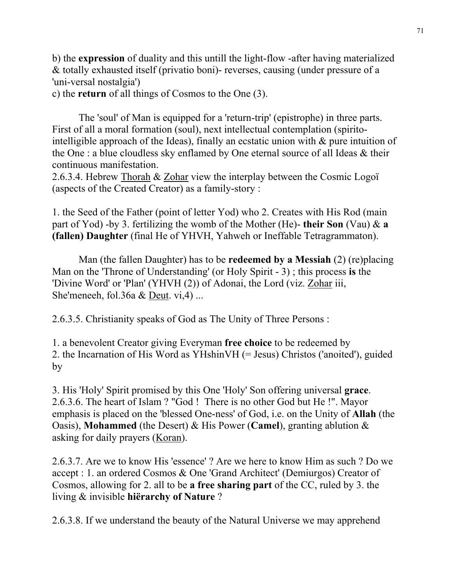b) the **expression** of duality and this untill the light-flow -after having materialized & totally exhausted itself (privatio boni)- reverses, causing (under pressure of a 'uni-versal nostalgia')

c) the **return** of all things of Cosmos to the One (3).

 The 'soul' of Man is equipped for a 'return-trip' (epistrophe) in three parts. First of all a moral formation (soul), next intellectual contemplation (spiritointelligible approach of the Ideas), finally an ecstatic union with  $\&$  pure intuition of the One : a blue cloudless sky enflamed by One eternal source of all Ideas & their continuous manifestation.

2.6.3.4. Hebrew Thorah & Zohar view the interplay between the Cosmic Logoï (aspects of the Created Creator) as a family-story :

1. the Seed of the Father (point of letter Yod) who 2. Creates with His Rod (main part of Yod) -by 3. fertilizing the womb of the Mother (He)- **their Son** (Vau) & **a (fallen) Daughter** (final He of YHVH, Yahweh or Ineffable Tetragrammaton).

 Man (the fallen Daughter) has to be **redeemed by a Messiah** (2) (re)placing Man on the 'Throne of Understanding' (or Holy Spirit - 3) ; this process **is** the 'Divine Word' or 'Plan' (YHVH (2)) of Adonai, the Lord (viz. Zohar iii, She'meneeh, fol.36a & Deut. vi,4) ...

2.6.3.5. Christianity speaks of God as The Unity of Three Persons :

1. a benevolent Creator giving Everyman **free choice** to be redeemed by 2. the Incarnation of His Word as YHshinVH (= Jesus) Christos ('anoited'), guided by

3. His 'Holy' Spirit promised by this One 'Holy' Son offering universal **grace**. 2.6.3.6. The heart of Islam ? "God ! There is no other God but He !". Mayor emphasis is placed on the 'blessed One-ness' of God, i.e. on the Unity of **Allah** (the Oasis), **Mohammed** (the Desert) & His Power (**Camel**), granting ablution & asking for daily prayers (Koran).

2.6.3.7. Are we to know His 'essence' ? Are we here to know Him as such ? Do we accept : 1. an ordered Cosmos & One 'Grand Architect' (Demiurgos) Creator of Cosmos, allowing for 2. all to be **a free sharing part** of the CC, ruled by 3. the living & invisible **hiërarchy of Nature** ?

2.6.3.8. If we understand the beauty of the Natural Universe we may apprehend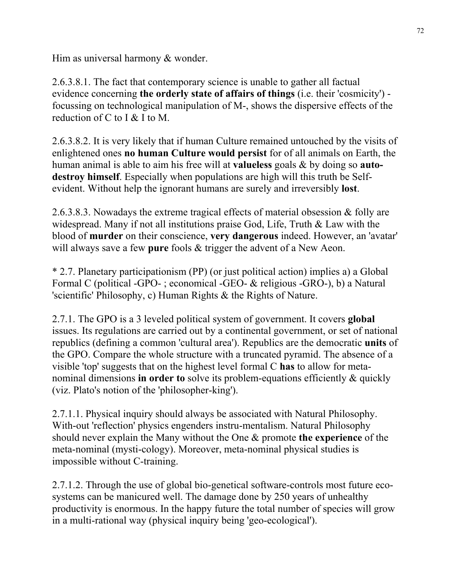Him as universal harmony & wonder.

2.6.3.8.1. The fact that contemporary science is unable to gather all factual evidence concerning **the orderly state of affairs of things** (i.e. their 'cosmicity') focussing on technological manipulation of M-, shows the dispersive effects of the reduction of C to I & I to M.

2.6.3.8.2. It is very likely that if human Culture remained untouched by the visits of enlightened ones **no human Culture would persist** for of all animals on Earth, the human animal is able to aim his free will at **valueless** goals & by doing so **autodestroy himself**. Especially when populations are high will this truth be Selfevident. Without help the ignorant humans are surely and irreversibly **lost**.

2.6.3.8.3. Nowadays the extreme tragical effects of material obsession & folly are widespread. Many if not all institutions praise God, Life, Truth & Law with the blood of **murder** on their conscience, **very dangerous** indeed. However, an 'avatar' will always save a few **pure** fools & trigger the advent of a New Aeon.

\* 2.7. Planetary participationism (PP) (or just political action) implies a) a Global Formal C (political -GPO- ; economical -GEO- & religious -GRO-), b) a Natural 'scientific' Philosophy, c) Human Rights & the Rights of Nature.

2.7.1. The GPO is a 3 leveled political system of government. It covers **global** issues. Its regulations are carried out by a continental government, or set of national republics (defining a common 'cultural area'). Republics are the democratic **units** of the GPO. Compare the whole structure with a truncated pyramid. The absence of a visible 'top' suggests that on the highest level formal C **has** to allow for metanominal dimensions **in order to** solve its problem-equations efficiently & quickly (viz. Plato's notion of the 'philosopher-king').

2.7.1.1. Physical inquiry should always be associated with Natural Philosophy. With-out 'reflection' physics engenders instru-mentalism. Natural Philosophy should never explain the Many without the One & promote **the experience** of the meta-nominal (mysti-cology). Moreover, meta-nominal physical studies is impossible without C-training.

2.7.1.2. Through the use of global bio-genetical software-controls most future ecosystems can be manicured well. The damage done by 250 years of unhealthy productivity is enormous. In the happy future the total number of species will grow in a multi-rational way (physical inquiry being 'geo-ecological').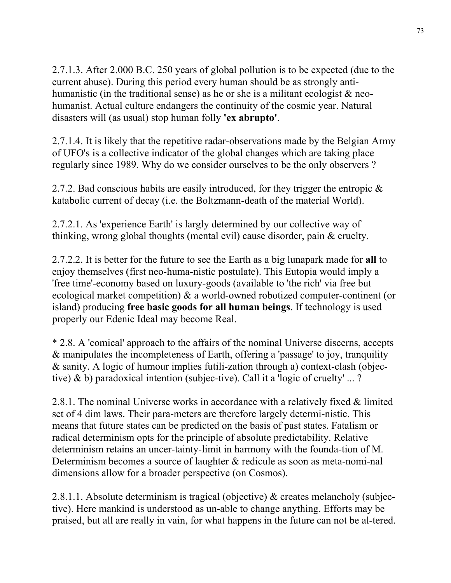2.7.1.3. After 2.000 B.C. 250 years of global pollution is to be expected (due to the current abuse). During this period every human should be as strongly antihumanistic (in the traditional sense) as he or she is a militant ecologist  $\&$  neohumanist. Actual culture endangers the continuity of the cosmic year. Natural disasters will (as usual) stop human folly **'ex abrupto'**.

2.7.1.4. It is likely that the repetitive radar-observations made by the Belgian Army of UFO's is a collective indicator of the global changes which are taking place regularly since 1989. Why do we consider ourselves to be the only observers ?

2.7.2. Bad conscious habits are easily introduced, for they trigger the entropic  $\&$ katabolic current of decay (i.e. the Boltzmann-death of the material World).

2.7.2.1. As 'experience Earth' is largly determined by our collective way of thinking, wrong global thoughts (mental evil) cause disorder, pain & cruelty.

2.7.2.2. It is better for the future to see the Earth as a big lunapark made for **all** to enjoy themselves (first neo-huma-nistic postulate). This Eutopia would imply a 'free time'-economy based on luxury-goods (available to 'the rich' via free but ecological market competition) & a world-owned robotized computer-continent (or island) producing **free basic goods for all human beings**. If technology is used properly our Edenic Ideal may become Real.

\* 2.8. A 'comical' approach to the affairs of the nominal Universe discerns, accepts & manipulates the incompleteness of Earth, offering a 'passage' to joy, tranquility & sanity. A logic of humour implies futili-zation through a) context-clash (objective) & b) paradoxical intention (subjec-tive). Call it a 'logic of cruelty' ... ?

2.8.1. The nominal Universe works in accordance with a relatively fixed & limited set of 4 dim laws. Their para-meters are therefore largely determi-nistic. This means that future states can be predicted on the basis of past states. Fatalism or radical determinism opts for the principle of absolute predictability. Relative determinism retains an uncer-tainty-limit in harmony with the founda-tion of M. Determinism becomes a source of laughter & redicule as soon as meta-nomi-nal dimensions allow for a broader perspective (on Cosmos).

2.8.1.1. Absolute determinism is tragical (objective) & creates melancholy (subjective). Here mankind is understood as un-able to change anything. Efforts may be praised, but all are really in vain, for what happens in the future can not be al-tered.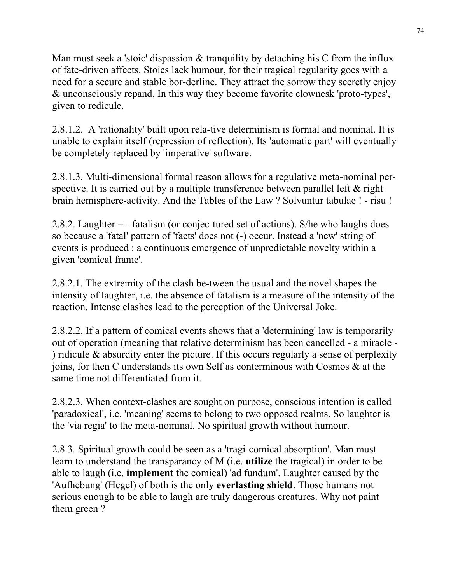Man must seek a 'stoic' dispassion  $\&$  tranquility by detaching his C from the influx of fate-driven affects. Stoics lack humour, for their tragical regularity goes with a need for a secure and stable bor-derline. They attract the sorrow they secretly enjoy & unconsciously repand. In this way they become favorite clownesk 'proto-types', given to redicule.

2.8.1.2. A 'rationality' built upon rela-tive determinism is formal and nominal. It is unable to explain itself (repression of reflection). Its 'automatic part' will eventually be completely replaced by 'imperative' software.

2.8.1.3. Multi-dimensional formal reason allows for a regulative meta-nominal perspective. It is carried out by a multiple transference between parallel left & right brain hemisphere-activity. And the Tables of the Law ? Solvuntur tabulae ! - risu !

2.8.2. Laughter = - fatalism (or conjec-tured set of actions). S/he who laughs does so because a 'fatal' pattern of 'facts' does not (-) occur. Instead a 'new' string of events is produced : a continuous emergence of unpredictable novelty within a given 'comical frame'.

2.8.2.1. The extremity of the clash be-tween the usual and the novel shapes the intensity of laughter, i.e. the absence of fatalism is a measure of the intensity of the reaction. Intense clashes lead to the perception of the Universal Joke.

2.8.2.2. If a pattern of comical events shows that a 'determining' law is temporarily out of operation (meaning that relative determinism has been cancelled - a miracle - ) ridicule & absurdity enter the picture. If this occurs regularly a sense of perplexity joins, for then C understands its own Self as conterminous with Cosmos & at the same time not differentiated from it.

2.8.2.3. When context-clashes are sought on purpose, conscious intention is called 'paradoxical', i.e. 'meaning' seems to belong to two opposed realms. So laughter is the 'via regia' to the meta-nominal. No spiritual growth without humour.

2.8.3. Spiritual growth could be seen as a 'tragi-comical absorption'. Man must learn to understand the transparancy of M (i.e. **utilize** the tragical) in order to be able to laugh (i.e. **implement** the comical) 'ad fundum'. Laughter caused by the 'Aufhebung' (Hegel) of both is the only **everlasting shield**. Those humans not serious enough to be able to laugh are truly dangerous creatures. Why not paint them green ?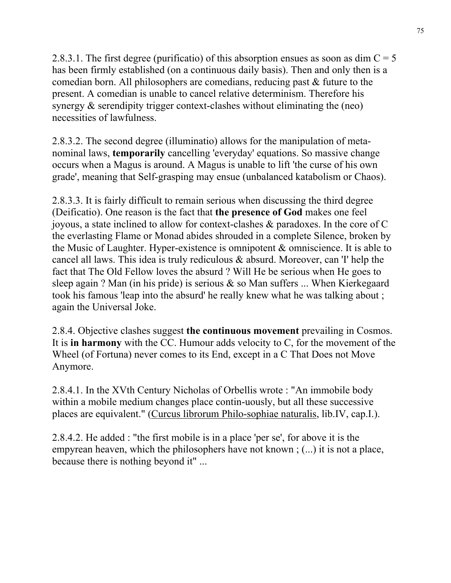2.8.3.1. The first degree (purificatio) of this absorption ensues as soon as dim  $C = 5$ has been firmly established (on a continuous daily basis). Then and only then is a comedian born. All philosophers are comedians, reducing past & future to the present. A comedian is unable to cancel relative determinism. Therefore his synergy & serendipity trigger context-clashes without eliminating the (neo) necessities of lawfulness.

2.8.3.2. The second degree (illuminatio) allows for the manipulation of metanominal laws, **temporarily** cancelling 'everyday' equations. So massive change occurs when a Magus is around. A Magus is unable to lift 'the curse of his own grade', meaning that Self-grasping may ensue (unbalanced katabolism or Chaos).

2.8.3.3. It is fairly difficult to remain serious when discussing the third degree (Deificatio). One reason is the fact that **the presence of God** makes one feel joyous, a state inclined to allow for context-clashes & paradoxes. In the core of C the everlasting Flame or Monad abides shrouded in a complete Silence, broken by the Music of Laughter. Hyper-existence is omnipotent & omniscience. It is able to cancel all laws. This idea is truly rediculous & absurd. Moreover, can 'I' help the fact that The Old Fellow loves the absurd ? Will He be serious when He goes to sleep again ? Man (in his pride) is serious  $\&$  so Man suffers ... When Kierkegaard took his famous 'leap into the absurd' he really knew what he was talking about ; again the Universal Joke.

2.8.4. Objective clashes suggest **the continuous movement** prevailing in Cosmos. It is **in harmony** with the CC. Humour adds velocity to C, for the movement of the Wheel (of Fortuna) never comes to its End, except in a C That Does not Move Anymore.

2.8.4.1. In the XVth Century Nicholas of Orbellis wrote : "An immobile body within a mobile medium changes place contin-uously, but all these successive places are equivalent." (Curcus librorum Philo-sophiae naturalis, lib.IV, cap.I.).

2.8.4.2. He added : "the first mobile is in a place 'per se', for above it is the empyrean heaven, which the philosophers have not known ; (...) it is not a place, because there is nothing beyond it" ...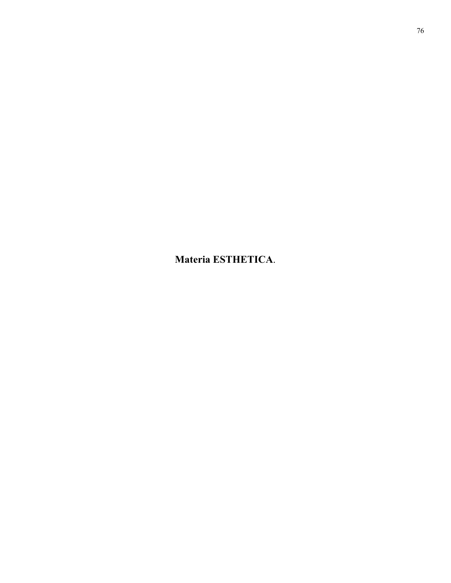**Materia ESTHETICA**.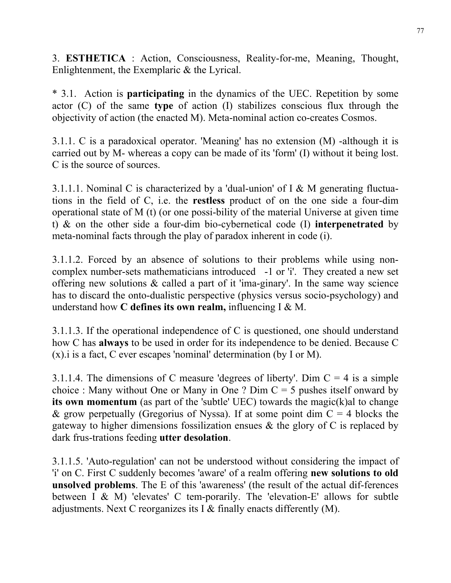3. **ESTHETICA** : Action, Consciousness, Reality-for-me, Meaning, Thought, Enlightenment, the Exemplaric & the Lyrical.

\* 3.1. Action is **participating** in the dynamics of the UEC. Repetition by some actor (C) of the same **type** of action (I) stabilizes conscious flux through the objectivity of action (the enacted M). Meta-nominal action co-creates Cosmos.

3.1.1. C is a paradoxical operator. 'Meaning' has no extension (M) -although it is carried out by M- whereas a copy can be made of its 'form' (I) without it being lost. C is the source of sources.

3.1.1.1. Nominal C is characterized by a 'dual-union' of I & M generating fluctuations in the field of C, i.e. the **restless** product of on the one side a four-dim operational state of M (t) (or one possi-bility of the material Universe at given time t) & on the other side a four-dim bio-cybernetical code (I) **interpenetrated** by meta-nominal facts through the play of paradox inherent in code (i).

3.1.1.2. Forced by an absence of solutions to their problems while using noncomplex number-sets mathematicians introduced -1 or 'i'. They created a new set offering new solutions & called a part of it 'ima-ginary'. In the same way science has to discard the onto-dualistic perspective (physics versus socio-psychology) and understand how **C defines its own realm,** influencing I & M.

3.1.1.3. If the operational independence of C is questioned, one should understand how C has **always** to be used in order for its independence to be denied. Because C (x).i is a fact, C ever escapes 'nominal' determination (by I or M).

3.1.1.4. The dimensions of C measure 'degrees of liberty'. Dim  $C = 4$  is a simple choice : Many without One or Many in One ? Dim  $C = 5$  pushes itself onward by **its own momentum** (as part of the 'subtle' UEC) towards the magic(k)al to change & grow perpetually (Gregorius of Nyssa). If at some point dim  $C = 4$  blocks the gateway to higher dimensions fossilization ensues & the glory of C is replaced by dark frus-trations feeding **utter desolation**.

3.1.1.5. 'Auto-regulation' can not be understood without considering the impact of 'i' on C. First C suddenly becomes 'aware' of a realm offering **new solutions to old unsolved problems**. The E of this 'awareness' (the result of the actual dif-ferences between I & M) 'elevates' C tem-porarily. The 'elevation-E' allows for subtle adjustments. Next C reorganizes its I & finally enacts differently (M).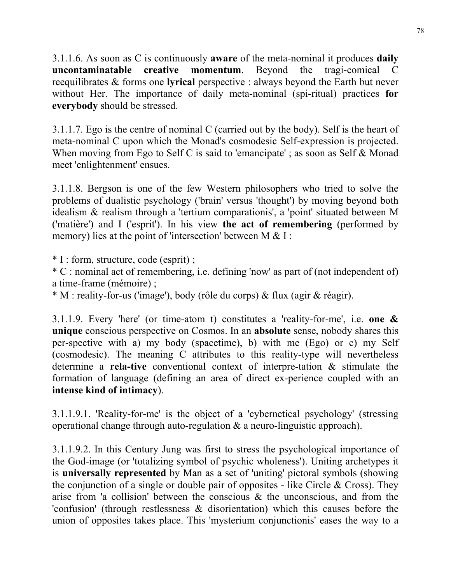3.1.1.6. As soon as C is continuously **aware** of the meta-nominal it produces **daily uncontaminatable creative momentum**. Beyond the tragi-comical reequilibrates & forms one **lyrical** perspective : always beyond the Earth but never without Her. The importance of daily meta-nominal (spi-ritual) practices **for everybody** should be stressed.

3.1.1.7. Ego is the centre of nominal C (carried out by the body). Self is the heart of meta-nominal C upon which the Monad's cosmodesic Self-expression is projected. When moving from Ego to Self C is said to 'emancipate'; as soon as Self & Monad meet 'enlightenment' ensues.

3.1.1.8. Bergson is one of the few Western philosophers who tried to solve the problems of dualistic psychology ('brain' versus 'thought') by moving beyond both idealism & realism through a 'tertium comparationis', a 'point' situated between M ('matière') and I ('esprit'). In his view **the act of remembering** (performed by memory) lies at the point of 'intersection' between M  $& 1$  :

\* I : form, structure, code (esprit) ;

\* C : nominal act of remembering, i.e. defining 'now' as part of (not independent of) a time-frame (mémoire) ;

\* M : reality-for-us ('image'), body (rôle du corps) & flux (agir & réagir).

3.1.1.9. Every 'here' (or time-atom t) constitutes a 'reality-for-me', i.e. **one & unique** conscious perspective on Cosmos. In an **absolute** sense, nobody shares this per-spective with a) my body (spacetime), b) with me (Ego) or c) my Self (cosmodesic). The meaning C attributes to this reality-type will nevertheless determine a **rela-tive** conventional context of interpre-tation & stimulate the formation of language (defining an area of direct ex-perience coupled with an **intense kind of intimacy**).

3.1.1.9.1. 'Reality-for-me' is the object of a 'cybernetical psychology' (stressing operational change through auto-regulation & a neuro-linguistic approach).

3.1.1.9.2. In this Century Jung was first to stress the psychological importance of the God-image (or 'totalizing symbol of psychic wholeness'). Uniting archetypes it is **universally represented** by Man as a set of 'uniting' pictoral symbols (showing the conjunction of a single or double pair of opposites - like Circle  $& Cross$ ). They arise from 'a collision' between the conscious  $\&$  the unconscious, and from the 'confusion' (through restlessness & disorientation) which this causes before the union of opposites takes place. This 'mysterium conjunctionis' eases the way to a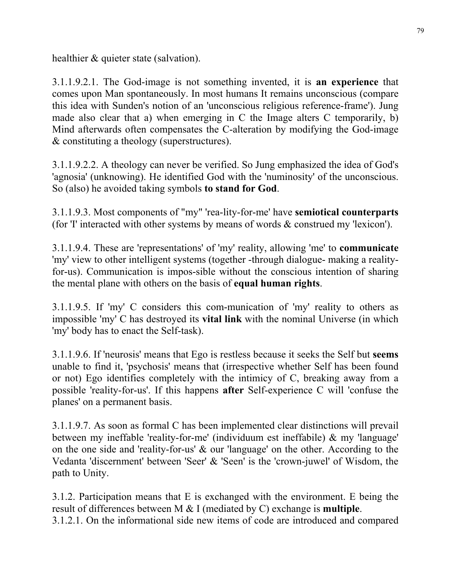healthier & quieter state (salvation).

3.1.1.9.2.1. The God-image is not something invented, it is **an experience** that comes upon Man spontaneously. In most humans It remains unconscious (compare this idea with Sunden's notion of an 'unconscious religious reference-frame'). Jung made also clear that a) when emerging in C the Image alters C temporarily, b) Mind afterwards often compensates the C-alteration by modifying the God-image & constituting a theology (superstructures).

3.1.1.9.2.2. A theology can never be verified. So Jung emphasized the idea of God's 'agnosia' (unknowing). He identified God with the 'numinosity' of the unconscious. So (also) he avoided taking symbols **to stand for God**.

3.1.1.9.3. Most components of "my" 'rea-lity-for-me' have **semiotical counterparts** (for 'I' interacted with other systems by means of words & construed my 'lexicon').

3.1.1.9.4. These are 'representations' of 'my' reality, allowing 'me' to **communicate** 'my' view to other intelligent systems (together -through dialogue- making a realityfor-us). Communication is impos-sible without the conscious intention of sharing the mental plane with others on the basis of **equal human rights**.

3.1.1.9.5. If 'my' C considers this com-munication of 'my' reality to others as impossible 'my' C has destroyed its **vital link** with the nominal Universe (in which 'my' body has to enact the Self-task).

3.1.1.9.6. If 'neurosis' means that Ego is restless because it seeks the Self but **seems** unable to find it, 'psychosis' means that (irrespective whether Self has been found or not) Ego identifies completely with the intimicy of C, breaking away from a possible 'reality-for-us'. If this happens **after** Self-experience C will 'confuse the planes' on a permanent basis.

3.1.1.9.7. As soon as formal C has been implemented clear distinctions will prevail between my ineffable 'reality-for-me' (individuum est ineffabile) & my 'language' on the one side and 'reality-for-us' & our 'language' on the other. According to the Vedanta 'discernment' between 'Seer' & 'Seen' is the 'crown-juwel' of Wisdom, the path to Unity.

3.1.2. Participation means that E is exchanged with the environment. E being the result of differences between M & I (mediated by C) exchange is **multiple**.

3.1.2.1. On the informational side new items of code are introduced and compared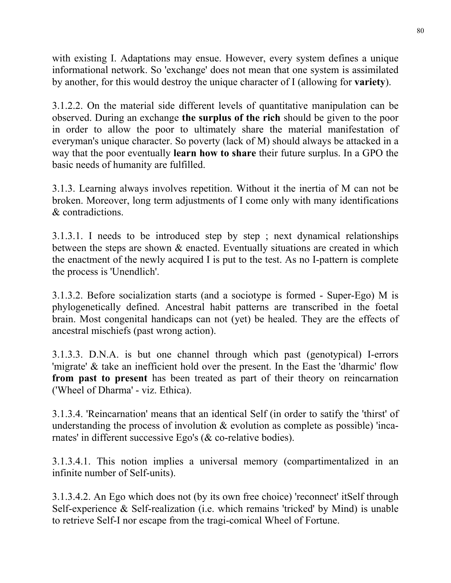with existing I. Adaptations may ensue. However, every system defines a unique informational network. So 'exchange' does not mean that one system is assimilated by another, for this would destroy the unique character of I (allowing for **variety**).

3.1.2.2. On the material side different levels of quantitative manipulation can be observed. During an exchange **the surplus of the rich** should be given to the poor in order to allow the poor to ultimately share the material manifestation of everyman's unique character. So poverty (lack of M) should always be attacked in a way that the poor eventually **learn how to share** their future surplus. In a GPO the basic needs of humanity are fulfilled.

3.1.3. Learning always involves repetition. Without it the inertia of M can not be broken. Moreover, long term adjustments of I come only with many identifications & contradictions.

3.1.3.1. I needs to be introduced step by step ; next dynamical relationships between the steps are shown & enacted. Eventually situations are created in which the enactment of the newly acquired I is put to the test. As no I-pattern is complete the process is 'Unendlich'.

3.1.3.2. Before socialization starts (and a sociotype is formed - Super-Ego) M is phylogenetically defined. Ancestral habit patterns are transcribed in the foetal brain. Most congenital handicaps can not (yet) be healed. They are the effects of ancestral mischiefs (past wrong action).

3.1.3.3. D.N.A. is but one channel through which past (genotypical) I-errors 'migrate' & take an inefficient hold over the present. In the East the 'dharmic' flow **from past to present** has been treated as part of their theory on reincarnation ('Wheel of Dharma' - viz. Ethica).

3.1.3.4. 'Reincarnation' means that an identical Self (in order to satify the 'thirst' of understanding the process of involution  $\&$  evolution as complete as possible) 'incarnates' in different successive Ego's (& co-relative bodies).

3.1.3.4.1. This notion implies a universal memory (compartimentalized in an infinite number of Self-units).

3.1.3.4.2. An Ego which does not (by its own free choice) 'reconnect' itSelf through Self-experience & Self-realization (i.e. which remains 'tricked' by Mind) is unable to retrieve Self-I nor escape from the tragi-comical Wheel of Fortune.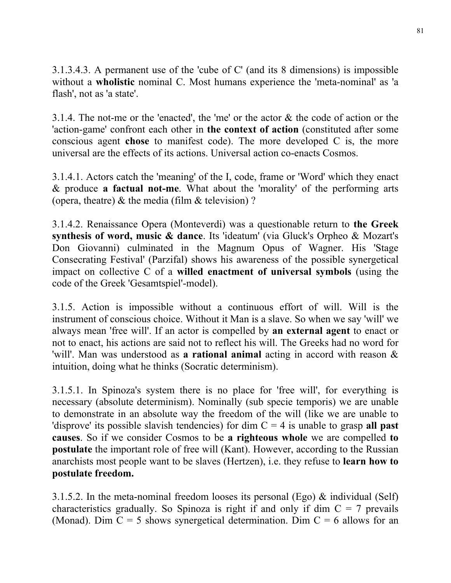3.1.3.4.3. A permanent use of the 'cube of C' (and its 8 dimensions) is impossible without a **wholistic** nominal C. Most humans experience the 'meta-nominal' as 'a flash', not as 'a state'.

3.1.4. The not-me or the 'enacted', the 'me' or the actor & the code of action or the 'action-game' confront each other in **the context of action** (constituted after some conscious agent **chose** to manifest code). The more developed C is, the more universal are the effects of its actions. Universal action co-enacts Cosmos.

3.1.4.1. Actors catch the 'meaning' of the I, code, frame or 'Word' which they enact & produce **a factual not-me**. What about the 'morality' of the performing arts (opera, theatre)  $\&$  the media (film  $&$  television) ?

3.1.4.2. Renaissance Opera (Monteverdi) was a questionable return to **the Greek synthesis of word, music & dance**. Its 'ideatum' (via Gluck's Orpheo & Mozart's Don Giovanni) culminated in the Magnum Opus of Wagner. His 'Stage Consecrating Festival' (Parzifal) shows his awareness of the possible synergetical impact on collective C of a **willed enactment of universal symbols** (using the code of the Greek 'Gesamtspiel'-model).

3.1.5. Action is impossible without a continuous effort of will. Will is the instrument of conscious choice. Without it Man is a slave. So when we say 'will' we always mean 'free will'. If an actor is compelled by **an external agent** to enact or not to enact, his actions are said not to reflect his will. The Greeks had no word for 'will'. Man was understood as **a rational animal** acting in accord with reason & intuition, doing what he thinks (Socratic determinism).

3.1.5.1. In Spinoza's system there is no place for 'free will', for everything is necessary (absolute determinism). Nominally (sub specie temporis) we are unable to demonstrate in an absolute way the freedom of the will (like we are unable to 'disprove' its possible slavish tendencies) for dim C = 4 is unable to grasp **all past causes**. So if we consider Cosmos to be **a righteous whole** we are compelled **to postulate** the important role of free will (Kant). However, according to the Russian anarchists most people want to be slaves (Hertzen), i.e. they refuse to **learn how to postulate freedom.** 

3.1.5.2. In the meta-nominal freedom looses its personal (Ego) & individual (Self) characteristics gradually. So Spinoza is right if and only if dim  $C = 7$  prevails (Monad). Dim  $C = 5$  shows synergetical determination. Dim  $C = 6$  allows for an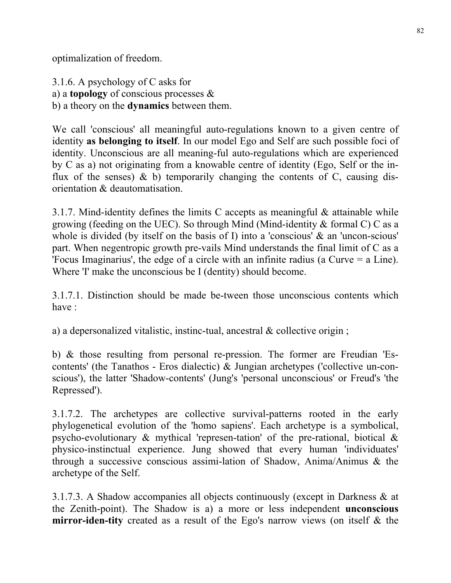optimalization of freedom.

3.1.6. A psychology of C asks for a) a **topology** of conscious processes & b) a theory on the **dynamics** between them.

We call 'conscious' all meaningful auto-regulations known to a given centre of identity **as belonging to itself**. In our model Ego and Self are such possible foci of identity. Unconscious are all meaning-ful auto-regulations which are experienced by C as a) not originating from a knowable centre of identity (Ego, Self or the influx of the senses)  $\&$  b) temporarily changing the contents of C, causing disorientation & deautomatisation.

3.1.7. Mind-identity defines the limits C accepts as meaningful & attainable while growing (feeding on the UEC). So through Mind (Mind-identity & formal C) C as a whole is divided (by itself on the basis of I) into a 'conscious' & an 'uncon-scious' part. When negentropic growth pre-vails Mind understands the final limit of C as a 'Focus Imaginarius', the edge of a circle with an infinite radius (a Curve = a Line). Where 'I' make the unconscious be I (dentity) should become.

3.1.7.1. Distinction should be made be-tween those unconscious contents which have :

a) a depersonalized vitalistic, instinc-tual, ancestral & collective origin ;

b) & those resulting from personal re-pression. The former are Freudian 'Escontents' (the Tanathos - Eros dialectic) & Jungian archetypes ('collective un-conscious'), the latter 'Shadow-contents' (Jung's 'personal unconscious' or Freud's 'the Repressed').

3.1.7.2. The archetypes are collective survival-patterns rooted in the early phylogenetical evolution of the 'homo sapiens'. Each archetype is a symbolical, psycho-evolutionary & mythical 'represen-tation' of the pre-rational, biotical & physico-instinctual experience. Jung showed that every human 'individuates' through a successive conscious assimi-lation of Shadow, Anima/Animus & the archetype of the Self.

3.1.7.3. A Shadow accompanies all objects continuously (except in Darkness & at the Zenith-point). The Shadow is a) a more or less independent **unconscious mirror-iden-tity** created as a result of the Ego's narrow views (on itself & the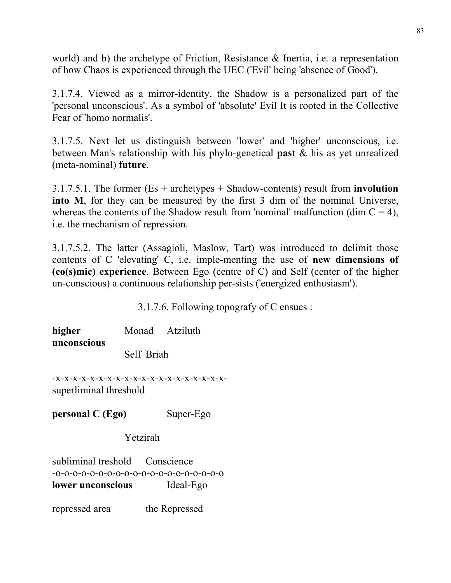world) and b) the archetype of Friction, Resistance & Inertia, i.e. a representation of how Chaos is experienced through the UEC ('Evil' being 'absence of Good').

3.1.7.4. Viewed as a mirror-identity, the Shadow is a personalized part of the 'personal unconscious'. As a symbol of 'absolute' Evil It is rooted in the Collective Fear of 'homo normalis'.

3.1.7.5. Next let us distinguish between 'lower' and 'higher' unconscious, i.e. between Man's relationship with his phylo-genetical **past** & his as yet unrealized (meta-nominal) **future**.

3.1.7.5.1. The former (Es + archetypes + Shadow-contents) result from **involution into M**, for they can be measured by the first 3 dim of the nominal Universe, whereas the contents of the Shadow result from 'nominal' malfunction (dim  $C = 4$ ), i.e. the mechanism of repression.

3.1.7.5.2. The latter (Assagioli, Maslow, Tart) was introduced to delimit those contents of C 'elevating' C, i.e. imple-menting the use of **new dimensions of (co(s)mic) experience**. Between Ego (centre of C) and Self (center of the higher un-conscious) a continuous relationship per-sists ('energized enthusiasm').

3.1.7.6. Following topografy of C ensues :

**higher** Monad Atziluth **unconscious**  Self Briah

-x-x-x-x-x-x-x-x-x-x-x-x-x-x-x-x-x-x-x-xsuperliminal threshold

**personal C (Ego)** Super-Ego

Yetzirah

subliminal treshold Conscience -o-o-o-o-o-o-o-o-o-o-o-o-o-o-o-o-o-o-o-o **lower unconscious** Ideal-Ego

repressed area the Repressed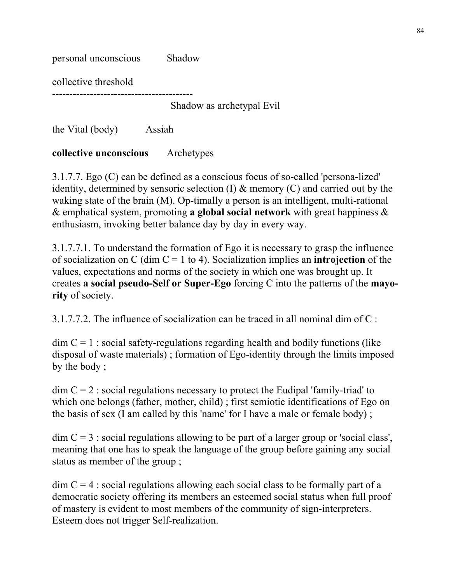| personal unconscious | Shadow                    |
|----------------------|---------------------------|
| collective threshold |                           |
|                      | Shadow as archetypal Evil |

the Vital (body) Assiah

# **collective unconscious** Archetypes

3.1.7.7. Ego (C) can be defined as a conscious focus of so-called 'persona-lized' identity, determined by sensoric selection (I) & memory (C) and carried out by the waking state of the brain (M). Op-timally a person is an intelligent, multi-rational & emphatical system, promoting **a global social network** with great happiness & enthusiasm, invoking better balance day by day in every way.

3.1.7.7.1. To understand the formation of Ego it is necessary to grasp the influence of socialization on C (dim C = 1 to 4). Socialization implies an **introjection** of the values, expectations and norms of the society in which one was brought up. It creates **a social pseudo-Self or Super-Ego** forcing C into the patterns of the **mayority** of society.

3.1.7.7.2. The influence of socialization can be traced in all nominal dim of C :

 $\dim C = 1$ : social safety-regulations regarding health and bodily functions (like disposal of waste materials) ; formation of Ego-identity through the limits imposed by the body ;

 $\dim C = 2$ : social regulations necessary to protect the Eudipal 'family-triad' to which one belongs (father, mother, child) ; first semiotic identifications of Ego on the basis of sex (I am called by this 'name' for I have a male or female body) ;

 $\dim C = 3$ : social regulations allowing to be part of a larger group or 'social class', meaning that one has to speak the language of the group before gaining any social status as member of the group ;

 $\dim C = 4$ : social regulations allowing each social class to be formally part of a democratic society offering its members an esteemed social status when full proof of mastery is evident to most members of the community of sign-interpreters. Esteem does not trigger Self-realization.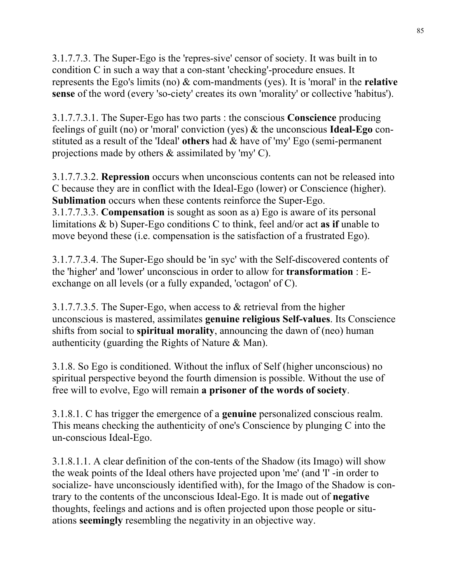3.1.7.7.3. The Super-Ego is the 'repres-sive' censor of society. It was built in to condition C in such a way that a con-stant 'checking'-procedure ensues. It represents the Ego's limits (no) & com-mandments (yes). It is 'moral' in the **relative sense** of the word (every 'so-ciety' creates its own 'morality' or collective 'habitus').

3.1.7.7.3.1. The Super-Ego has two parts : the conscious **Conscience** producing feelings of guilt (no) or 'moral' conviction (yes) & the unconscious **Ideal-Ego** constituted as a result of the 'Ideal' **others** had & have of 'my' Ego (semi-permanent projections made by others & assimilated by 'my' C).

3.1.7.7.3.2. **Repression** occurs when unconscious contents can not be released into C because they are in conflict with the Ideal-Ego (lower) or Conscience (higher). **Sublimation** occurs when these contents reinforce the Super-Ego. 3.1.7.7.3.3. **Compensation** is sought as soon as a) Ego is aware of its personal limitations & b) Super-Ego conditions C to think, feel and/or act **as if** unable to move beyond these (i.e. compensation is the satisfaction of a frustrated Ego).

3.1.7.7.3.4. The Super-Ego should be 'in syc' with the Self-discovered contents of the 'higher' and 'lower' unconscious in order to allow for **transformation** : Eexchange on all levels (or a fully expanded, 'octagon' of C).

3.1.7.7.3.5. The Super-Ego, when access to & retrieval from the higher unconscious is mastered, assimilates **genuine religious Self-values**. Its Conscience shifts from social to **spiritual morality**, announcing the dawn of (neo) human authenticity (guarding the Rights of Nature & Man).

3.1.8. So Ego is conditioned. Without the influx of Self (higher unconscious) no spiritual perspective beyond the fourth dimension is possible. Without the use of free will to evolve, Ego will remain **a prisoner of the words of society**.

3.1.8.1. C has trigger the emergence of a **genuine** personalized conscious realm. This means checking the authenticity of one's Conscience by plunging C into the un-conscious Ideal-Ego.

3.1.8.1.1. A clear definition of the con-tents of the Shadow (its Imago) will show the weak points of the Ideal others have projected upon 'me' (and 'I' -in order to socialize- have unconsciously identified with), for the Imago of the Shadow is contrary to the contents of the unconscious Ideal-Ego. It is made out of **negative** thoughts, feelings and actions and is often projected upon those people or situations **seemingly** resembling the negativity in an objective way.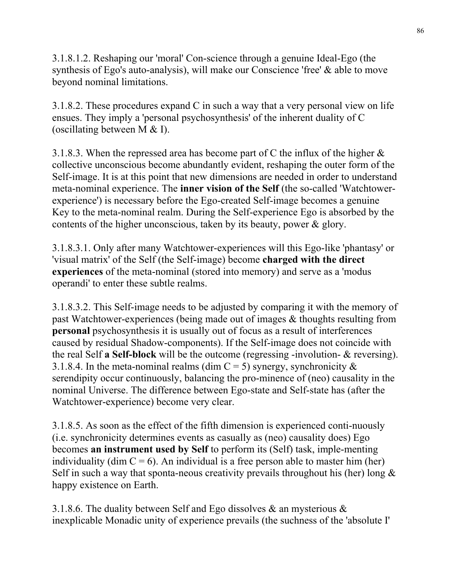3.1.8.1.2. Reshaping our 'moral' Con-science through a genuine Ideal-Ego (the synthesis of Ego's auto-analysis), will make our Conscience 'free' & able to move beyond nominal limitations.

3.1.8.2. These procedures expand C in such a way that a very personal view on life ensues. They imply a 'personal psychosynthesis' of the inherent duality of C (oscillating between M & I).

3.1.8.3. When the repressed area has become part of C the influx of the higher  $\&$ collective unconscious become abundantly evident, reshaping the outer form of the Self-image. It is at this point that new dimensions are needed in order to understand meta-nominal experience. The **inner vision of the Self** (the so-called 'Watchtowerexperience') is necessary before the Ego-created Self-image becomes a genuine Key to the meta-nominal realm. During the Self-experience Ego is absorbed by the contents of the higher unconscious, taken by its beauty, power & glory.

3.1.8.3.1. Only after many Watchtower-experiences will this Ego-like 'phantasy' or 'visual matrix' of the Self (the Self-image) become **charged with the direct experiences** of the meta-nominal (stored into memory) and serve as a 'modus operandi' to enter these subtle realms.

3.1.8.3.2. This Self-image needs to be adjusted by comparing it with the memory of past Watchtower-experiences (being made out of images & thoughts resulting from **personal** psychosynthesis it is usually out of focus as a result of interferences caused by residual Shadow-components). If the Self-image does not coincide with the real Self **a Self-block** will be the outcome (regressing -involution- & reversing). 3.1.8.4. In the meta-nominal realms (dim  $C = 5$ ) synergy, synchronicity  $\&$ serendipity occur continuously, balancing the pro-minence of (neo) causality in the nominal Universe. The difference between Ego-state and Self-state has (after the Watchtower-experience) become very clear.

3.1.8.5. As soon as the effect of the fifth dimension is experienced conti-nuously (i.e. synchronicity determines events as casually as (neo) causality does) Ego becomes **an instrument used by Self** to perform its (Self) task, imple-menting individuality (dim  $C = 6$ ). An individual is a free person able to master him (her) Self in such a way that sponta-neous creativity prevails throughout his (her) long  $\&$ happy existence on Earth.

3.1.8.6. The duality between Self and Ego dissolves  $\&$  an mysterious  $\&$ inexplicable Monadic unity of experience prevails (the suchness of the 'absolute I'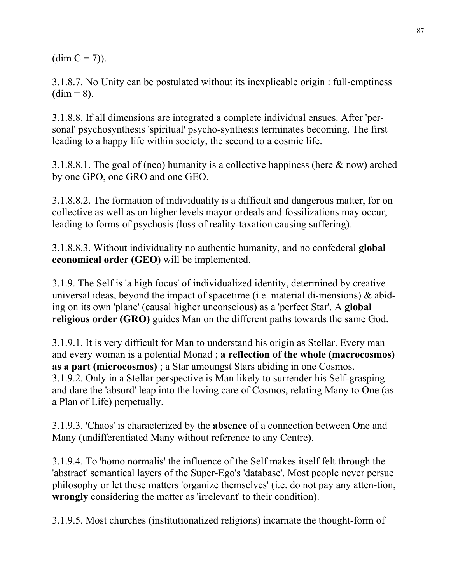$(dim C = 7)$ ).

3.1.8.7. No Unity can be postulated without its inexplicable origin : full-emptiness  $(dim = 8)$ .

3.1.8.8. If all dimensions are integrated a complete individual ensues. After 'personal' psychosynthesis 'spiritual' psycho-synthesis terminates becoming. The first leading to a happy life within society, the second to a cosmic life.

3.1.8.8.1. The goal of (neo) humanity is a collective happiness (here & now) arched by one GPO, one GRO and one GEO.

3.1.8.8.2. The formation of individuality is a difficult and dangerous matter, for on collective as well as on higher levels mayor ordeals and fossilizations may occur, leading to forms of psychosis (loss of reality-taxation causing suffering).

3.1.8.8.3. Without individuality no authentic humanity, and no confederal **global economical order (GEO)** will be implemented.

3.1.9. The Self is 'a high focus' of individualized identity, determined by creative universal ideas, beyond the impact of spacetime (i.e. material di-mensions)  $\&$  abiding on its own 'plane' (causal higher unconscious) as a 'perfect Star'. A **global religious order (GRO)** guides Man on the different paths towards the same God.

3.1.9.1. It is very difficult for Man to understand his origin as Stellar. Every man and every woman is a potential Monad ; **a reflection of the whole (macrocosmos) as a part (microcosmos)** ; a Star amoungst Stars abiding in one Cosmos. 3.1.9.2. Only in a Stellar perspective is Man likely to surrender his Self-grasping and dare the 'absurd' leap into the loving care of Cosmos, relating Many to One (as a Plan of Life) perpetually.

3.1.9.3. 'Chaos' is characterized by the **absence** of a connection between One and Many (undifferentiated Many without reference to any Centre).

3.1.9.4. To 'homo normalis' the influence of the Self makes itself felt through the 'abstract' semantical layers of the Super-Ego's 'database'. Most people never persue philosophy or let these matters 'organize themselves' (i.e. do not pay any atten-tion, **wrongly** considering the matter as 'irrelevant' to their condition).

3.1.9.5. Most churches (institutionalized religions) incarnate the thought-form of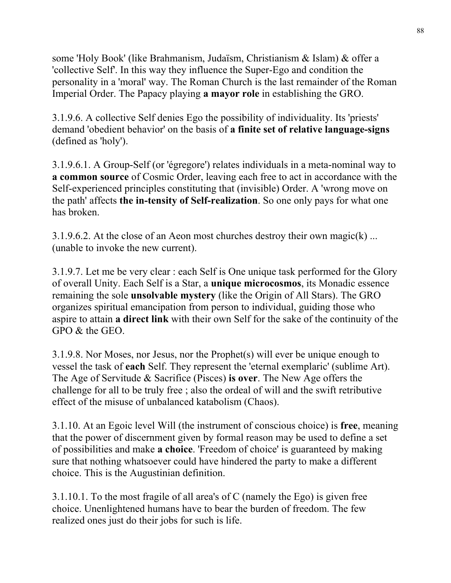some 'Holy Book' (like Brahmanism, Judaïsm, Christianism & Islam) & offer a 'collective Self'. In this way they influence the Super-Ego and condition the personality in a 'moral' way. The Roman Church is the last remainder of the Roman Imperial Order. The Papacy playing **a mayor role** in establishing the GRO.

3.1.9.6. A collective Self denies Ego the possibility of individuality. Its 'priests' demand 'obedient behavior' on the basis of **a finite set of relative language-signs** (defined as 'holy').

3.1.9.6.1. A Group-Self (or 'égregore') relates individuals in a meta-nominal way to **a common source** of Cosmic Order, leaving each free to act in accordance with the Self-experienced principles constituting that (invisible) Order. A 'wrong move on the path' affects **the in-tensity of Self-realization**. So one only pays for what one has broken.

3.1.9.6.2. At the close of an Aeon most churches destroy their own magic(k) ... (unable to invoke the new current).

3.1.9.7. Let me be very clear : each Self is One unique task performed for the Glory of overall Unity. Each Self is a Star, a **unique microcosmos**, its Monadic essence remaining the sole **unsolvable mystery** (like the Origin of All Stars). The GRO organizes spiritual emancipation from person to individual, guiding those who aspire to attain **a direct link** with their own Self for the sake of the continuity of the  $GPO & the GEO$ 

3.1.9.8. Nor Moses, nor Jesus, nor the Prophet(s) will ever be unique enough to vessel the task of **each** Self. They represent the 'eternal exemplaric' (sublime Art). The Age of Servitude & Sacrifice (Pisces) **is over**. The New Age offers the challenge for all to be truly free ; also the ordeal of will and the swift retributive effect of the misuse of unbalanced katabolism (Chaos).

3.1.10. At an Egoic level Will (the instrument of conscious choice) is **free**, meaning that the power of discernment given by formal reason may be used to define a set of possibilities and make **a choice**. 'Freedom of choice' is guaranteed by making sure that nothing whatsoever could have hindered the party to make a different choice. This is the Augustinian definition.

3.1.10.1. To the most fragile of all area's of C (namely the Ego) is given free choice. Unenlightened humans have to bear the burden of freedom. The few realized ones just do their jobs for such is life.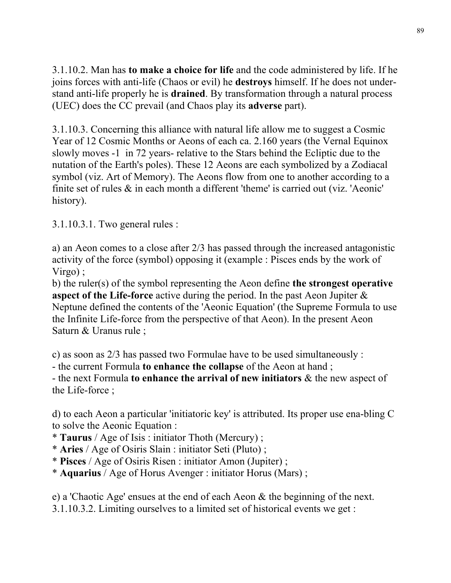3.1.10.2. Man has **to make a choice for life** and the code administered by life. If he joins forces with anti-life (Chaos or evil) he **destroys** himself. If he does not understand anti-life properly he is **drained**. By transformation through a natural process (UEC) does the CC prevail (and Chaos play its **adverse** part).

3.1.10.3. Concerning this alliance with natural life allow me to suggest a Cosmic Year of 12 Cosmic Months or Aeons of each ca. 2.160 years (the Vernal Equinox slowly moves -1 in 72 years- relative to the Stars behind the Ecliptic due to the nutation of the Earth's poles). These 12 Aeons are each symbolized by a Zodiacal symbol (viz. Art of Memory). The Aeons flow from one to another according to a finite set of rules & in each month a different 'theme' is carried out (viz. 'Aeonic' history).

3.1.10.3.1. Two general rules :

a) an Aeon comes to a close after 2/3 has passed through the increased antagonistic activity of the force (symbol) opposing it (example : Pisces ends by the work of Virgo) ;

b) the ruler(s) of the symbol representing the Aeon define **the strongest operative aspect of the Life-force** active during the period. In the past Aeon Jupiter & Neptune defined the contents of the 'Aeonic Equation' (the Supreme Formula to use the Infinite Life-force from the perspective of that Aeon). In the present Aeon Saturn & Uranus rule ;

c) as soon as 2/3 has passed two Formulae have to be used simultaneously :

- the current Formula **to enhance the collapse** of the Aeon at hand ;

- the next Formula **to enhance the arrival of new initiators** & the new aspect of the Life-force ;

d) to each Aeon a particular 'initiatoric key' is attributed. Its proper use ena-bling C to solve the Aeonic Equation :

- \* **Taurus** / Age of Isis : initiator Thoth (Mercury) ;
- \* **Aries** / Age of Osiris Slain : initiator Seti (Pluto) ;
- \* **Pisces** / Age of Osiris Risen : initiator Amon (Jupiter) ;
- \* **Aquarius** / Age of Horus Avenger : initiator Horus (Mars) ;

e) a 'Chaotic Age' ensues at the end of each Aeon & the beginning of the next.

3.1.10.3.2. Limiting ourselves to a limited set of historical events we get :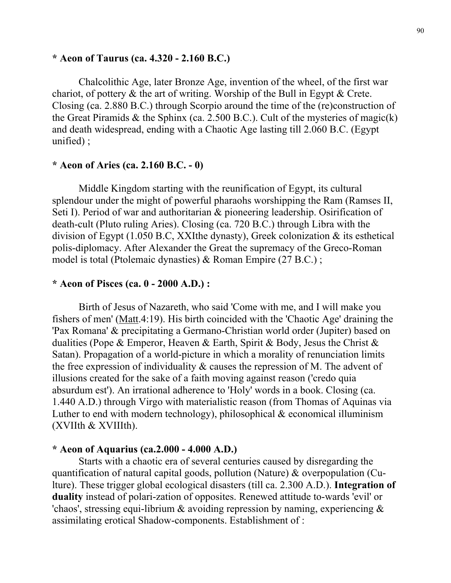## **\* Aeon of Taurus (ca. 4.320 - 2.160 B.C.)**

 Chalcolithic Age, later Bronze Age, invention of the wheel, of the first war chariot, of pottery & the art of writing. Worship of the Bull in Egypt & Crete. Closing (ca. 2.880 B.C.) through Scorpio around the time of the (re)construction of the Great Piramids  $\&$  the Sphinx (ca. 2.500 B.C.). Cult of the mysteries of magic(k) and death widespread, ending with a Chaotic Age lasting till 2.060 B.C. (Egypt unified) ;

### **\* Aeon of Aries (ca. 2.160 B.C. - 0)**

 Middle Kingdom starting with the reunification of Egypt, its cultural splendour under the might of powerful pharaohs worshipping the Ram (Ramses II, Seti I). Period of war and authoritarian & pioneering leadership. Osirification of death-cult (Pluto ruling Aries). Closing (ca. 720 B.C.) through Libra with the division of Egypt (1.050 B.C, XXIthe dynasty), Greek colonization & its esthetical polis-diplomacy. After Alexander the Great the supremacy of the Greco-Roman model is total (Ptolemaic dynasties) & Roman Empire (27 B.C.) ;

#### **\* Aeon of Pisces (ca. 0 - 2000 A.D.) :**

 Birth of Jesus of Nazareth, who said 'Come with me, and I will make you fishers of men' (Matt.4:19). His birth coincided with the 'Chaotic Age' draining the 'Pax Romana' & precipitating a Germano-Christian world order (Jupiter) based on dualities (Pope & Emperor, Heaven & Earth, Spirit & Body, Jesus the Christ & Satan). Propagation of a world-picture in which a morality of renunciation limits the free expression of individuality  $\&$  causes the repression of M. The advent of illusions created for the sake of a faith moving against reason ('credo quia absurdum est'). An irrational adherence to 'Holy' words in a book. Closing (ca. 1.440 A.D.) through Virgo with materialistic reason (from Thomas of Aquinas via Luther to end with modern technology), philosophical  $\&$  economical illuminism (XVIIth & XVIIIth).

#### **\* Aeon of Aquarius (ca.2.000 - 4.000 A.D.)**

 Starts with a chaotic era of several centuries caused by disregarding the quantification of natural capital goods, pollution (Nature) & overpopulation (Culture). These trigger global ecological disasters (till ca. 2.300 A.D.). **Integration of duality** instead of polari-zation of opposites. Renewed attitude to-wards 'evil' or 'chaos', stressing equi-librium & avoiding repression by naming, experiencing & assimilating erotical Shadow-components. Establishment of :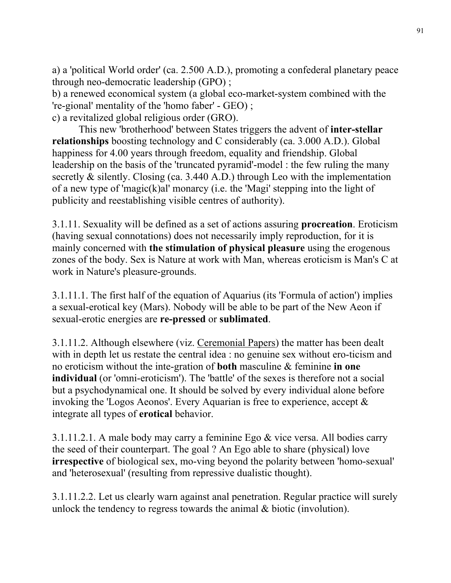a) a 'political World order' (ca. 2.500 A.D.), promoting a confederal planetary peace through neo-democratic leadership (GPO) ;

b) a renewed economical system (a global eco-market-system combined with the 're-gional' mentality of the 'homo faber' - GEO) ; c) a revitalized global religious order (GRO).

 This new 'brotherhood' between States triggers the advent of **inter-stellar relationships** boosting technology and C considerably (ca. 3.000 A.D.). Global happiness for 4.00 years through freedom, equality and friendship. Global leadership on the basis of the 'truncated pyramid'-model : the few ruling the many secretly & silently. Closing (ca. 3.440 A.D.) through Leo with the implementation of a new type of 'magic(k)al' monarcy (i.e. the 'Magi' stepping into the light of publicity and reestablishing visible centres of authority).

3.1.11. Sexuality will be defined as a set of actions assuring **procreation**. Eroticism (having sexual connotations) does not necessarily imply reproduction, for it is mainly concerned with **the stimulation of physical pleasure** using the erogenous zones of the body. Sex is Nature at work with Man, whereas eroticism is Man's C at work in Nature's pleasure-grounds.

3.1.11.1. The first half of the equation of Aquarius (its 'Formula of action') implies a sexual-erotical key (Mars). Nobody will be able to be part of the New Aeon if sexual-erotic energies are **re-pressed** or **sublimated**.

3.1.11.2. Although elsewhere (viz. Ceremonial Papers) the matter has been dealt with in depth let us restate the central idea : no genuine sex without ero-ticism and no eroticism without the inte-gration of **both** masculine & feminine **in one individual** (or 'omni-eroticism'). The 'battle' of the sexes is therefore not a social but a psychodynamical one. It should be solved by every individual alone before invoking the 'Logos Aeonos'. Every Aquarian is free to experience, accept & integrate all types of **erotical** behavior.

3.1.11.2.1. A male body may carry a feminine Ego & vice versa. All bodies carry the seed of their counterpart. The goal ? An Ego able to share (physical) love **irrespective** of biological sex, mo-ving beyond the polarity between 'homo-sexual' and 'heterosexual' (resulting from repressive dualistic thought).

3.1.11.2.2. Let us clearly warn against anal penetration. Regular practice will surely unlock the tendency to regress towards the animal & biotic (involution).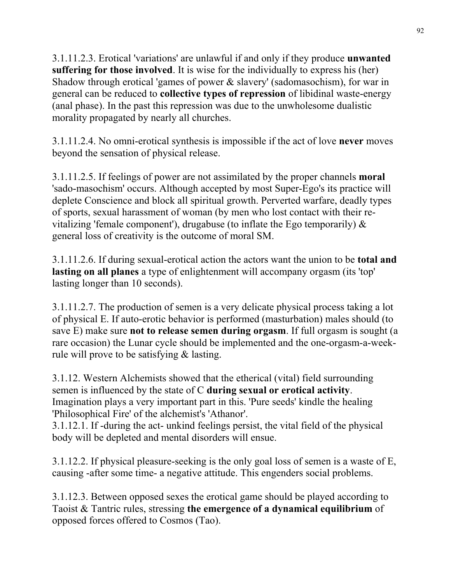3.1.11.2.3. Erotical 'variations' are unlawful if and only if they produce **unwanted suffering for those involved**. It is wise for the individually to express his (her) Shadow through erotical 'games of power & slavery' (sadomasochism), for war in general can be reduced to **collective types of repression** of libidinal waste-energy (anal phase). In the past this repression was due to the unwholesome dualistic morality propagated by nearly all churches.

3.1.11.2.4. No omni-erotical synthesis is impossible if the act of love **never** moves beyond the sensation of physical release.

3.1.11.2.5. If feelings of power are not assimilated by the proper channels **moral** 'sado-masochism' occurs. Although accepted by most Super-Ego's its practice will deplete Conscience and block all spiritual growth. Perverted warfare, deadly types of sports, sexual harassment of woman (by men who lost contact with their revitalizing 'female component'), drugabuse (to inflate the Ego temporarily)  $\&$ general loss of creativity is the outcome of moral SM.

3.1.11.2.6. If during sexual-erotical action the actors want the union to be **total and lasting on all planes** a type of enlightenment will accompany orgasm (its 'top' lasting longer than 10 seconds).

3.1.11.2.7. The production of semen is a very delicate physical process taking a lot of physical E. If auto-erotic behavior is performed (masturbation) males should (to save E) make sure **not to release semen during orgasm**. If full orgasm is sought (a rare occasion) the Lunar cycle should be implemented and the one-orgasm-a-weekrule will prove to be satisfying & lasting.

3.1.12. Western Alchemists showed that the etherical (vital) field surrounding semen is influenced by the state of C **during sexual or erotical activity**. Imagination plays a very important part in this. 'Pure seeds' kindle the healing 'Philosophical Fire' of the alchemist's 'Athanor'.

3.1.12.1. If -during the act- unkind feelings persist, the vital field of the physical body will be depleted and mental disorders will ensue.

3.1.12.2. If physical pleasure-seeking is the only goal loss of semen is a waste of E, causing -after some time- a negative attitude. This engenders social problems.

3.1.12.3. Between opposed sexes the erotical game should be played according to Taoist & Tantric rules, stressing **the emergence of a dynamical equilibrium** of opposed forces offered to Cosmos (Tao).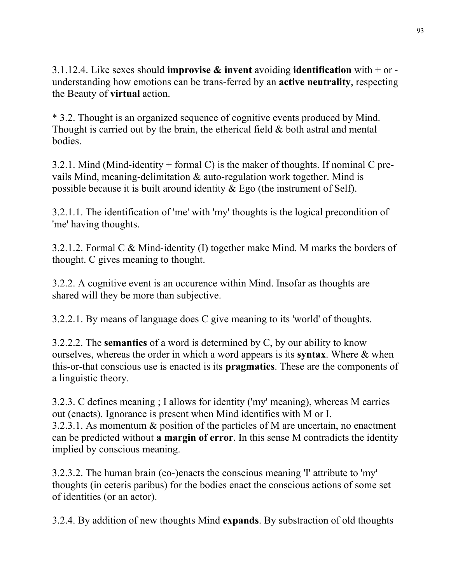3.1.12.4. Like sexes should **improvise & invent** avoiding **identification** with + or understanding how emotions can be trans-ferred by an **active neutrality**, respecting the Beauty of **virtual** action.

\* 3.2. Thought is an organized sequence of cognitive events produced by Mind. Thought is carried out by the brain, the etherical field  $\&$  both astral and mental bodies.

3.2.1. Mind (Mind-identity + formal C) is the maker of thoughts. If nominal C prevails Mind, meaning-delimitation & auto-regulation work together. Mind is possible because it is built around identity & Ego (the instrument of Self).

3.2.1.1. The identification of 'me' with 'my' thoughts is the logical precondition of 'me' having thoughts.

3.2.1.2. Formal C & Mind-identity (I) together make Mind. M marks the borders of thought. C gives meaning to thought.

3.2.2. A cognitive event is an occurence within Mind. Insofar as thoughts are shared will they be more than subjective.

3.2.2.1. By means of language does C give meaning to its 'world' of thoughts.

3.2.2.2. The **semantics** of a word is determined by C, by our ability to know ourselves, whereas the order in which a word appears is its **syntax**. Where & when this-or-that conscious use is enacted is its **pragmatics**. These are the components of a linguistic theory.

3.2.3. C defines meaning ; I allows for identity ('my' meaning), whereas M carries out (enacts). Ignorance is present when Mind identifies with M or I. 3.2.3.1. As momentum & position of the particles of M are uncertain, no enactment can be predicted without **a margin of error**. In this sense M contradicts the identity implied by conscious meaning.

3.2.3.2. The human brain (co-)enacts the conscious meaning 'I' attribute to 'my' thoughts (in ceteris paribus) for the bodies enact the conscious actions of some set of identities (or an actor).

3.2.4. By addition of new thoughts Mind **expands**. By substraction of old thoughts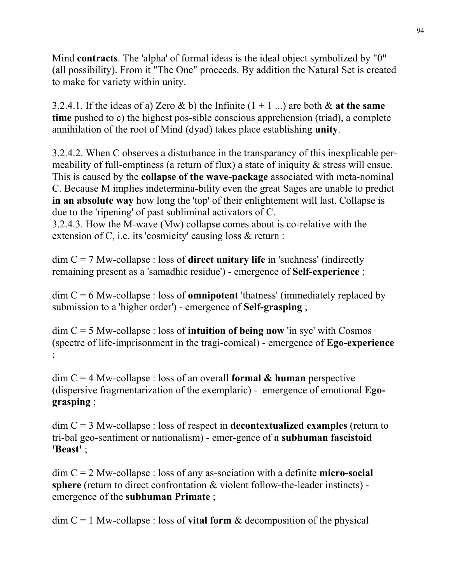Mind **contracts**. The 'alpha' of formal ideas is the ideal object symbolized by "0" (all possibility). From it "The One" proceeds. By addition the Natural Set is created to make for variety within unity.

3.2.4.1. If the ideas of a) Zero  $\&$  b) the Infinite  $(1 + 1)$  ...) are both  $\&$  at the same **time** pushed to c) the highest pos-sible conscious apprehension (triad), a complete annihilation of the root of Mind (dyad) takes place establishing **unity**.

3.2.4.2. When C observes a disturbance in the transparancy of this inexplicable permeability of full-emptiness (a return of flux) a state of iniquity & stress will ensue. This is caused by the **collapse of the wave-package** associated with meta-nominal C. Because M implies indetermina-bility even the great Sages are unable to predict **in an absolute way** how long the 'top' of their enlightement will last. Collapse is due to the 'ripening' of past subliminal activators of C.

3.2.4.3. How the M-wave (Mw) collapse comes about is co-relative with the extension of C, i.e. its 'cosmicity' causing loss & return :

dim C = 7 Mw-collapse : loss of **direct unitary life** in 'suchness' (indirectly remaining present as a 'samadhic residue') - emergence of **Self-experience** ;

dim C = 6 Mw-collapse : loss of **omnipotent** 'thatness' (immediately replaced by submission to a 'higher order') - emergence of **Self-grasping** ;

dim C = 5 Mw-collapse : loss of **intuition of being now** 'in syc' with Cosmos (spectre of life-imprisonment in the tragi-comical) - emergence of **Ego-experience** ;<br>,

dim C = 4 Mw-collapse : loss of an overall **formal & human** perspective (dispersive fragmentarization of the exemplaric) - emergence of emotional **Egograsping** ;

dim C = 3 Mw-collapse : loss of respect in **decontextualized examples** (return to tri-bal geo-sentiment or nationalism) - emer-gence of **a subhuman fascistoid 'Beast'** ;

dim C = 2 Mw-collapse : loss of any as-sociation with a definite **micro-social sphere** (return to direct confrontation & violent follow-the-leader instincts) emergence of the **subhuman Primate** ;

 $\dim C = 1$  Mw-collapse : loss of **vital form** & decomposition of the physical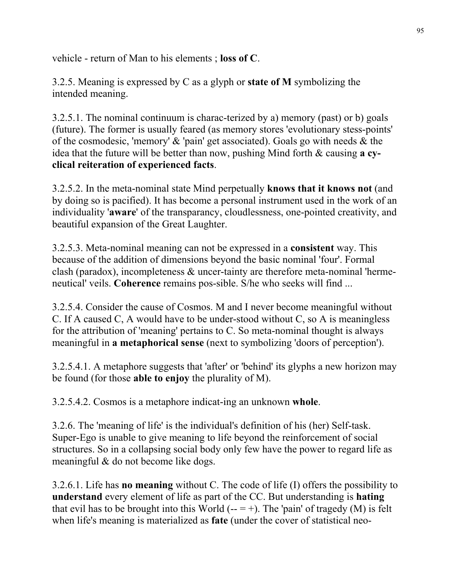vehicle - return of Man to his elements ; **loss of C**.

3.2.5. Meaning is expressed by C as a glyph or **state of M** symbolizing the intended meaning.

3.2.5.1. The nominal continuum is charac-terized by a) memory (past) or b) goals (future). The former is usually feared (as memory stores 'evolutionary stess-points' of the cosmodesic, 'memory' & 'pain' get associated). Goals go with needs & the idea that the future will be better than now, pushing Mind forth & causing **a cyclical reiteration of experienced facts**.

3.2.5.2. In the meta-nominal state Mind perpetually **knows that it knows not** (and by doing so is pacified). It has become a personal instrument used in the work of an individuality '**aware**' of the transparancy, cloudlessness, one-pointed creativity, and beautiful expansion of the Great Laughter.

3.2.5.3. Meta-nominal meaning can not be expressed in a **consistent** way. This because of the addition of dimensions beyond the basic nominal 'four'. Formal clash (paradox), incompleteness & uncer-tainty are therefore meta-nominal 'hermeneutical' veils. **Coherence** remains pos-sible. S/he who seeks will find ...

3.2.5.4. Consider the cause of Cosmos. M and I never become meaningful without C. If A caused C, A would have to be under-stood without C, so A is meaningless for the attribution of 'meaning' pertains to C. So meta-nominal thought is always meaningful in **a metaphorical sense** (next to symbolizing 'doors of perception').

3.2.5.4.1. A metaphore suggests that 'after' or 'behind' its glyphs a new horizon may be found (for those **able to enjoy** the plurality of M).

3.2.5.4.2. Cosmos is a metaphore indicat-ing an unknown **whole**.

3.2.6. The 'meaning of life' is the individual's definition of his (her) Self-task. Super-Ego is unable to give meaning to life beyond the reinforcement of social structures. So in a collapsing social body only few have the power to regard life as meaningful & do not become like dogs.

3.2.6.1. Life has **no meaning** without C. The code of life (I) offers the possibility to **understand** every element of life as part of the CC. But understanding is **hating** that evil has to be brought into this World  $(- = +)$ . The 'pain' of tragedy (M) is felt when life's meaning is materialized as **fate** (under the cover of statistical neo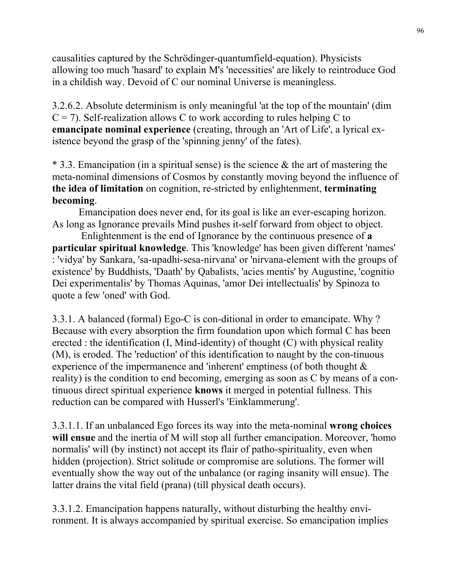causalities captured by the Schrödinger-quantumfield-equation). Physicists allowing too much 'hasard' to explain M's 'necessities' are likely to reintroduce God in a childish way. Devoid of C our nominal Universe is meaningless.

3.2.6.2. Absolute determinism is only meaningful 'at the top of the mountain' (dim  $C = 7$ ). Self-realization allows C to work according to rules helping C to **emancipate nominal experience** (creating, through an 'Art of Life', a lyrical existence beyond the grasp of the 'spinning jenny' of the fates).

\* 3.3. Emancipation (in a spiritual sense) is the science & the art of mastering the meta-nominal dimensions of Cosmos by constantly moving beyond the influence of **the idea of limitation** on cognition, re-stricted by enlightenment, **terminating becoming**.

 Emancipation does never end, for its goal is like an ever-escaping horizon. As long as Ignorance prevails Mind pushes it-self forward from object to object.

 Enlightenment is the end of Ignorance by the continuous presence of **a particular spiritual knowledge**. This 'knowledge' has been given different 'names' : 'vidya' by Sankara, 'sa-upadhi-sesa-nirvana' or 'nirvana-element with the groups of existence' by Buddhists, 'Daath' by Qabalists, 'acies mentis' by Augustine, 'cognitio Dei experimentalis' by Thomas Aquinas, 'amor Dei intellectualis' by Spinoza to quote a few 'oned' with God.

3.3.1. A balanced (formal) Ego-C is con-ditional in order to emancipate. Why ? Because with every absorption the firm foundation upon which formal C has been erected : the identification  $(I, Mind-identity)$  of thought  $(C)$  with physical reality (M), is eroded. The 'reduction' of this identification to naught by the con-tinuous experience of the impermanence and 'inherent' emptiness (of both thought & reality) is the condition to end becoming, emerging as soon as C by means of a continuous direct spiritual experience **knows** it merged in potential fullness. This reduction can be compared with Husserl's 'Einklammerung'.

3.3.1.1. If an unbalanced Ego forces its way into the meta-nominal **wrong choices will ensue** and the inertia of M will stop all further emancipation. Moreover, 'homo normalis' will (by instinct) not accept its flair of patho-spirituality, even when hidden (projection). Strict solitude or compromise are solutions. The former will eventually show the way out of the unbalance (or raging insanity will ensue). The latter drains the vital field (prana) (till physical death occurs).

3.3.1.2. Emancipation happens naturally, without disturbing the healthy environment. It is always accompanied by spiritual exercise. So emancipation implies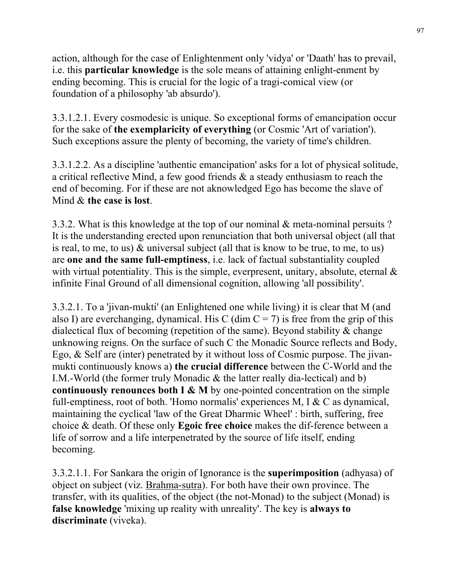action, although for the case of Enlightenment only 'vidya' or 'Daath' has to prevail, i.e. this **particular knowledge** is the sole means of attaining enlight-enment by ending becoming. This is crucial for the logic of a tragi-comical view (or foundation of a philosophy 'ab absurdo').

3.3.1.2.1. Every cosmodesic is unique. So exceptional forms of emancipation occur for the sake of **the exemplaricity of everything** (or Cosmic 'Art of variation'). Such exceptions assure the plenty of becoming, the variety of time's children.

3.3.1.2.2. As a discipline 'authentic emancipation' asks for a lot of physical solitude, a critical reflective Mind, a few good friends & a steady enthusiasm to reach the end of becoming. For if these are not aknowledged Ego has become the slave of Mind & **the case is lost**.

3.3.2. What is this knowledge at the top of our nominal & meta-nominal persuits ? It is the understanding erected upon renunciation that both universal object (all that is real, to me, to us) & universal subject (all that is know to be true, to me, to us) are **one and the same full-emptiness**, i.e. lack of factual substantiality coupled with virtual potentiality. This is the simple, everpresent, unitary, absolute, eternal  $\&$ infinite Final Ground of all dimensional cognition, allowing 'all possibility'.

3.3.2.1. To a 'jivan-mukti' (an Enlightened one while living) it is clear that M (and also I) are everchanging, dynamical. His C (dim  $C = 7$ ) is free from the grip of this dialectical flux of becoming (repetition of the same). Beyond stability & change unknowing reigns. On the surface of such C the Monadic Source reflects and Body, Ego, & Self are (inter) penetrated by it without loss of Cosmic purpose. The jivanmukti continuously knows a) **the crucial difference** between the C-World and the I.M.-World (the former truly Monadic & the latter really dia-lectical) and b) **continuously renounces both I & M** by one-pointed concentration on the simple full-emptiness, root of both. 'Homo normalis' experiences M, I & C as dynamical, maintaining the cyclical 'law of the Great Dharmic Wheel' : birth, suffering, free choice & death. Of these only **Egoic free choice** makes the dif-ference between a life of sorrow and a life interpenetrated by the source of life itself, ending becoming.

3.3.2.1.1. For Sankara the origin of Ignorance is the **superimposition** (adhyasa) of object on subject (viz. Brahma-sutra). For both have their own province. The transfer, with its qualities, of the object (the not-Monad) to the subject (Monad) is **false knowledge** 'mixing up reality with unreality'. The key is **always to discriminate** (viveka).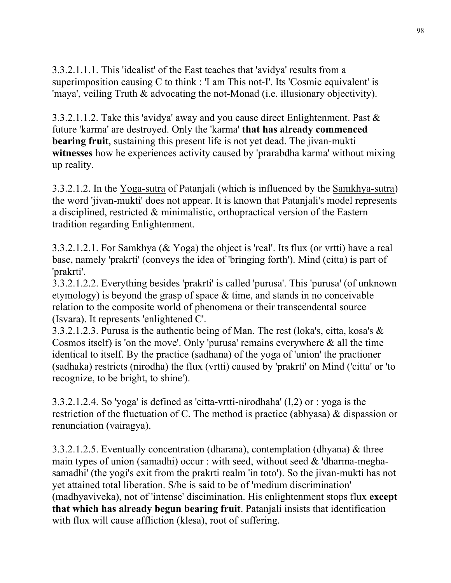3.3.2.1.1.1. This 'idealist' of the East teaches that 'avidya' results from a superimposition causing C to think : 'I am This not-I'. Its 'Cosmic equivalent' is 'maya', veiling Truth & advocating the not-Monad (i.e. illusionary objectivity).

3.3.2.1.1.2. Take this 'avidya' away and you cause direct Enlightenment. Past & future 'karma' are destroyed. Only the 'karma' **that has already commenced bearing fruit**, sustaining this present life is not yet dead. The jivan-mukti **witnesses** how he experiences activity caused by 'prarabdha karma' without mixing up reality.

3.3.2.1.2. In the Yoga-sutra of Patanjali (which is influenced by the Samkhya-sutra) the word 'jivan-mukti' does not appear. It is known that Patanjali's model represents a disciplined, restricted & minimalistic, orthopractical version of the Eastern tradition regarding Enlightenment.

3.3.2.1.2.1. For Samkhya (& Yoga) the object is 'real'. Its flux (or vrtti) have a real base, namely 'prakrti' (conveys the idea of 'bringing forth'). Mind (citta) is part of 'prakrti'.

3.3.2.1.2.2. Everything besides 'prakrti' is called 'purusa'. This 'purusa' (of unknown etymology) is beyond the grasp of space & time, and stands in no conceivable relation to the composite world of phenomena or their transcendental source (Isvara). It represents 'enlightened C'.

3.3.2.1.2.3. Purusa is the authentic being of Man. The rest (loka's, citta, kosa's & Cosmos itself) is 'on the move'. Only 'purusa' remains everywhere  $\&$  all the time identical to itself. By the practice (sadhana) of the yoga of 'union' the practioner (sadhaka) restricts (nirodha) the flux (vrtti) caused by 'prakrti' on Mind ('citta' or 'to recognize, to be bright, to shine').

3.3.2.1.2.4. So 'yoga' is defined as 'citta-vrtti-nirodhaha' (I,2) or : yoga is the restriction of the fluctuation of C. The method is practice (abhyasa) & dispassion or renunciation (vairagya).

3.3.2.1.2.5. Eventually concentration (dharana), contemplation (dhyana) & three main types of union (samadhi) occur : with seed, without seed  $&$  'dharma-meghasamadhi' (the yogi's exit from the prakrti realm 'in toto'). So the jivan-mukti has not yet attained total liberation. S/he is said to be of 'medium discrimination' (madhyaviveka), not of 'intense' discimination. His enlightenment stops flux **except that which has already begun bearing fruit**. Patanjali insists that identification with flux will cause affliction (klesa), root of suffering.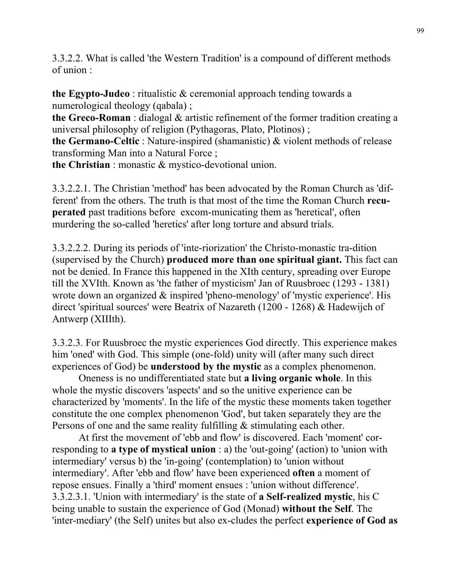3.3.2.2. What is called 'the Western Tradition' is a compound of different methods of union :

**the Egypto-Judeo** : ritualistic & ceremonial approach tending towards a numerological theology (qabala) ;

**the Greco-Roman** : dialogal & artistic refinement of the former tradition creating a universal philosophy of religion (Pythagoras, Plato, Plotinos) ;

**the Germano-Celtic** : Nature-inspired (shamanistic) & violent methods of release transforming Man into a Natural Force ;

**the Christian** : monastic & mystico-devotional union.

3.3.2.2.1. The Christian 'method' has been advocated by the Roman Church as 'different' from the others. The truth is that most of the time the Roman Church **recuperated** past traditions before excom-municating them as 'heretical', often murdering the so-called 'heretics' after long torture and absurd trials.

3.3.2.2.2. During its periods of 'inte-riorization' the Christo-monastic tra-dition (supervised by the Church) **produced more than one spiritual giant.** This fact can not be denied. In France this happened in the XIth century, spreading over Europe till the XVIth. Known as 'the father of mysticism' Jan of Ruusbroec (1293 - 1381) wrote down an organized  $\&$  inspired 'pheno-menology' of 'mystic experience'. His direct 'spiritual sources' were Beatrix of Nazareth (1200 - 1268) & Hadewijch of Antwerp (XIIIth).

3.3.2.3. For Ruusbroec the mystic experiences God directly. This experience makes him 'oned' with God. This simple (one-fold) unity will (after many such direct experiences of God) be **understood by the mystic** as a complex phenomenon.

 Oneness is no undifferentiated state but **a living organic whole**. In this whole the mystic discovers 'aspects' and so the unitive experience can be characterized by 'moments'. In the life of the mystic these moments taken together constitute the one complex phenomenon 'God', but taken separately they are the Persons of one and the same reality fulfilling & stimulating each other.

 At first the movement of 'ebb and flow' is discovered. Each 'moment' corresponding to **a type of mystical union** : a) the 'out-going' (action) to 'union with intermediary' versus b) the 'in-going' (contemplation) to 'union without intermediary'. After 'ebb and flow' have been experienced **often** a moment of repose ensues. Finally a 'third' moment ensues : 'union without difference'. 3.3.2.3.1. 'Union with intermediary' is the state of **a Self-realized mystic**, his C being unable to sustain the experience of God (Monad) **without the Self**. The 'inter-mediary' (the Self) unites but also ex-cludes the perfect **experience of God as**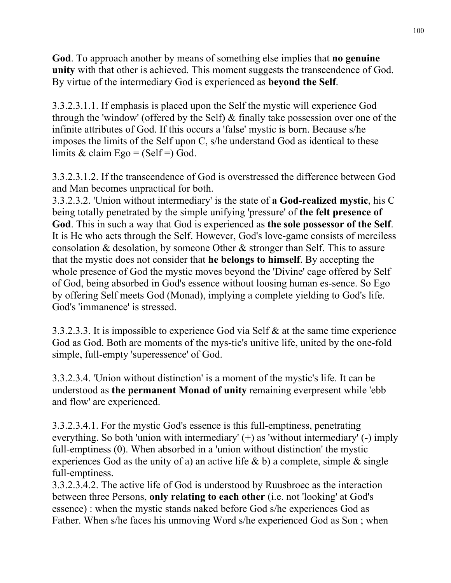**God**. To approach another by means of something else implies that **no genuine unity** with that other is achieved. This moment suggests the transcendence of God. By virtue of the intermediary God is experienced as **beyond the Self**.

3.3.2.3.1.1. If emphasis is placed upon the Self the mystic will experience God through the 'window' (offered by the Self) & finally take possession over one of the infinite attributes of God. If this occurs a 'false' mystic is born. Because s/he imposes the limits of the Self upon C, s/he understand God as identical to these limits & claim Ego = (Self =) God.

3.3.2.3.1.2. If the transcendence of God is overstressed the difference between God and Man becomes unpractical for both.

3.3.2.3.2. 'Union without intermediary' is the state of **a God-realized mystic**, his C being totally penetrated by the simple unifying 'pressure' of **the felt presence of God**. This in such a way that God is experienced as **the sole possessor of the Self**. It is He who acts through the Self. However, God's love-game consists of merciless consolation & desolation, by someone Other & stronger than Self. This to assure that the mystic does not consider that **he belongs to himself**. By accepting the whole presence of God the mystic moves beyond the 'Divine' cage offered by Self of God, being absorbed in God's essence without loosing human es-sence. So Ego by offering Self meets God (Monad), implying a complete yielding to God's life. God's 'immanence' is stressed.

3.3.2.3.3. It is impossible to experience God via Self & at the same time experience God as God. Both are moments of the mys-tic's unitive life, united by the one-fold simple, full-empty 'superessence' of God.

3.3.2.3.4. 'Union without distinction' is a moment of the mystic's life. It can be understood as **the permanent Monad of unity** remaining everpresent while 'ebb and flow' are experienced.

3.3.2.3.4.1. For the mystic God's essence is this full-emptiness, penetrating everything. So both 'union with intermediary' (+) as 'without intermediary' (-) imply full-emptiness (0). When absorbed in a 'union without distinction' the mystic experiences God as the unity of a) an active life  $\&$  b) a complete, simple  $\&$  single full-emptiness.

3.3.2.3.4.2. The active life of God is understood by Ruusbroec as the interaction between three Persons, **only relating to each other** (i.e. not 'looking' at God's essence) : when the mystic stands naked before God s/he experiences God as Father. When s/he faces his unmoving Word s/he experienced God as Son ; when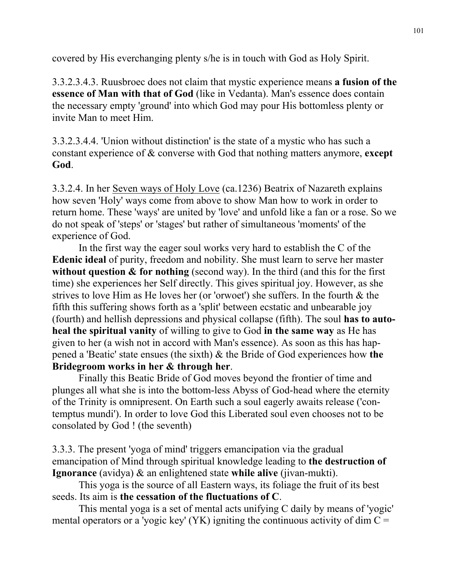covered by His everchanging plenty s/he is in touch with God as Holy Spirit.

3.3.2.3.4.3. Ruusbroec does not claim that mystic experience means **a fusion of the essence of Man with that of God** (like in Vedanta). Man's essence does contain the necessary empty 'ground' into which God may pour His bottomless plenty or invite Man to meet Him.

3.3.2.3.4.4. 'Union without distinction' is the state of a mystic who has such a constant experience of & converse with God that nothing matters anymore, **except God**.

3.3.2.4. In her Seven ways of Holy Love (ca.1236) Beatrix of Nazareth explains how seven 'Holy' ways come from above to show Man how to work in order to return home. These 'ways' are united by 'love' and unfold like a fan or a rose. So we do not speak of 'steps' or 'stages' but rather of simultaneous 'moments' of the experience of God.

 In the first way the eager soul works very hard to establish the C of the **Edenic ideal** of purity, freedom and nobility. She must learn to serve her master without question  $\&$  for nothing (second way). In the third (and this for the first time) she experiences her Self directly. This gives spiritual joy. However, as she strives to love Him as He loves her (or 'orwoet') she suffers. In the fourth & the fifth this suffering shows forth as a 'split' between ecstatic and unbearable joy (fourth) and hellish depressions and physical collapse (fifth). The soul **has to autoheal the spiritual vanity** of willing to give to God **in the same way** as He has given to her (a wish not in accord with Man's essence). As soon as this has happened a 'Beatic' state ensues (the sixth) & the Bride of God experiences how **the Bridegroom works in her & through her**.

 Finally this Beatic Bride of God moves beyond the frontier of time and plunges all what she is into the bottom-less Abyss of God-head where the eternity of the Trinity is omnipresent. On Earth such a soul eagerly awaits release ('contemptus mundi'). In order to love God this Liberated soul even chooses not to be consolated by God ! (the seventh)

3.3.3. The present 'yoga of mind' triggers emancipation via the gradual emancipation of Mind through spiritual knowledge leading to **the destruction of Ignorance** (avidya) & an enlightened state **while alive** (jivan-mukti).

 This yoga is the source of all Eastern ways, its foliage the fruit of its best seeds. Its aim is **the cessation of the fluctuations of C**.

 This mental yoga is a set of mental acts unifying C daily by means of 'yogic' mental operators or a 'yogic key' (YK) igniting the continuous activity of dim  $C =$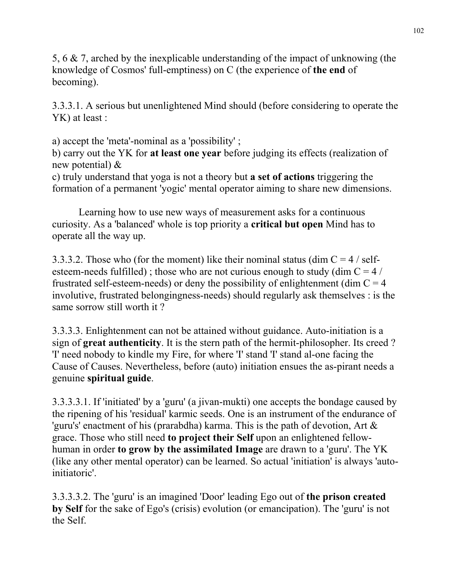5, 6 & 7, arched by the inexplicable understanding of the impact of unknowing (the knowledge of Cosmos' full-emptiness) on C (the experience of **the end** of becoming).

3.3.3.1. A serious but unenlightened Mind should (before considering to operate the YK) at least :

a) accept the 'meta'-nominal as a 'possibility' ;

b) carry out the YK for **at least one year** before judging its effects (realization of new potential) &

c) truly understand that yoga is not a theory but **a set of actions** triggering the formation of a permanent 'yogic' mental operator aiming to share new dimensions.

 Learning how to use new ways of measurement asks for a continuous curiosity. As a 'balanced' whole is top priority a **critical but open** Mind has to operate all the way up.

3.3.3.2. Those who (for the moment) like their nominal status (dim  $C = 4 / \text{self}$ esteem-needs fulfilled) ; those who are not curious enough to study (dim  $C = 4/$ frustrated self-esteem-needs) or deny the possibility of enlightenment (dim  $C = 4$ ) involutive, frustrated belongingness-needs) should regularly ask themselves : is the same sorrow still worth it ?

3.3.3.3. Enlightenment can not be attained without guidance. Auto-initiation is a sign of **great authenticity**. It is the stern path of the hermit-philosopher. Its creed ? 'I' need nobody to kindle my Fire, for where 'I' stand 'I' stand al-one facing the Cause of Causes. Nevertheless, before (auto) initiation ensues the as-pirant needs a genuine **spiritual guide**.

3.3.3.3.1. If 'initiated' by a 'guru' (a jivan-mukti) one accepts the bondage caused by the ripening of his 'residual' karmic seeds. One is an instrument of the endurance of 'guru's' enactment of his (prarabdha) karma. This is the path of devotion, Art & grace. Those who still need **to project their Self** upon an enlightened fellowhuman in order **to grow by the assimilated Image** are drawn to a 'guru'. The YK (like any other mental operator) can be learned. So actual 'initiation' is always 'autoinitiatoric'.

3.3.3.3.2. The 'guru' is an imagined 'Door' leading Ego out of **the prison created by Self** for the sake of Ego's (crisis) evolution (or emancipation). The 'guru' is not the Self.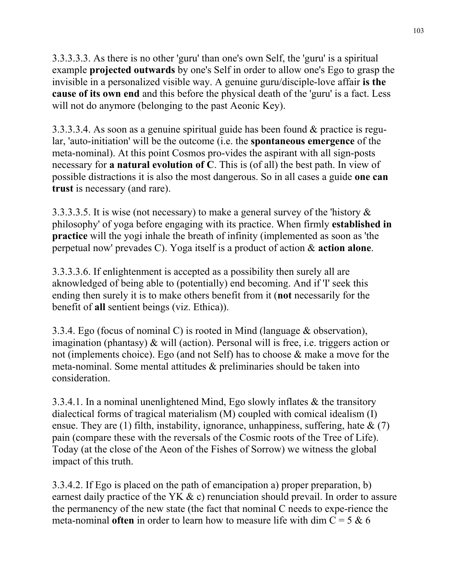3.3.3.3.3. As there is no other 'guru' than one's own Self, the 'guru' is a spiritual example **projected outwards** by one's Self in order to allow one's Ego to grasp the invisible in a personalized visible way. A genuine guru/disciple-love affair **is the cause of its own end** and this before the physical death of the 'guru' is a fact. Less will not do anymore (belonging to the past Aeonic Key).

3.3.3.3.4. As soon as a genuine spiritual guide has been found & practice is regular, 'auto-initiation' will be the outcome (i.e. the **spontaneous emergence** of the meta-nominal). At this point Cosmos pro-vides the aspirant with all sign-posts necessary for **a natural evolution of C**. This is (of all) the best path. In view of possible distractions it is also the most dangerous. So in all cases a guide **one can trust** is necessary (and rare).

3.3.3.3.5. It is wise (not necessary) to make a general survey of the 'history & philosophy' of yoga before engaging with its practice. When firmly **established in practice** will the yogi inhale the breath of infinity (implemented as soon as 'the perpetual now' prevades C). Yoga itself is a product of action & **action alone**.

3.3.3.3.6. If enlightenment is accepted as a possibility then surely all are aknowledged of being able to (potentially) end becoming. And if 'I' seek this ending then surely it is to make others benefit from it (**not** necessarily for the benefit of **all** sentient beings (viz. Ethica)).

3.3.4. Ego (focus of nominal C) is rooted in Mind (language & observation), imagination (phantasy) & will (action). Personal will is free, i.e. triggers action or not (implements choice). Ego (and not Self) has to choose & make a move for the meta-nominal. Some mental attitudes & preliminaries should be taken into consideration.

3.3.4.1. In a nominal unenlightened Mind, Ego slowly inflates & the transitory dialectical forms of tragical materialism (M) coupled with comical idealism (I) ensue. They are (1) filth, instability, ignorance, unhappiness, suffering, hate  $\& (7)$ pain (compare these with the reversals of the Cosmic roots of the Tree of Life). Today (at the close of the Aeon of the Fishes of Sorrow) we witness the global impact of this truth.

3.3.4.2. If Ego is placed on the path of emancipation a) proper preparation, b) earnest daily practice of the YK & c) renunciation should prevail. In order to assure the permanency of the new state (the fact that nominal C needs to expe-rience the meta-nominal **often** in order to learn how to measure life with dim  $C = 5 \& 6$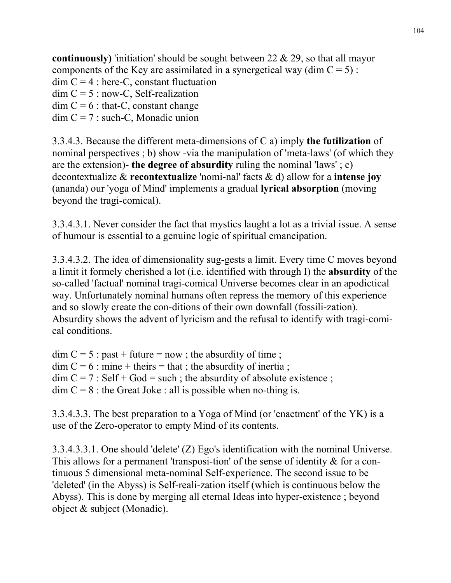**continuously)** 'initiation' should be sought between 22 & 29, so that all mayor components of the Key are assimilated in a synergetical way (dim  $C = 5$ ):  $\dim C = 4$ : here-C, constant fluctuation  $dim C = 5$ : now-C, Self-realization  $\dim C = 6$ : that-C, constant change  $dim C = 7$ : such-C, Monadic union

3.3.4.3. Because the different meta-dimensions of C a) imply **the futilization** of nominal perspectives ; b) show -via the manipulation of 'meta-laws' (of which they are the extension)- **the degree of absurdity** ruling the nominal 'laws' ; c) decontextualize & **recontextualize** 'nomi-nal' facts & d) allow for a **intense joy** (ananda) our 'yoga of Mind' implements a gradual **lyrical absorption** (moving beyond the tragi-comical).

3.3.4.3.1. Never consider the fact that mystics laught a lot as a trivial issue. A sense of humour is essential to a genuine logic of spiritual emancipation.

3.3.4.3.2. The idea of dimensionality sug-gests a limit. Every time C moves beyond a limit it formely cherished a lot (i.e. identified with through I) the **absurdity** of the so-called 'factual' nominal tragi-comical Universe becomes clear in an apodictical way. Unfortunately nominal humans often repress the memory of this experience and so slowly create the con-ditions of their own downfall (fossili-zation). Absurdity shows the advent of lyricism and the refusal to identify with tragi-comical conditions.

 $\dim C = 5$ : past + future = now; the absurdity of time;  $\dim C = 6$ : mine + theirs = that ; the absurdity of inertia ;  $\dim C = 7$ : Self + God = such ; the absurdity of absolute existence ;  $\dim C = 8$ : the Great Joke : all is possible when no-thing is.

3.3.4.3.3. The best preparation to a Yoga of Mind (or 'enactment' of the YK) is a use of the Zero-operator to empty Mind of its contents.

3.3.4.3.3.1. One should 'delete' (Z) Ego's identification with the nominal Universe. This allows for a permanent 'transposi-tion' of the sense of identity & for a continuous 5 dimensional meta-nominal Self-experience. The second issue to be 'deleted' (in the Abyss) is Self-reali-zation itself (which is continuous below the Abyss). This is done by merging all eternal Ideas into hyper-existence ; beyond object & subject (Monadic).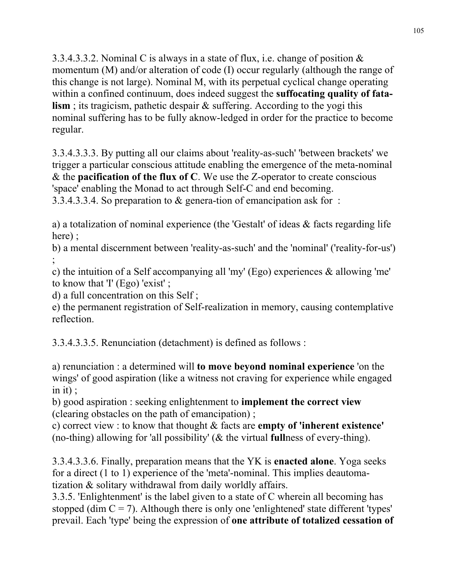3.3.4.3.3.2. Nominal C is always in a state of flux, i.e. change of position  $\&$ momentum (M) and/or alteration of code (I) occur regularly (although the range of this change is not large). Nominal M, with its perpetual cyclical change operating within a confined continuum, does indeed suggest the **suffocating quality of fatalism**; its tragicism, pathetic despair & suffering. According to the yogi this nominal suffering has to be fully aknow-ledged in order for the practice to become regular.

3.3.4.3.3.3. By putting all our claims about 'reality-as-such' 'between brackets' we trigger a particular conscious attitude enabling the emergence of the meta-nominal & the **pacification of the flux of C**. We use the Z-operator to create conscious 'space' enabling the Monad to act through Self-C and end becoming. 3.3.4.3.3.4. So preparation to & genera-tion of emancipation ask for :

a) a totalization of nominal experience (the 'Gestalt' of ideas & facts regarding life here) ;

b) a mental discernment between 'reality-as-such' and the 'nominal' ('reality-for-us') ;<br>,

c) the intuition of a Self accompanying all 'my' (Ego) experiences & allowing 'me' to know that 'I' (Ego) 'exist' ;

d) a full concentration on this Self ;

e) the permanent registration of Self-realization in memory, causing contemplative reflection.

3.3.4.3.3.5. Renunciation (detachment) is defined as follows :

a) renunciation : a determined will **to move beyond nominal experience** 'on the wings' of good aspiration (like a witness not craving for experience while engaged in it) ;

b) good aspiration : seeking enlightenment to **implement the correct view** (clearing obstacles on the path of emancipation) ;

c) correct view : to know that thought & facts are **empty of 'inherent existence'** (no-thing) allowing for 'all possibility' (& the virtual **full**ness of every-thing).

3.3.4.3.3.6. Finally, preparation means that the YK is **enacted alone**. Yoga seeks for a direct (1 to 1) experience of the 'meta'-nominal. This implies deautomatization & solitary withdrawal from daily worldly affairs.

3.3.5. 'Enlightenment' is the label given to a state of C wherein all becoming has stopped (dim  $C = 7$ ). Although there is only one 'enlightened' state different 'types' prevail. Each 'type' being the expression of **one attribute of totalized cessation of**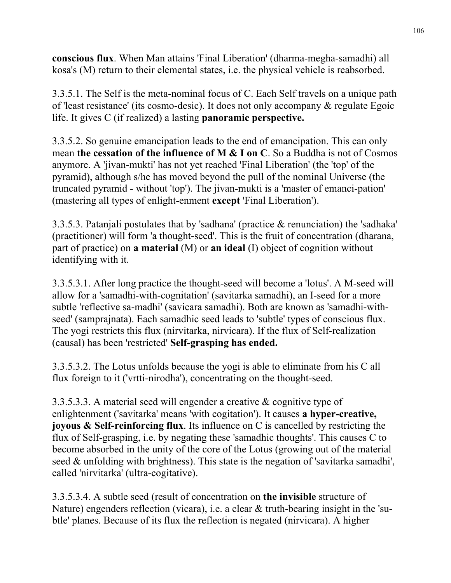**conscious flux**. When Man attains 'Final Liberation' (dharma-megha-samadhi) all kosa's (M) return to their elemental states, i.e. the physical vehicle is reabsorbed.

3.3.5.1. The Self is the meta-nominal focus of C. Each Self travels on a unique path of 'least resistance' (its cosmo-desic). It does not only accompany & regulate Egoic life. It gives C (if realized) a lasting **panoramic perspective.** 

3.3.5.2. So genuine emancipation leads to the end of emancipation. This can only mean **the cessation of the influence of M & I on C**. So a Buddha is not of Cosmos anymore. A 'jivan-mukti' has not yet reached 'Final Liberation' (the 'top' of the pyramid), although s/he has moved beyond the pull of the nominal Universe (the truncated pyramid - without 'top'). The jivan-mukti is a 'master of emanci-pation' (mastering all types of enlight-enment **except** 'Final Liberation').

3.3.5.3. Patanjali postulates that by 'sadhana' (practice & renunciation) the 'sadhaka' (practitioner) will form 'a thought-seed'. This is the fruit of concentration (dharana, part of practice) on **a material** (M) or **an ideal** (I) object of cognition without identifying with it.

3.3.5.3.1. After long practice the thought-seed will become a 'lotus'. A M-seed will allow for a 'samadhi-with-cognitation' (savitarka samadhi), an I-seed for a more subtle 'reflective sa-madhi' (savicara samadhi). Both are known as 'samadhi-withseed' (samprajnata). Each samadhic seed leads to 'subtle' types of conscious flux. The yogi restricts this flux (nirvitarka, nirvicara). If the flux of Self-realization (causal) has been 'restricted' **Self-grasping has ended.**

3.3.5.3.2. The Lotus unfolds because the yogi is able to eliminate from his C all flux foreign to it ('vrtti-nirodha'), concentrating on the thought-seed.

3.3.5.3.3. A material seed will engender a creative & cognitive type of enlightenment ('savitarka' means 'with cogitation'). It causes **a hyper-creative, joyous & Self-reinforcing flux**. Its influence on C is cancelled by restricting the flux of Self-grasping, i.e. by negating these 'samadhic thoughts'. This causes C to become absorbed in the unity of the core of the Lotus (growing out of the material seed & unfolding with brightness). This state is the negation of 'savitarka samadhi', called 'nirvitarka' (ultra-cogitative).

3.3.5.3.4. A subtle seed (result of concentration on **the invisible** structure of Nature) engenders reflection (vicara), i.e. a clear & truth-bearing insight in the 'subtle' planes. Because of its flux the reflection is negated (nirvicara). A higher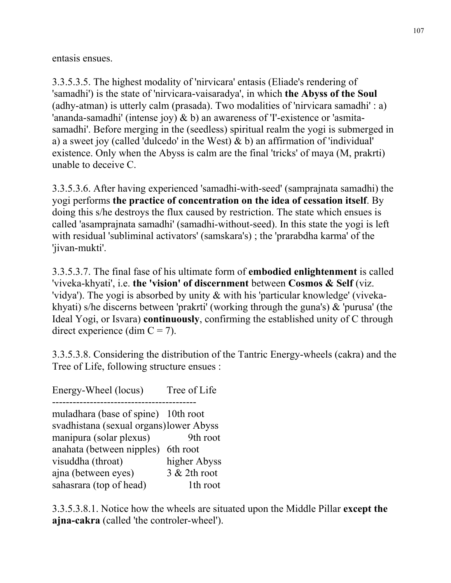entasis ensues.

3.3.5.3.5. The highest modality of 'nirvicara' entasis (Eliade's rendering of 'samadhi') is the state of 'nirvicara-vaisaradya', in which **the Abyss of the Soul** (adhy-atman) is utterly calm (prasada). Two modalities of 'nirvicara samadhi' : a) 'ananda-samadhi' (intense joy) & b) an awareness of 'I'-existence or 'asmitasamadhi'. Before merging in the (seedless) spiritual realm the yogi is submerged in a) a sweet joy (called 'dulcedo' in the West) & b) an affirmation of 'individual' existence. Only when the Abyss is calm are the final 'tricks' of maya (M, prakrti) unable to deceive C.

3.3.5.3.6. After having experienced 'samadhi-with-seed' (samprajnata samadhi) the yogi performs **the practice of concentration on the idea of cessation itself**. By doing this s/he destroys the flux caused by restriction. The state which ensues is called 'asamprajnata samadhi' (samadhi-without-seed). In this state the yogi is left with residual 'subliminal activators' (samskara's) ; the 'prarabdha karma' of the 'jivan-mukti'.

3.3.5.3.7. The final fase of his ultimate form of **embodied enlightenment** is called 'viveka-khyati', i.e. **the 'vision' of discernment** between **Cosmos & Self** (viz. 'vidya'). The yogi is absorbed by unity & with his 'particular knowledge' (vivekakhyati) s/he discerns between 'prakrti' (working through the guna's) & 'purusa' (the Ideal Yogi, or Isvara) **continuously**, confirming the established unity of C through direct experience (dim  $C = 7$ ).

3.3.5.3.8. Considering the distribution of the Tantric Energy-wheels (cakra) and the Tree of Life, following structure ensues :

Energy-Wheel (locus) Tree of Life ----------------------------------------- muladhara (base of spine) 10th root svadhistana (sexual organs) lower Abyss manipura (solar plexus) 9th root anahata (between nipples) 6th root visuddha (throat) higher Abyss ajna (between eyes) 3 & 2th root sahasrara (top of head) 1th root

3.3.5.3.8.1. Notice how the wheels are situated upon the Middle Pillar **except the ajna-cakra** (called 'the controler-wheel').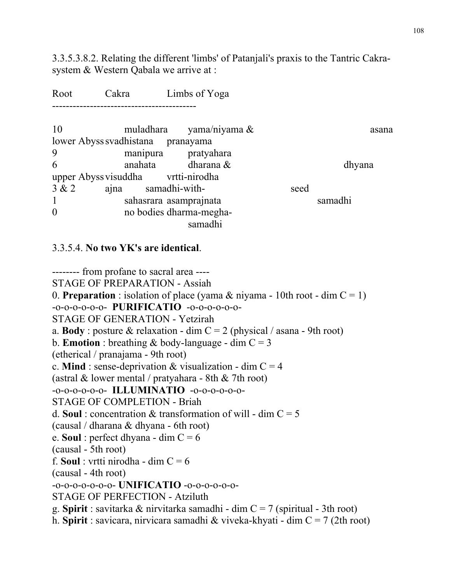3.3.5.3.8.2. Relating the different 'limbs' of Patanjali's praxis to the Tantric Cakrasystem & Western Qabala we arrive at :

| Root           | Cakra                              |               | Limbs of Yoga                      |      |         |
|----------------|------------------------------------|---------------|------------------------------------|------|---------|
| 10             |                                    |               | muladhara yama/niyama $\&$         |      | asana   |
|                | lower Abyss svadhistana            |               | pranayama                          |      |         |
| 9              |                                    |               | manipura pratyahara                |      |         |
| 6              | anahata                            |               | dharana &                          |      | dhyana  |
|                | upper Abyss visuddha vrtti-nirodha |               |                                    |      |         |
| 3 & 2          | ajna                               | samadhi-with- |                                    | seed |         |
| 1              | sahasrara asamprajnata             |               |                                    |      | samadhi |
| $\overline{0}$ |                                    |               | no bodies dharma-megha-<br>samadhi |      |         |

## 3.3.5.4. **No two YK's are identical**.

-------- from profane to sacral area ---- STAGE OF PREPARATION - Assiah 0. **Preparation**: isolation of place (yama  $\&$  niyama - 10th root - dim  $C = 1$ ) -o-o-o-o-o-o- **PURIFICATIO** -o-o-o-o-o-o-STAGE OF GENERATION - Yetzirah a. **Body**: posture & relaxation - dim  $C = 2$  (physical / asana - 9th root) b. **Emotion** : breathing  $\&$  body-language - dim  $C = 3$ (etherical / pranajama - 9th root) c. **Mind**: sense-deprivation  $\&$  visualization - dim  $C = 4$ (astral  $&$  lower mental / pratyahara - 8th  $&$  7th root) -o-o-o-o-o-o- **ILLUMINATIO** -o-o-o-o-o-o-STAGE OF COMPLETION - Briah d. **Soul**: concentration & transformation of will - dim  $C = 5$ (causal / dharana & dhyana - 6th root) e. **Soul** : perfect dhyana - dim C = 6 (causal - 5th root) f. **Soul** : vrtti nirodha - dim  $C = 6$ (causal - 4th root) -o-o-o-o-o-o-o- **UNIFICATIO** -o-o-o-o-o-o-STAGE OF PERFECTION - Atziluth g. **Spirit** : savitarka & nirvitarka samadhi - dim C = 7 (spiritual - 3th root) h. **Spirit** : savicara, nirvicara samadhi & viveka-khyati - dim C = 7 (2th root)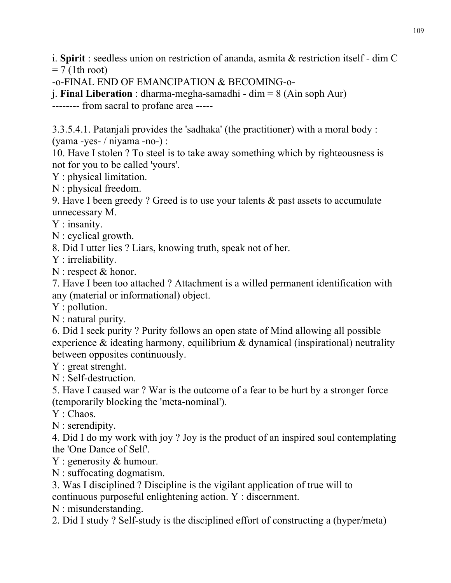i. **Spirit** : seedless union on restriction of ananda, asmita & restriction itself - dim C  $= 7$  (1th root)

-o-FINAL END OF EMANCIPATION & BECOMING-o-

j. **Final Liberation** : dharma-megha-samadhi - dim = 8 (Ain soph Aur)

-------- from sacral to profane area -----

3.3.5.4.1. Patanjali provides the 'sadhaka' (the practitioner) with a moral body : (yama -yes- / niyama -no-) :

10. Have I stolen ? To steel is to take away something which by righteousness is not for you to be called 'yours'.

Y : physical limitation.

N : physical freedom.

9. Have I been greedy ? Greed is to use your talents & past assets to accumulate unnecessary M.

Y : insanity.

N : cyclical growth.

8. Did I utter lies ? Liars, knowing truth, speak not of her.

Y : irreliability.

N : respect & honor.

7. Have I been too attached ? Attachment is a willed permanent identification with any (material or informational) object.

Y : pollution.

N : natural purity.

6. Did I seek purity ? Purity follows an open state of Mind allowing all possible experience  $\&$  ideating harmony, equilibrium  $\&$  dynamical (inspirational) neutrality between opposites continuously.

Y : great strenght.

N : Self-destruction.

5. Have I caused war ? War is the outcome of a fear to be hurt by a stronger force (temporarily blocking the 'meta-nominal').

Y : Chaos.

N : serendipity.

4. Did I do my work with joy ? Joy is the product of an inspired soul contemplating the 'One Dance of Self'.

Y : generosity & humour.

N : suffocating dogmatism.

3. Was I disciplined ? Discipline is the vigilant application of true will to

continuous purposeful enlightening action. Y : discernment.

N : misunderstanding.

2. Did I study ? Self-study is the disciplined effort of constructing a (hyper/meta)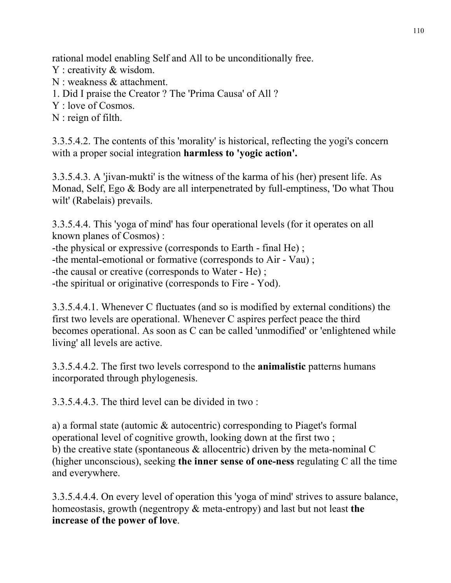rational model enabling Self and All to be unconditionally free.

- Y : creativity & wisdom.
- N : weakness & attachment.
- 1. Did I praise the Creator ? The 'Prima Causa' of All ?
- Y : love of Cosmos.
- N : reign of filth.

3.3.5.4.2. The contents of this 'morality' is historical, reflecting the yogi's concern with a proper social integration **harmless to 'yogic action'.** 

3.3.5.4.3. A 'jivan-mukti' is the witness of the karma of his (her) present life. As Monad, Self, Ego & Body are all interpenetrated by full-emptiness, 'Do what Thou wilt' (Rabelais) prevails.

3.3.5.4.4. This 'yoga of mind' has four operational levels (for it operates on all known planes of Cosmos) :

-the physical or expressive (corresponds to Earth - final He) ; -the mental-emotional or formative (corresponds to Air - Vau) ;

-the causal or creative (corresponds to Water - He) ;

-the spiritual or originative (corresponds to Fire - Yod).

3.3.5.4.4.1. Whenever C fluctuates (and so is modified by external conditions) the first two levels are operational. Whenever C aspires perfect peace the third becomes operational. As soon as C can be called 'unmodified' or 'enlightened while living' all levels are active.

3.3.5.4.4.2. The first two levels correspond to the **animalistic** patterns humans incorporated through phylogenesis.

3.3.5.4.4.3. The third level can be divided in two :

a) a formal state (automic & autocentric) corresponding to Piaget's formal operational level of cognitive growth, looking down at the first two ; b) the creative state (spontaneous & allocentric) driven by the meta-nominal C (higher unconscious), seeking **the inner sense of one-ness** regulating C all the time and everywhere.

3.3.5.4.4.4. On every level of operation this 'yoga of mind' strives to assure balance, homeostasis, growth (negentropy & meta-entropy) and last but not least **the increase of the power of love**.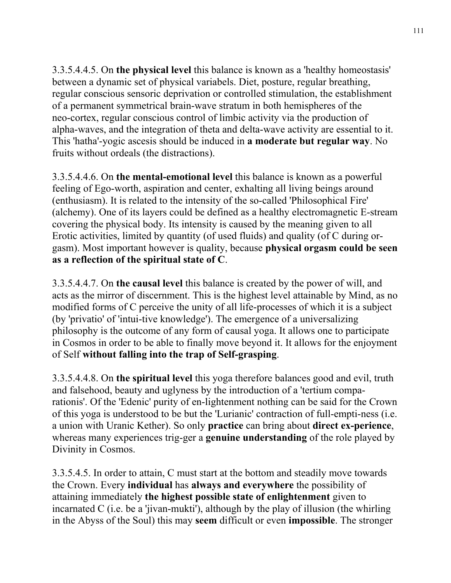3.3.5.4.4.5. On **the physical level** this balance is known as a 'healthy homeostasis' between a dynamic set of physical variabels. Diet, posture, regular breathing, regular conscious sensoric deprivation or controlled stimulation, the establishment of a permanent symmetrical brain-wave stratum in both hemispheres of the neo-cortex, regular conscious control of limbic activity via the production of alpha-waves, and the integration of theta and delta-wave activity are essential to it. This 'hatha'-yogic ascesis should be induced in **a moderate but regular way**. No fruits without ordeals (the distractions).

3.3.5.4.4.6. On **the mental-emotional level** this balance is known as a powerful feeling of Ego-worth, aspiration and center, exhalting all living beings around (enthusiasm). It is related to the intensity of the so-called 'Philosophical Fire' (alchemy). One of its layers could be defined as a healthy electromagnetic E-stream covering the physical body. Its intensity is caused by the meaning given to all Erotic activities, limited by quantity (of used fluids) and quality (of C during orgasm). Most important however is quality, because **physical orgasm could be seen as a reflection of the spiritual state of C**.

3.3.5.4.4.7. On **the causal level** this balance is created by the power of will, and acts as the mirror of discernment. This is the highest level attainable by Mind, as no modified forms of C perceive the unity of all life-processes of which it is a subject (by 'privatio' of 'intui-tive knowledge'). The emergence of a universalizing philosophy is the outcome of any form of causal yoga. It allows one to participate in Cosmos in order to be able to finally move beyond it. It allows for the enjoyment of Self **without falling into the trap of Self-grasping**.

3.3.5.4.4.8. On **the spiritual level** this yoga therefore balances good and evil, truth and falsehood, beauty and uglyness by the introduction of a 'tertium comparationis'. Of the 'Edenic' purity of en-lightenment nothing can be said for the Crown of this yoga is understood to be but the 'Lurianic' contraction of full-empti-ness (i.e. a union with Uranic Kether). So only **practice** can bring about **direct ex-perience**, whereas many experiences trig-ger a **genuine understanding** of the role played by Divinity in Cosmos.

3.3.5.4.5. In order to attain, C must start at the bottom and steadily move towards the Crown. Every **individual** has **always and everywhere** the possibility of attaining immediately **the highest possible state of enlightenment** given to incarnated C (i.e. be a 'jivan-mukti'), although by the play of illusion (the whirling in the Abyss of the Soul) this may **seem** difficult or even **impossible**. The stronger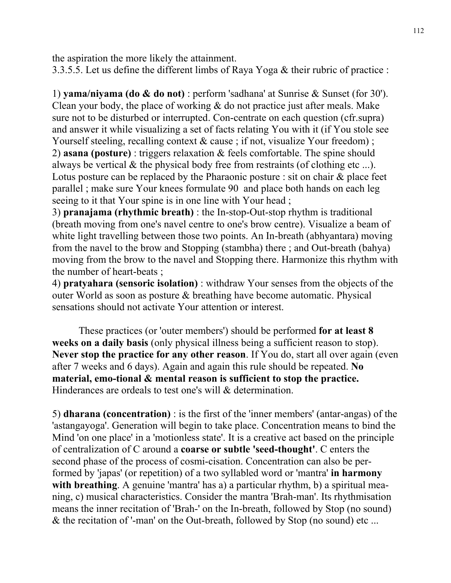the aspiration the more likely the attainment.

3.3.5.5. Let us define the different limbs of Raya Yoga & their rubric of practice :

1) **yama/niyama (do & do not)** : perform 'sadhana' at Sunrise & Sunset (for 30'). Clean your body, the place of working & do not practice just after meals. Make sure not to be disturbed or interrupted. Con-centrate on each question (cfr.supra) and answer it while visualizing a set of facts relating You with it (if You stole see Yourself steeling, recalling context  $\&$  cause; if not, visualize Your freedom); 2) **asana (posture)** : triggers relaxation & feels comfortable. The spine should always be vertical  $\&$  the physical body free from restraints (of clothing etc ...). Lotus posture can be replaced by the Pharaonic posture : sit on chair & place feet parallel ; make sure Your knees formulate 90 and place both hands on each leg seeing to it that Your spine is in one line with Your head ;

3) **pranajama (rhythmic breath)** : the In-stop-Out-stop rhythm is traditional (breath moving from one's navel centre to one's brow centre). Visualize a beam of white light travelling between those two points. An In-breath (abhyantara) moving from the navel to the brow and Stopping (stambha) there ; and Out-breath (bahya) moving from the brow to the navel and Stopping there. Harmonize this rhythm with the number of heart-beats ;

4) **pratyahara (sensoric isolation)** : withdraw Your senses from the objects of the outer World as soon as posture & breathing have become automatic. Physical sensations should not activate Your attention or interest.

 These practices (or 'outer members') should be performed **for at least 8 weeks on a daily basis** (only physical illness being a sufficient reason to stop). **Never stop the practice for any other reason**. If You do, start all over again (even after 7 weeks and 6 days). Again and again this rule should be repeated. **No material, emo-tional & mental reason is sufficient to stop the practice.** Hinderances are ordeals to test one's will & determination.

5) **dharana (concentration)** : is the first of the 'inner members' (antar-angas) of the 'astangayoga'. Generation will begin to take place. Concentration means to bind the Mind 'on one place' in a 'motionless state'. It is a creative act based on the principle of centralization of C around a **coarse or subtle 'seed-thought'**. C enters the second phase of the process of cosmi-cisation. Concentration can also be performed by 'japas' (or repetition) of a two syllabled word or 'mantra' **in harmony with breathing**. A genuine 'mantra' has a) a particular rhythm, b) a spiritual meaning, c) musical characteristics. Consider the mantra 'Brah-man'. Its rhythmisation means the inner recitation of 'Brah-' on the In-breath, followed by Stop (no sound) & the recitation of '-man' on the Out-breath, followed by Stop (no sound) etc ...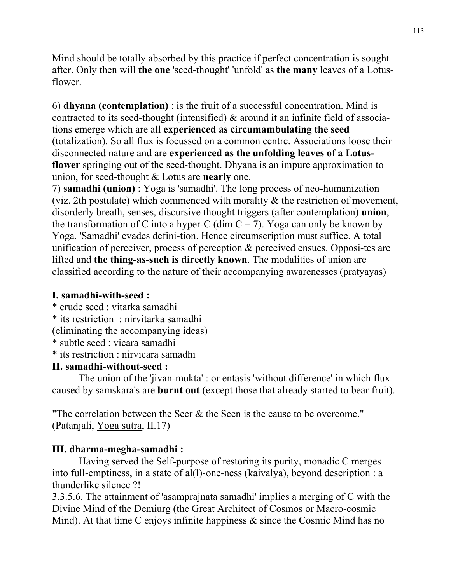Mind should be totally absorbed by this practice if perfect concentration is sought after. Only then will **the one** 'seed-thought' 'unfold' as **the many** leaves of a Lotusflower.

6) **dhyana (contemplation)** : is the fruit of a successful concentration. Mind is contracted to its seed-thought (intensified) & around it an infinite field of associations emerge which are all **experienced as circumambulating the seed** (totalization). So all flux is focussed on a common centre. Associations loose their disconnected nature and are **experienced as the unfolding leaves of a Lotusflower** springing out of the seed-thought. Dhyana is an impure approximation to union, for seed-thought & Lotus are **nearly** one.

7) **samadhi (union)** : Yoga is 'samadhi'. The long process of neo-humanization (viz. 2th postulate) which commenced with morality & the restriction of movement, disorderly breath, senses, discursive thought triggers (after contemplation) **union**, the transformation of C into a hyper-C (dim  $C = 7$ ). Yoga can only be known by Yoga. 'Samadhi' evades defini-tion. Hence circumscription must suffice. A total unification of perceiver, process of perception & perceived ensues. Opposi-tes are lifted and **the thing-as-such is directly known**. The modalities of union are classified according to the nature of their accompanying awarenesses (pratyayas)

## **I. samadhi-with-seed :**

- \* crude seed : vitarka samadhi
- \* its restriction : nirvitarka samadhi
- (eliminating the accompanying ideas)
- \* subtle seed : vicara samadhi
- \* its restriction : nirvicara samadhi

## **II. samadhi-without-seed :**

 The union of the 'jivan-mukta' : or entasis 'without difference' in which flux caused by samskara's are **burnt out** (except those that already started to bear fruit).

"The correlation between the Seer & the Seen is the cause to be overcome." (Patanjali, Yoga sutra, II.17)

## **III. dharma-megha-samadhi :**

 Having served the Self-purpose of restoring its purity, monadic C merges into full-emptiness, in a state of al(l)-one-ness (kaivalya), beyond description : a thunderlike silence ?!

3.3.5.6. The attainment of 'asamprajnata samadhi' implies a merging of C with the Divine Mind of the Demiurg (the Great Architect of Cosmos or Macro-cosmic Mind). At that time C enjoys infinite happiness  $\&$  since the Cosmic Mind has no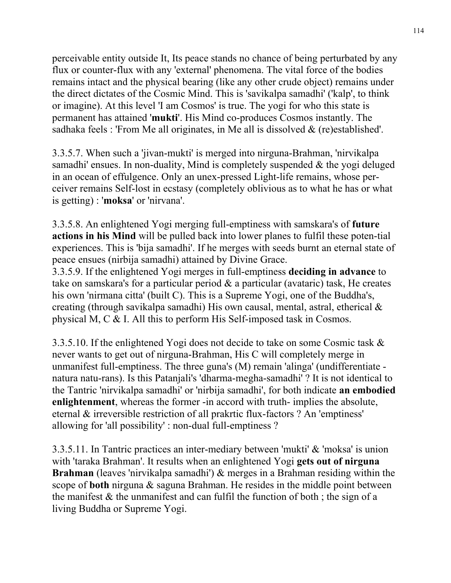perceivable entity outside It, Its peace stands no chance of being perturbated by any flux or counter-flux with any 'external' phenomena. The vital force of the bodies remains intact and the physical bearing (like any other crude object) remains under the direct dictates of the Cosmic Mind. This is 'savikalpa samadhi' ('kalp', to think or imagine). At this level 'I am Cosmos' is true. The yogi for who this state is permanent has attained '**mukti**'. His Mind co-produces Cosmos instantly. The sadhaka feels : 'From Me all originates, in Me all is dissolved  $\&$  (re)established'.

3.3.5.7. When such a 'jivan-mukti' is merged into nirguna-Brahman, 'nirvikalpa samadhi' ensues. In non-duality, Mind is completely suspended & the yogi deluged in an ocean of effulgence. Only an unex-pressed Light-life remains, whose perceiver remains Self-lost in ecstasy (completely oblivious as to what he has or what is getting) : '**moksa**' or 'nirvana'.

3.3.5.8. An enlightened Yogi merging full-emptiness with samskara's of **future actions in his Mind** will be pulled back into lower planes to fulfil these poten-tial experiences. This is 'bija samadhi'. If he merges with seeds burnt an eternal state of peace ensues (nirbija samadhi) attained by Divine Grace.

3.3.5.9. If the enlightened Yogi merges in full-emptiness **deciding in advance** to take on samskara's for a particular period & a particular (avataric) task, He creates his own 'nirmana citta' (built C). This is a Supreme Yogi, one of the Buddha's, creating (through savikalpa samadhi) His own causal, mental, astral, etherical & physical M, C & I. All this to perform His Self-imposed task in Cosmos.

3.3.5.10. If the enlightened Yogi does not decide to take on some Cosmic task & never wants to get out of nirguna-Brahman, His C will completely merge in unmanifest full-emptiness. The three guna's (M) remain 'alinga' (undifferentiate natura natu-rans). Is this Patanjali's 'dharma-megha-samadhi' ? It is not identical to the Tantric 'nirvikalpa samadhi' or 'nirbija samadhi', for both indicate **an embodied enlightenment**, whereas the former -in accord with truth- implies the absolute, eternal & irreversible restriction of all prakrtic flux-factors ? An 'emptiness' allowing for 'all possibility' : non-dual full-emptiness ?

3.3.5.11. In Tantric practices an inter-mediary between 'mukti' & 'moksa' is union with 'taraka Brahman'. It results when an enlightened Yogi **gets out of nirguna Brahman** (leaves 'nirvikalpa samadhi') & merges in a Brahman residing within the scope of **both** nirguna & saguna Brahman. He resides in the middle point between the manifest  $\&$  the unmanifest and can fulfil the function of both; the sign of a living Buddha or Supreme Yogi.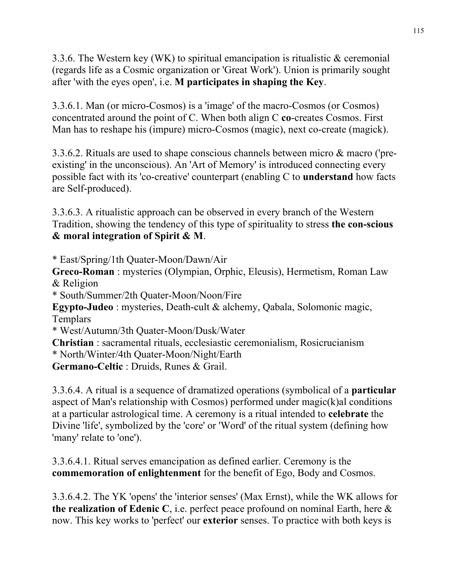3.3.6. The Western key (WK) to spiritual emancipation is ritualistic & ceremonial (regards life as a Cosmic organization or 'Great Work'). Union is primarily sought after 'with the eyes open', i.e. **M participates in shaping the Key**.

3.3.6.1. Man (or micro-Cosmos) is a 'image' of the macro-Cosmos (or Cosmos) concentrated around the point of C. When both align C **co**-creates Cosmos. First Man has to reshape his (impure) micro-Cosmos (magic), next co-create (magick).

3.3.6.2. Rituals are used to shape conscious channels between micro & macro ('preexisting' in the unconscious). An 'Art of Memory' is introduced connecting every possible fact with its 'co-creative' counterpart (enabling C to **understand** how facts are Self-produced).

3.3.6.3. A ritualistic approach can be observed in every branch of the Western Tradition, showing the tendency of this type of spirituality to stress **the con-scious & moral integration of Spirit & M**.

\* East/Spring/1th Quater-Moon/Dawn/Air

**Greco-Roman** : mysteries (Olympian, Orphic, Eleusis), Hermetism, Roman Law & Religion

\* South/Summer/2th Quater-Moon/Noon/Fire

**Egypto-Judeo** : mysteries, Death-cult & alchemy, Qabala, Solomonic magic, **Templars** 

\* West/Autumn/3th Quater-Moon/Dusk/Water

**Christian** : sacramental rituals, ecclesiastic ceremonialism, Rosicrucianism \* North/Winter/4th Quater-Moon/Night/Earth

**Germano-Celtic** : Druids, Runes & Grail.

3.3.6.4. A ritual is a sequence of dramatized operations (symbolical of a **particular** aspect of Man's relationship with Cosmos) performed under magic(k)al conditions at a particular astrological time. A ceremony is a ritual intended to **celebrate** the Divine 'life', symbolized by the 'core' or 'Word' of the ritual system (defining how 'many' relate to 'one').

3.3.6.4.1. Ritual serves emancipation as defined earlier. Ceremony is the **commemoration of enlightenment** for the benefit of Ego, Body and Cosmos.

3.3.6.4.2. The YK 'opens' the 'interior senses' (Max Ernst), while the WK allows for **the realization of Edenic C**, i.e. perfect peace profound on nominal Earth, here & now. This key works to 'perfect' our **exterior** senses. To practice with both keys is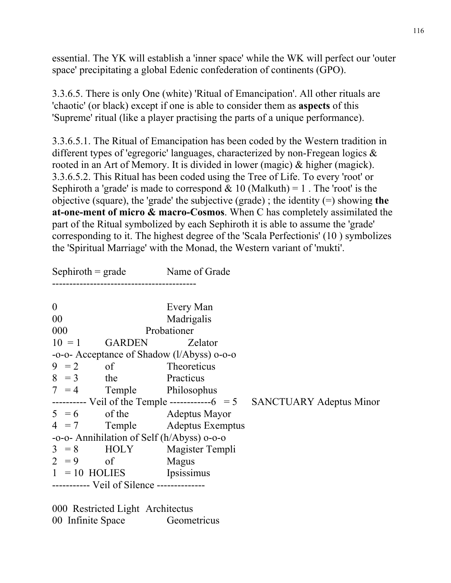essential. The YK will establish a 'inner space' while the WK will perfect our 'outer space' precipitating a global Edenic confederation of continents (GPO).

3.3.6.5. There is only One (white) 'Ritual of Emancipation'. All other rituals are 'chaotic' (or black) except if one is able to consider them as **aspects** of this 'Supreme' ritual (like a player practising the parts of a unique performance).

3.3.6.5.1. The Ritual of Emancipation has been coded by the Western tradition in different types of 'egregoric' languages, characterized by non-Fregean logics & rooted in an Art of Memory. It is divided in lower (magic) & higher (magick). 3.3.6.5.2. This Ritual has been coded using the Tree of Life. To every 'root' or Sephiroth a 'grade' is made to correspond  $& 10$  (Malkuth) = 1. The 'root' is the objective (square), the 'grade' the subjective (grade) ; the identity (=) showing **the at-one-ment of micro & macro-Cosmos**. When C has completely assimilated the part of the Ritual symbolized by each Sephiroth it is able to assume the 'grade' corresponding to it. The highest degree of the 'Scala Perfectionis' (10 ) symbolizes the 'Spiritual Marriage' with the Monad, the Western variant of 'mukti'.

 $Septiroth = grade$  Name of Grade ------------------------------------------ 0 Every Man 00 Madrigalis 000 Probationer  $10 = 1$  GARDEN Zelator -o-o- Acceptance of Shadow (l/Abyss) o-o-o  $9 = 2$  of Theoreticus  $8 = 3$  the Practicus  $7 = 4$  Temple Philosophus  $-----$  Veil of the Temple  $------6$  = 5 SANCTUARY Adeptus Minor  $5 = 6$  of the Adeptus Mayor 4 = 7 Temple Adeptus Exemptus -o-o- Annihilation of Self (h/Abyss) o-o-o  $3 = 8$  HOLY Magister Templi  $2 = 9$  of Magus  $1 = 10$  HOLIES Ipsissimus ----------- Veil of Silence --------------

000 Restricted Light Architectus 00 Infinite Space Geometricus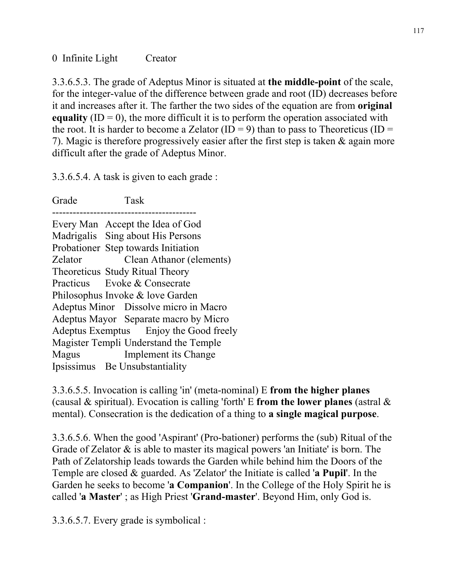3.3.6.5.3. The grade of Adeptus Minor is situated at **the middle-point** of the scale, for the integer-value of the difference between grade and root (ID) decreases before it and increases after it. The farther the two sides of the equation are from **original equality**  $(ID = 0)$ , the more difficult it is to perform the operation associated with the root. It is harder to become a Zelator (ID = 9) than to pass to Theoreticus (ID = 7). Magic is therefore progressively easier after the first step is taken & again more difficult after the grade of Adeptus Minor.

3.3.6.5.4. A task is given to each grade :

Grade Task ------------------------------------------ Every Man Accept the Idea of God Madrigalis Sing about His Persons Probationer Step towards Initiation Zelator Clean Athanor (elements) Theoreticus Study Ritual Theory Practicus Evoke & Consecrate Philosophus Invoke & love Garden Adeptus Minor Dissolve micro in Macro Adeptus Mayor Separate macro by Micro Adeptus Exemptus Enjoy the Good freely Magister Templi Understand the Temple Magus Implement its Change Ipsissimus Be Unsubstantiality

3.3.6.5.5. Invocation is calling 'in' (meta-nominal) E **from the higher planes** (causal & spiritual). Evocation is calling 'forth' E **from the lower planes** (astral & mental). Consecration is the dedication of a thing to **a single magical purpose**.

3.3.6.5.6. When the good 'Aspirant' (Pro-bationer) performs the (sub) Ritual of the Grade of Zelator  $\&$  is able to master its magical powers 'an Initiate' is born. The Path of Zelatorship leads towards the Garden while behind him the Doors of the Temple are closed & guarded. As 'Zelator' the Initiate is called '**a Pupil**'. In the Garden he seeks to become '**a Companion**'. In the College of the Holy Spirit he is called '**a Master**' ; as High Priest '**Grand-master**'. Beyond Him, only God is.

3.3.6.5.7. Every grade is symbolical :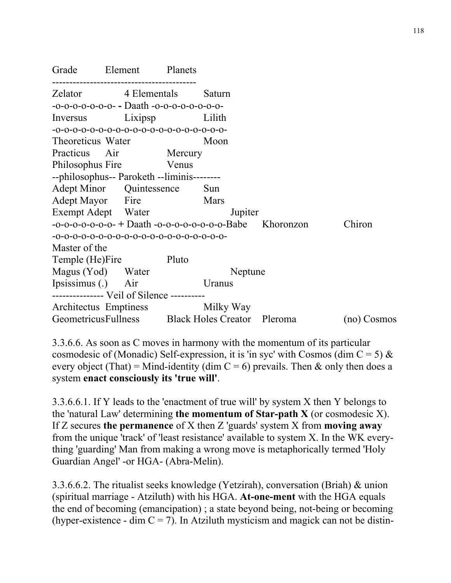| Grade Element                                   |              |                       | Planets |                                                                |             |
|-------------------------------------------------|--------------|-----------------------|---------|----------------------------------------------------------------|-------------|
| Zelator                                         | 4 Elementals |                       | Saturn  |                                                                |             |
| $-0-0-0-0-0-0- -$ Daath $-0-0-0-0-0-0-0-$       |              |                       |         |                                                                |             |
| Inversus                                        | Lixipsp      |                       |         | Lilith                                                         |             |
|                                                 |              |                       |         |                                                                |             |
| Theoreticus Water                               |              |                       |         | Moon                                                           |             |
| Practicus Air                                   |              | Mercury               |         |                                                                |             |
| Philosophus Fire                                |              | <b>Solution</b> Venus |         |                                                                |             |
| --philosophus-- Paroketh --liminis--------      |              |                       |         |                                                                |             |
| Adept Minor Quintessence                        |              |                       |         | Sun                                                            |             |
| Adept Mayor Fire                                |              |                       |         | <b>Mars</b>                                                    |             |
| Exempt Adept Water                              |              |                       |         | Jupiter                                                        |             |
|                                                 |              |                       |         | $-0$ -0-0-0-0-0-0- $+$ Daath -0-0-0-0-0-0-0-0-0-Babe Khoronzon | Chiron      |
|                                                 |              |                       |         |                                                                |             |
| Master of the                                   |              |                       |         |                                                                |             |
| Temple (He)Fire                                 |              |                       | Pluto   |                                                                |             |
| Magus (Yod) Water                               |              |                       |         | Neptune                                                        |             |
| Ipsissimus (.) Air                              |              |                       |         | Uranus                                                         |             |
| -------------- Veil of Silence ---------        |              |                       |         |                                                                |             |
| Architectus Emptiness                           |              |                       |         | Milky Way                                                      |             |
| GeometricusFullness Black Holes Creator Pleroma |              |                       |         |                                                                | (no) Cosmos |

3.3.6.6. As soon as C moves in harmony with the momentum of its particular cosmodesic of (Monadic) Self-expression, it is 'in syc' with Cosmos (dim  $C = 5$ ) & every object (That) = Mind-identity (dim  $C = 6$ ) prevails. Then & only then does a system **enact consciously its 'true will'**.

3.3.6.6.1. If Y leads to the 'enactment of true will' by system X then Y belongs to the 'natural Law' determining **the momentum of Star-path X** (or cosmodesic X). If Z secures **the permanence** of X then Z 'guards' system X from **moving away** from the unique 'track' of 'least resistance' available to system X. In the WK everything 'guarding' Man from making a wrong move is metaphorically termed 'Holy Guardian Angel' -or HGA- (Abra-Melin).

3.3.6.6.2. The ritualist seeks knowledge (Yetzirah), conversation (Briah) & union (spiritual marriage - Atziluth) with his HGA. **At-one-ment** with the HGA equals the end of becoming (emancipation) ; a state beyond being, not-being or becoming (hyper-existence - dim  $C = 7$ ). In Atziluth mysticism and magick can not be distin-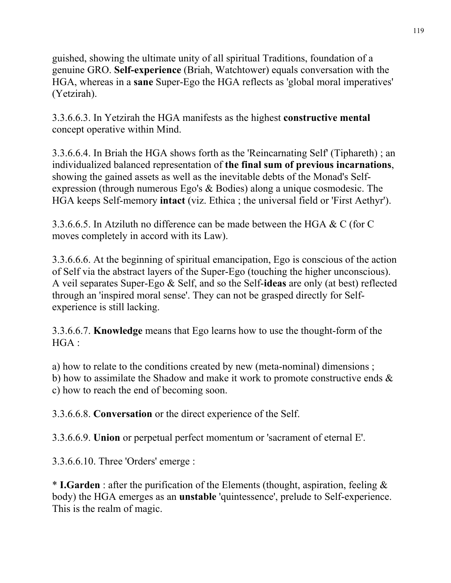guished, showing the ultimate unity of all spiritual Traditions, foundation of a genuine GRO. **Self-experience** (Briah, Watchtower) equals conversation with the HGA, whereas in a **sane** Super-Ego the HGA reflects as 'global moral imperatives' (Yetzirah).

3.3.6.6.3. In Yetzirah the HGA manifests as the highest **constructive mental** concept operative within Mind.

3.3.6.6.4. In Briah the HGA shows forth as the 'Reincarnating Self' (Tiphareth) ; an individualized balanced representation of **the final sum of previous incarnations**, showing the gained assets as well as the inevitable debts of the Monad's Selfexpression (through numerous Ego's & Bodies) along a unique cosmodesic. The HGA keeps Self-memory **intact** (viz. Ethica ; the universal field or 'First Aethyr').

3.3.6.6.5. In Atziluth no difference can be made between the HGA & C (for C moves completely in accord with its Law).

3.3.6.6.6. At the beginning of spiritual emancipation, Ego is conscious of the action of Self via the abstract layers of the Super-Ego (touching the higher unconscious). A veil separates Super-Ego & Self, and so the Self-**ideas** are only (at best) reflected through an 'inspired moral sense'. They can not be grasped directly for Selfexperience is still lacking.

3.3.6.6.7. **Knowledge** means that Ego learns how to use the thought-form of the HGA :

a) how to relate to the conditions created by new (meta-nominal) dimensions ; b) how to assimilate the Shadow and make it work to promote constructive ends & c) how to reach the end of becoming soon.

3.3.6.6.8. **Conversation** or the direct experience of the Self.

3.3.6.6.9. **Union** or perpetual perfect momentum or 'sacrament of eternal E'.

3.3.6.6.10. Three 'Orders' emerge :

\* **I.Garden** : after the purification of the Elements (thought, aspiration, feeling & body) the HGA emerges as an **unstable** 'quintessence', prelude to Self-experience. This is the realm of magic.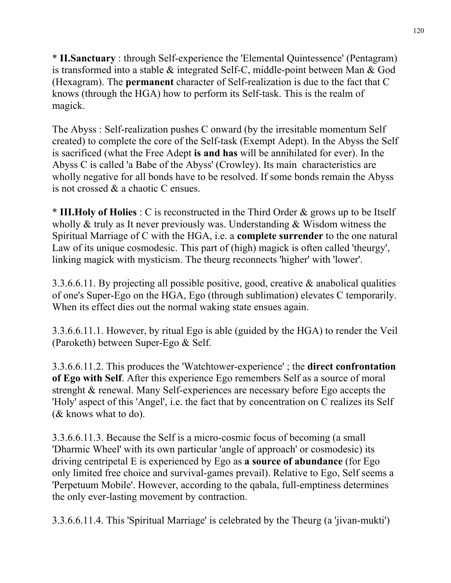\* **II.Sanctuary** : through Self-experience the 'Elemental Quintessence' (Pentagram) is transformed into a stable & integrated Self-C, middle-point between Man & God (Hexagram). The **permanent** character of Self-realization is due to the fact that C knows (through the HGA) how to perform its Self-task. This is the realm of magick.

The Abyss : Self-realization pushes C onward (by the irresitable momentum Self created) to complete the core of the Self-task (Exempt Adept). In the Abyss the Self is sacrificed (what the Free Adept **is and has** will be annihilated for ever). In the Abyss C is called 'a Babe of the Abyss' (Crowley). Its main characteristics are wholly negative for all bonds have to be resolved. If some bonds remain the Abyss is not crossed & a chaotic C ensues.

\* **III.Holy of Holies** : C is reconstructed in the Third Order & grows up to be Itself wholly & truly as It never previously was. Understanding & Wisdom witness the Spiritual Marriage of C with the HGA, i.e. a **complete surrender** to the one natural Law of its unique cosmodesic. This part of (high) magick is often called 'theurgy', linking magick with mysticism. The theurg reconnects 'higher' with 'lower'.

3.3.6.6.11. By projecting all possible positive, good, creative & anabolical qualities of one's Super-Ego on the HGA, Ego (through sublimation) elevates C temporarily. When its effect dies out the normal waking state ensues again.

3.3.6.6.11.1. However, by ritual Ego is able (guided by the HGA) to render the Veil (Paroketh) between Super-Ego & Self.

3.3.6.6.11.2. This produces the 'Watchtower-experience' ; the **direct confrontation of Ego with Self**. After this experience Ego remembers Self as a source of moral strenght & renewal. Many Self-experiences are necessary before Ego accepts the 'Holy' aspect of this 'Angel', i.e. the fact that by concentration on C realizes its Self (& knows what to do).

3.3.6.6.11.3. Because the Self is a micro-cosmic focus of becoming (a small 'Dharmic Wheel' with its own particular 'angle of approach' or cosmodesic) its driving centripetal E is experienced by Ego as **a source of abundance** (for Ego only limited free choice and survival-games prevail). Relative to Ego, Self seems a 'Perpetuum Mobile'. However, according to the qabala, full-emptiness determines the only ever-lasting movement by contraction.

3.3.6.6.11.4. This 'Spiritual Marriage' is celebrated by the Theurg (a 'jivan-mukti')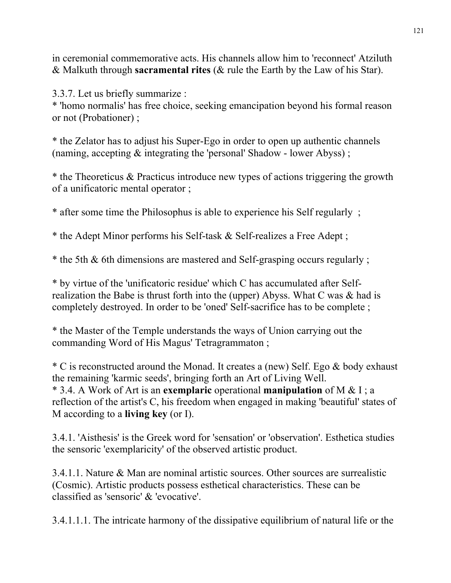in ceremonial commemorative acts. His channels allow him to 'reconnect' Atziluth & Malkuth through **sacramental rites** (& rule the Earth by the Law of his Star).

3.3.7. Let us briefly summarize :

\* 'homo normalis' has free choice, seeking emancipation beyond his formal reason or not (Probationer) ;

\* the Zelator has to adjust his Super-Ego in order to open up authentic channels (naming, accepting & integrating the 'personal' Shadow - lower Abyss) ;

\* the Theoreticus & Practicus introduce new types of actions triggering the growth of a unificatoric mental operator ;

\* after some time the Philosophus is able to experience his Self regularly ;

\* the Adept Minor performs his Self-task & Self-realizes a Free Adept ;

\* the 5th & 6th dimensions are mastered and Self-grasping occurs regularly ;

\* by virtue of the 'unificatoric residue' which C has accumulated after Selfrealization the Babe is thrust forth into the (upper) Abyss. What C was & had is completely destroyed. In order to be 'oned' Self-sacrifice has to be complete ;

\* the Master of the Temple understands the ways of Union carrying out the commanding Word of His Magus' Tetragrammaton ;

\* C is reconstructed around the Monad. It creates a (new) Self. Ego & body exhaust the remaining 'karmic seeds', bringing forth an Art of Living Well. \* 3.4. A Work of Art is an **exemplaric** operational **manipulation** of M & I ; a reflection of the artist's C, his freedom when engaged in making 'beautiful' states of M according to a **living key** (or I).

3.4.1. 'Aisthesis' is the Greek word for 'sensation' or 'observation'. Esthetica studies the sensoric 'exemplaricity' of the observed artistic product.

3.4.1.1. Nature & Man are nominal artistic sources. Other sources are surrealistic (Cosmic). Artistic products possess esthetical characteristics. These can be classified as 'sensoric' & 'evocative'.

3.4.1.1.1. The intricate harmony of the dissipative equilibrium of natural life or the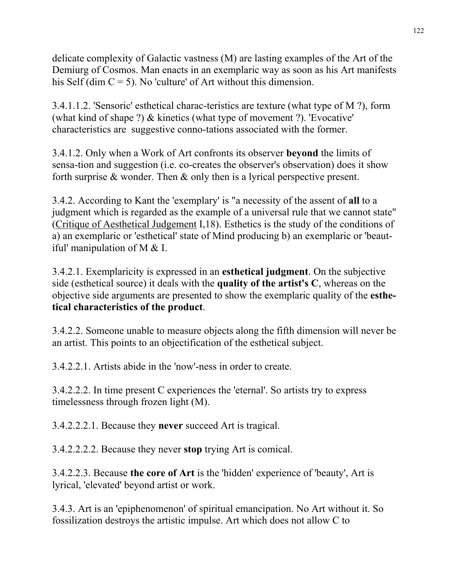delicate complexity of Galactic vastness (M) are lasting examples of the Art of the Demiurg of Cosmos. Man enacts in an exemplaric way as soon as his Art manifests his Self (dim  $C = 5$ ). No 'culture' of Art without this dimension.

3.4.1.1.2. 'Sensoric' esthetical charac-teristics are texture (what type of M ?), form (what kind of shape ?) & kinetics (what type of movement ?). 'Evocative' characteristics are suggestive conno-tations associated with the former.

3.4.1.2. Only when a Work of Art confronts its observer **beyond** the limits of sensa-tion and suggestion (i.e. co-creates the observer's observation) does it show forth surprise & wonder. Then & only then is a lyrical perspective present.

3.4.2. According to Kant the 'exemplary' is "a necessity of the assent of **all** to a judgment which is regarded as the example of a universal rule that we cannot state" (Critique of Aesthetical Judgement I,18). Esthetics is the study of the conditions of a) an exemplaric or 'esthetical' state of Mind producing b) an exemplaric or 'beautiful' manipulation of M & I.

3.4.2.1. Exemplaricity is expressed in an **esthetical judgment**. On the subjective side (esthetical source) it deals with the **quality of the artist's C**, whereas on the objective side arguments are presented to show the exemplaric quality of the **esthetical characteristics of the product**.

3.4.2.2. Someone unable to measure objects along the fifth dimension will never be an artist. This points to an objectification of the esthetical subject.

3.4.2.2.1. Artists abide in the 'now'-ness in order to create.

3.4.2.2.2. In time present C experiences the 'eternal'. So artists try to express timelessness through frozen light (M).

3.4.2.2.2.1. Because they **never** succeed Art is tragical.

3.4.2.2.2.2. Because they never **stop** trying Art is comical.

3.4.2.2.3. Because **the core of Art** is the 'hidden' experience of 'beauty', Art is lyrical, 'elevated' beyond artist or work.

3.4.3. Art is an 'epiphenomenon' of spiritual emancipation. No Art without it. So fossilization destroys the artistic impulse. Art which does not allow C to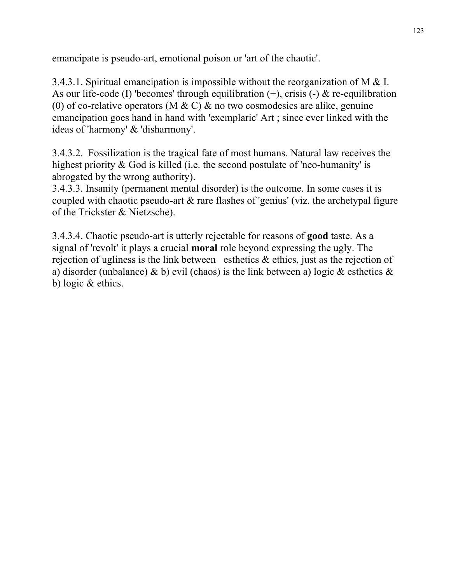emancipate is pseudo-art, emotional poison or 'art of the chaotic'.

3.4.3.1. Spiritual emancipation is impossible without the reorganization of M & I. As our life-code (I) 'becomes' through equilibration  $(+)$ , crisis  $(-)$  & re-equilibration (0) of co-relative operators (M & C) & no two cosmodesics are alike, genuine emancipation goes hand in hand with 'exemplaric' Art ; since ever linked with the ideas of 'harmony' & 'disharmony'.

3.4.3.2. Fossilization is the tragical fate of most humans. Natural law receives the highest priority & God is killed (i.e. the second postulate of 'neo-humanity' is abrogated by the wrong authority).

3.4.3.3. Insanity (permanent mental disorder) is the outcome. In some cases it is coupled with chaotic pseudo-art & rare flashes of 'genius' (viz. the archetypal figure of the Trickster & Nietzsche).

3.4.3.4. Chaotic pseudo-art is utterly rejectable for reasons of **good** taste. As a signal of 'revolt' it plays a crucial **moral** role beyond expressing the ugly. The rejection of ugliness is the link between esthetics  $\&$  ethics, just as the rejection of a) disorder (unbalance) & b) evil (chaos) is the link between a) logic & esthetics  $\&$ b) logic & ethics.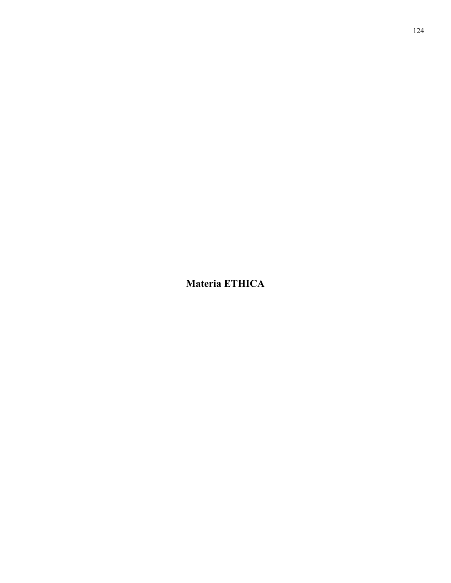**Materia ETHICA**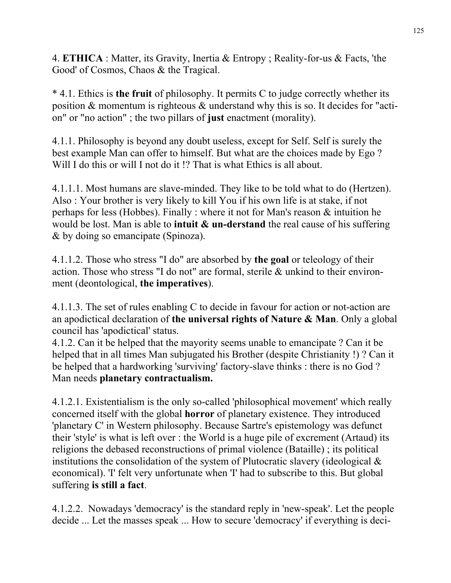4. **ETHICA** : Matter, its Gravity, Inertia & Entropy ; Reality-for-us & Facts, 'the Good' of Cosmos, Chaos & the Tragical.

\* 4.1. Ethics is **the fruit** of philosophy. It permits C to judge correctly whether its position & momentum is righteous & understand why this is so. It decides for "action" or "no action" ; the two pillars of **just** enactment (morality).

4.1.1. Philosophy is beyond any doubt useless, except for Self. Self is surely the best example Man can offer to himself. But what are the choices made by Ego ? Will I do this or will I not do it !? That is what Ethics is all about.

4.1.1.1. Most humans are slave-minded. They like to be told what to do (Hertzen). Also : Your brother is very likely to kill You if his own life is at stake, if not perhaps for less (Hobbes). Finally : where it not for Man's reason & intuition he would be lost. Man is able to **intuit & un-derstand** the real cause of his suffering & by doing so emancipate (Spinoza).

4.1.1.2. Those who stress "I do" are absorbed by **the goal** or teleology of their action. Those who stress "I do not" are formal, sterile & unkind to their environment (deontological, **the imperatives**).

4.1.1.3. The set of rules enabling C to decide in favour for action or not-action are an apodictical declaration of **the universal rights of Nature & Man**. Only a global council has 'apodictical' status.

4.1.2. Can it be helped that the mayority seems unable to emancipate ? Can it be helped that in all times Man subjugated his Brother (despite Christianity !) ? Can it be helped that a hardworking 'surviving' factory-slave thinks : there is no God ? Man needs **planetary contractualism.** 

4.1.2.1. Existentialism is the only so-called 'philosophical movement' which really concerned itself with the global **horror** of planetary existence. They introduced 'planetary C' in Western philosophy. Because Sartre's epistemology was defunct their 'style' is what is left over : the World is a huge pile of excrement (Artaud) its religions the debased reconstructions of primal violence (Bataille) ; its political institutions the consolidation of the system of Plutocratic slavery (ideological  $\&$ economical). 'I' felt very unfortunate when 'I' had to subscribe to this. But global suffering **is still a fact**.

4.1.2.2. Nowadays 'democracy' is the standard reply in 'new-speak'. Let the people decide ... Let the masses speak ... How to secure 'democracy' if everything is deci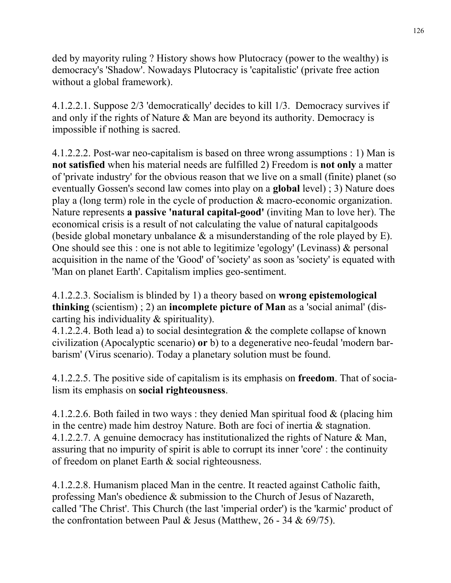ded by mayority ruling ? History shows how Plutocracy (power to the wealthy) is democracy's 'Shadow'. Nowadays Plutocracy is 'capitalistic' (private free action without a global framework).

4.1.2.2.1. Suppose 2/3 'democratically' decides to kill 1/3. Democracy survives if and only if the rights of Nature & Man are beyond its authority. Democracy is impossible if nothing is sacred.

4.1.2.2.2. Post-war neo-capitalism is based on three wrong assumptions : 1) Man is **not satisfied** when his material needs are fulfilled 2) Freedom is **not only** a matter of 'private industry' for the obvious reason that we live on a small (finite) planet (so eventually Gossen's second law comes into play on a **global** level) ; 3) Nature does play a (long term) role in the cycle of production & macro-economic organization. Nature represents **a passive 'natural capital-good'** (inviting Man to love her). The economical crisis is a result of not calculating the value of natural capitalgoods (beside global monetary unbalance & a misunderstanding of the role played by E). One should see this : one is not able to legitimize 'egology' (Levinass) & personal acquisition in the name of the 'Good' of 'society' as soon as 'society' is equated with 'Man on planet Earth'. Capitalism implies geo-sentiment.

4.1.2.2.3. Socialism is blinded by 1) a theory based on **wrong epistemological thinking** (scientism) ; 2) an **incomplete picture of Man** as a 'social animal' (discarting his individuality & spirituality).

4.1.2.2.4. Both lead a) to social desintegration & the complete collapse of known civilization (Apocalyptic scenario) **or** b) to a degenerative neo-feudal 'modern barbarism' (Virus scenario). Today a planetary solution must be found.

4.1.2.2.5. The positive side of capitalism is its emphasis on **freedom**. That of socialism its emphasis on **social righteousness**.

4.1.2.2.6. Both failed in two ways : they denied Man spiritual food & (placing him in the centre) made him destroy Nature. Both are foci of inertia & stagnation. 4.1.2.2.7. A genuine democracy has institutionalized the rights of Nature & Man, assuring that no impurity of spirit is able to corrupt its inner 'core' : the continuity of freedom on planet Earth & social righteousness.

4.1.2.2.8. Humanism placed Man in the centre. It reacted against Catholic faith, professing Man's obedience & submission to the Church of Jesus of Nazareth, called 'The Christ'. This Church (the last 'imperial order') is the 'karmic' product of the confrontation between Paul & Jesus (Matthew,  $26 - 34$  & 69/75).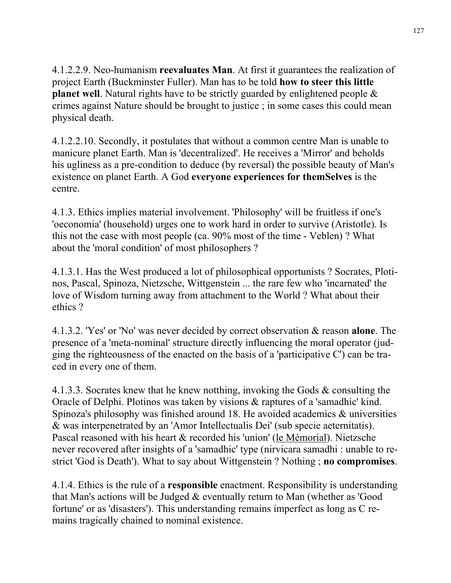4.1.2.2.9. Neo-humanism **reevaluates Man**. At first it guarantees the realization of project Earth (Buckminster Fuller). Man has to be told **how to steer this little planet well**. Natural rights have to be strictly guarded by enlightened people  $\&$ crimes against Nature should be brought to justice ; in some cases this could mean physical death.

4.1.2.2.10. Secondly, it postulates that without a common centre Man is unable to manicure planet Earth. Man is 'decentralized'. He receives a 'Mirror' and beholds his ugliness as a pre-condition to deduce (by reversal) the possible beauty of Man's existence on planet Earth. A God **everyone experiences for themSelves** is the centre.

4.1.3. Ethics implies material involvement. 'Philosophy' will be fruitless if one's 'oeconomia' (household) urges one to work hard in order to survive (Aristotle). Is this not the case with most people (ca. 90% most of the time - Veblen) ? What about the 'moral condition' of most philosophers ?

4.1.3.1. Has the West produced a lot of philosophical opportunists ? Socrates, Plotinos, Pascal, Spinoza, Nietzsche, Wittgenstein ... the rare few who 'incarnated' the love of Wisdom turning away from attachment to the World ? What about their ethics ?

4.1.3.2. 'Yes' or 'No' was never decided by correct observation & reason **alone**. The presence of a 'meta-nominal' structure directly influencing the moral operator (judging the righteousness of the enacted on the basis of a 'participative C') can be traced in every one of them.

4.1.3.3. Socrates knew that he knew notthing, invoking the Gods & consulting the Oracle of Delphi. Plotinos was taken by visions & raptures of a 'samadhic' kind. Spinoza's philosophy was finished around 18. He avoided academics & universities & was interpenetrated by an 'Amor Intellectualis Dei' (sub specie aeternitatis). Pascal reasoned with his heart & recorded his 'union' (le Mémorial). Nietzsche never recovered after insights of a 'samadhic' type (nirvicara samadhi : unable to restrict 'God is Death'). What to say about Wittgenstein ? Nothing ; **no compromises**.

4.1.4. Ethics is the rule of a **responsible** enactment. Responsibility is understanding that Man's actions will be Judged & eventually return to Man (whether as 'Good fortune' or as 'disasters'). This understanding remains imperfect as long as C remains tragically chained to nominal existence.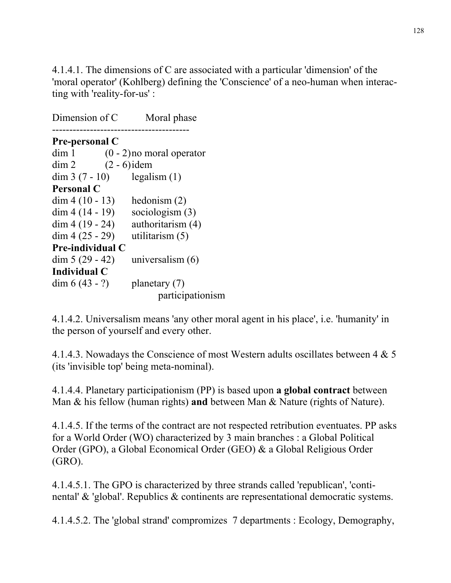4.1.4.1. The dimensions of C are associated with a particular 'dimension' of the 'moral operator' (Kohlberg) defining the 'Conscience' of a neo-human when interacting with 'reality-for-us' :

Dimension of C Moral phase ---------------------------------------- **Pre-personal C**   $\dim 1$  (0 - 2) no moral operator dim 2  $(2 - 6)$  idem  $\dim 3 (7 - 10)$  legalism (1) **Personal C**  dim  $4(10 - 13)$  hedonism (2)  $dim 4 (14 - 19)$  sociologism (3)  $dim 4 (19 - 24)$  authoritarism (4)  $\dim 4 (25 - 29)$  utilitarism (5) **Pre-individual C**  $\dim 5 (29 - 42)$  universalism (6) **Individual C**  dim  $6(43 - ?)$  planetary  $(7)$ participationism

4.1.4.2. Universalism means 'any other moral agent in his place', i.e. 'humanity' in the person of yourself and every other.

4.1.4.3. Nowadays the Conscience of most Western adults oscillates between 4 & 5 (its 'invisible top' being meta-nominal).

4.1.4.4. Planetary participationism (PP) is based upon **a global contract** between Man & his fellow (human rights) **and** between Man & Nature (rights of Nature).

4.1.4.5. If the terms of the contract are not respected retribution eventuates. PP asks for a World Order (WO) characterized by 3 main branches : a Global Political Order (GPO), a Global Economical Order (GEO) & a Global Religious Order (GRO).

4.1.4.5.1. The GPO is characterized by three strands called 'republican', 'continental' & 'global'. Republics & continents are representational democratic systems.

4.1.4.5.2. The 'global strand' compromizes 7 departments : Ecology, Demography,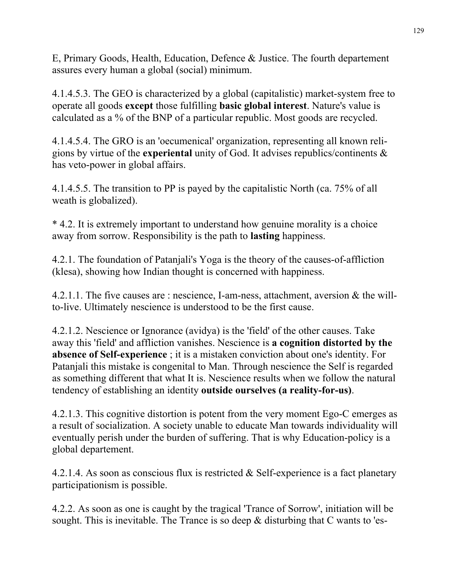E, Primary Goods, Health, Education, Defence & Justice. The fourth departement assures every human a global (social) minimum.

4.1.4.5.3. The GEO is characterized by a global (capitalistic) market-system free to operate all goods **except** those fulfilling **basic global interest**. Nature's value is calculated as a % of the BNP of a particular republic. Most goods are recycled.

4.1.4.5.4. The GRO is an 'oecumenical' organization, representing all known religions by virtue of the **experiental** unity of God. It advises republics/continents & has veto-power in global affairs.

4.1.4.5.5. The transition to PP is payed by the capitalistic North (ca. 75% of all weath is globalized).

\* 4.2. It is extremely important to understand how genuine morality is a choice away from sorrow. Responsibility is the path to **lasting** happiness.

4.2.1. The foundation of Patanjali's Yoga is the theory of the causes-of-affliction (klesa), showing how Indian thought is concerned with happiness.

4.2.1.1. The five causes are : nescience, I-am-ness, attachment, aversion & the willto-live. Ultimately nescience is understood to be the first cause.

4.2.1.2. Nescience or Ignorance (avidya) is the 'field' of the other causes. Take away this 'field' and affliction vanishes. Nescience is **a cognition distorted by the absence of Self-experience** ; it is a mistaken conviction about one's identity. For Patanjali this mistake is congenital to Man. Through nescience the Self is regarded as something different that what It is. Nescience results when we follow the natural tendency of establishing an identity **outside ourselves (a reality-for-us)**.

4.2.1.3. This cognitive distortion is potent from the very moment Ego-C emerges as a result of socialization. A society unable to educate Man towards individuality will eventually perish under the burden of suffering. That is why Education-policy is a global departement.

4.2.1.4. As soon as conscious flux is restricted & Self-experience is a fact planetary participationism is possible.

4.2.2. As soon as one is caught by the tragical 'Trance of Sorrow', initiation will be sought. This is inevitable. The Trance is so deep  $\&$  disturbing that C wants to 'es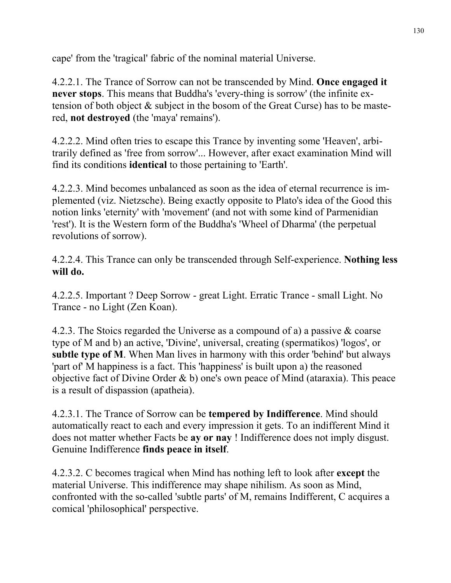cape' from the 'tragical' fabric of the nominal material Universe.

4.2.2.1. The Trance of Sorrow can not be transcended by Mind. **Once engaged it never stops**. This means that Buddha's 'every-thing is sorrow' (the infinite extension of both object & subject in the bosom of the Great Curse) has to be mastered, **not destroyed** (the 'maya' remains').

4.2.2.2. Mind often tries to escape this Trance by inventing some 'Heaven', arbitrarily defined as 'free from sorrow'... However, after exact examination Mind will find its conditions **identical** to those pertaining to 'Earth'.

4.2.2.3. Mind becomes unbalanced as soon as the idea of eternal recurrence is implemented (viz. Nietzsche). Being exactly opposite to Plato's idea of the Good this notion links 'eternity' with 'movement' (and not with some kind of Parmenidian 'rest'). It is the Western form of the Buddha's 'Wheel of Dharma' (the perpetual revolutions of sorrow).

4.2.2.4. This Trance can only be transcended through Self-experience. **Nothing less will do.**

4.2.2.5. Important ? Deep Sorrow - great Light. Erratic Trance - small Light. No Trance - no Light (Zen Koan).

4.2.3. The Stoics regarded the Universe as a compound of a) a passive & coarse type of M and b) an active, 'Divine', universal, creating (spermatikos) 'logos', or **subtle type of M**. When Man lives in harmony with this order 'behind' but always 'part of' M happiness is a fact. This 'happiness' is built upon a) the reasoned objective fact of Divine Order  $\&$  b) one's own peace of Mind (ataraxia). This peace is a result of dispassion (apatheia).

4.2.3.1. The Trance of Sorrow can be **tempered by Indifference**. Mind should automatically react to each and every impression it gets. To an indifferent Mind it does not matter whether Facts be **ay or nay** ! Indifference does not imply disgust. Genuine Indifference **finds peace in itself**.

4.2.3.2. C becomes tragical when Mind has nothing left to look after **except** the material Universe. This indifference may shape nihilism. As soon as Mind, confronted with the so-called 'subtle parts' of M, remains Indifferent, C acquires a comical 'philosophical' perspective.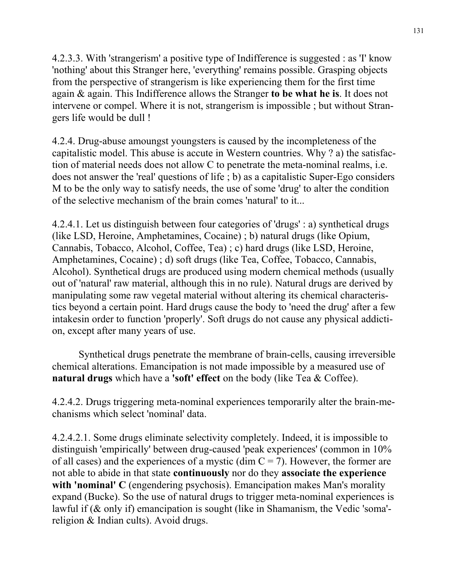4.2.3.3. With 'strangerism' a positive type of Indifference is suggested : as 'I' know 'nothing' about this Stranger here, 'everything' remains possible. Grasping objects from the perspective of strangerism is like experiencing them for the first time again & again. This Indifference allows the Stranger **to be what he is**. It does not intervene or compel. Where it is not, strangerism is impossible ; but without Strangers life would be dull !

4.2.4. Drug-abuse amoungst youngsters is caused by the incompleteness of the capitalistic model. This abuse is accute in Western countries. Why ? a) the satisfaction of material needs does not allow C to penetrate the meta-nominal realms, i.e. does not answer the 'real' questions of life ; b) as a capitalistic Super-Ego considers M to be the only way to satisfy needs, the use of some 'drug' to alter the condition of the selective mechanism of the brain comes 'natural' to it...

4.2.4.1. Let us distinguish between four categories of 'drugs' : a) synthetical drugs (like LSD, Heroine, Amphetamines, Cocaine) ; b) natural drugs (like Opium, Cannabis, Tobacco, Alcohol, Coffee, Tea) ; c) hard drugs (like LSD, Heroine, Amphetamines, Cocaine) ; d) soft drugs (like Tea, Coffee, Tobacco, Cannabis, Alcohol). Synthetical drugs are produced using modern chemical methods (usually out of 'natural' raw material, although this in no rule). Natural drugs are derived by manipulating some raw vegetal material without altering its chemical characteristics beyond a certain point. Hard drugs cause the body to 'need the drug' after a few intakesin order to function 'properly'. Soft drugs do not cause any physical addiction, except after many years of use.

 Synthetical drugs penetrate the membrane of brain-cells, causing irreversible chemical alterations. Emancipation is not made impossible by a measured use of **natural drugs** which have a **'soft' effect** on the body (like Tea & Coffee).

4.2.4.2. Drugs triggering meta-nominal experiences temporarily alter the brain-mechanisms which select 'nominal' data.

4.2.4.2.1. Some drugs eliminate selectivity completely. Indeed, it is impossible to distinguish 'empirically' between drug-caused 'peak experiences' (common in 10% of all cases) and the experiences of a mystic (dim  $C = 7$ ). However, the former are not able to abide in that state **continuously** nor do they **associate the experience**  with 'nominal' C (engendering psychosis). Emancipation makes Man's morality expand (Bucke). So the use of natural drugs to trigger meta-nominal experiences is lawful if (& only if) emancipation is sought (like in Shamanism, the Vedic 'soma' religion & Indian cults). Avoid drugs.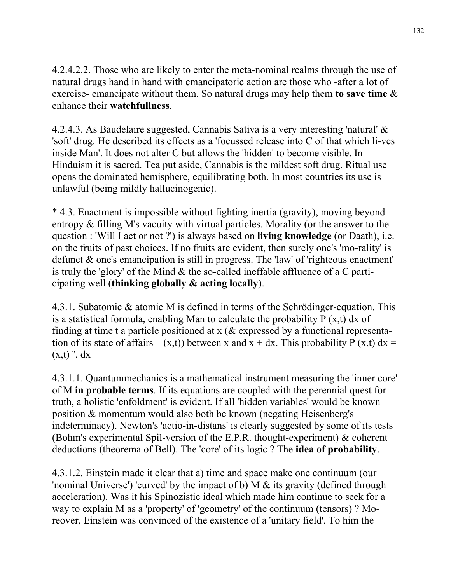4.2.4.2.2. Those who are likely to enter the meta-nominal realms through the use of natural drugs hand in hand with emancipatoric action are those who -after a lot of exercise- emancipate without them. So natural drugs may help them **to save time** & enhance their **watchfullness**.

4.2.4.3. As Baudelaire suggested, Cannabis Sativa is a very interesting 'natural' & 'soft' drug. He described its effects as a 'focussed release into C of that which li-ves inside Man'. It does not alter C but allows the 'hidden' to become visible. In Hinduism it is sacred. Tea put aside, Cannabis is the mildest soft drug. Ritual use opens the dominated hemisphere, equilibrating both. In most countries its use is unlawful (being mildly hallucinogenic).

\* 4.3. Enactment is impossible without fighting inertia (gravity), moving beyond entropy & filling M's vacuity with virtual particles. Morality (or the answer to the question : 'Will I act or not ?') is always based on **living knowledge** (or Daath), i.e. on the fruits of past choices. If no fruits are evident, then surely one's 'mo-rality' is defunct & one's emancipation is still in progress. The 'law' of 'righteous enactment' is truly the 'glory' of the Mind & the so-called ineffable affluence of a C participating well (**thinking globally & acting locally**).

4.3.1. Subatomic & atomic M is defined in terms of the Schrödinger-equation. This is a statistical formula, enabling Man to calculate the probability  $P(x,t)$  dx of finding at time t a particle positioned at  $x$  ( $\&$  expressed by a functional representation of its state of affairs  $(x,t)$ ) between x and  $x + dx$ . This probability P  $(x,t) dx =$  $(x,t)$ <sup>2</sup>. dx

4.3.1.1. Quantummechanics is a mathematical instrument measuring the 'inner core' of M **in probable terms**. If its equations are coupled with the perennial quest for truth, a holistic 'enfoldment' is evident. If all 'hidden variables' would be known position & momentum would also both be known (negating Heisenberg's indeterminacy). Newton's 'actio-in-distans' is clearly suggested by some of its tests (Bohm's experimental Spil-version of the E.P.R. thought-experiment) & coherent deductions (theorema of Bell). The 'core' of its logic ? The **idea of probability**.

4.3.1.2. Einstein made it clear that a) time and space make one continuum (our 'nominal Universe') 'curved' by the impact of b) M & its gravity (defined through acceleration). Was it his Spinozistic ideal which made him continue to seek for a way to explain M as a 'property' of 'geometry' of the continuum (tensors) ? Moreover, Einstein was convinced of the existence of a 'unitary field'. To him the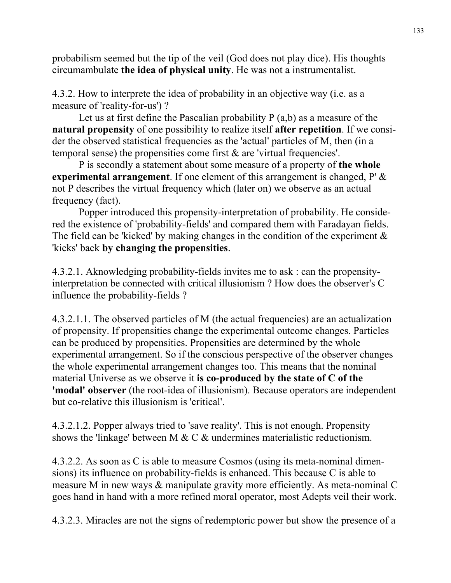probabilism seemed but the tip of the veil (God does not play dice). His thoughts circumambulate **the idea of physical unity**. He was not a instrumentalist.

4.3.2. How to interprete the idea of probability in an objective way (i.e. as a measure of 'reality-for-us') ?

Let us at first define the Pascalian probability  $P(a,b)$  as a measure of the **natural propensity** of one possibility to realize itself **after repetition**. If we consider the observed statistical frequencies as the 'actual' particles of M, then (in a temporal sense) the propensities come first & are 'virtual frequencies'.

 P is secondly a statement about some measure of a property of **the whole experimental arrangement**. If one element of this arrangement is changed, P' & not P describes the virtual frequency which (later on) we observe as an actual frequency (fact).

 Popper introduced this propensity-interpretation of probability. He considered the existence of 'probability-fields' and compared them with Faradayan fields. The field can be 'kicked' by making changes in the condition of the experiment  $\&$ 'kicks' back **by changing the propensities**.

4.3.2.1. Aknowledging probability-fields invites me to ask : can the propensityinterpretation be connected with critical illusionism ? How does the observer's C influence the probability-fields ?

4.3.2.1.1. The observed particles of M (the actual frequencies) are an actualization of propensity. If propensities change the experimental outcome changes. Particles can be produced by propensities. Propensities are determined by the whole experimental arrangement. So if the conscious perspective of the observer changes the whole experimental arrangement changes too. This means that the nominal material Universe as we observe it **is co-produced by the state of C of the 'modal' observer** (the root-idea of illusionism). Because operators are independent but co-relative this illusionism is 'critical'.

4.3.2.1.2. Popper always tried to 'save reality'. This is not enough. Propensity shows the 'linkage' between M & C & undermines materialistic reductionism.

4.3.2.2. As soon as C is able to measure Cosmos (using its meta-nominal dimensions) its influence on probability-fields is enhanced. This because C is able to measure M in new ways & manipulate gravity more efficiently. As meta-nominal C goes hand in hand with a more refined moral operator, most Adepts veil their work.

4.3.2.3. Miracles are not the signs of redemptoric power but show the presence of a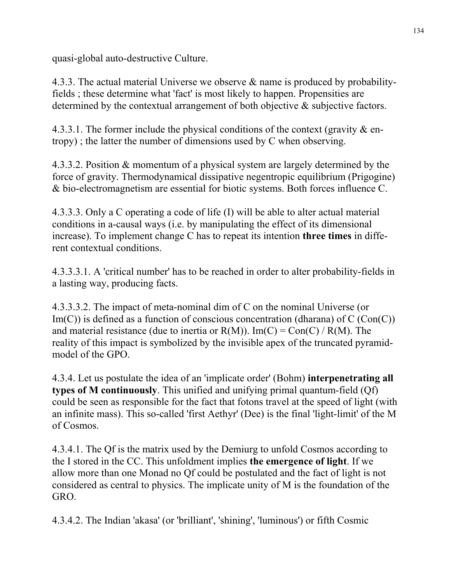quasi-global auto-destructive Culture.

4.3.3. The actual material Universe we observe & name is produced by probabilityfields ; these determine what 'fact' is most likely to happen. Propensities are determined by the contextual arrangement of both objective & subjective factors.

4.3.3.1. The former include the physical conditions of the context (gravity  $\&$  entropy) ; the latter the number of dimensions used by C when observing.

4.3.3.2. Position & momentum of a physical system are largely determined by the force of gravity. Thermodynamical dissipative negentropic equilibrium (Prigogine) & bio-electromagnetism are essential for biotic systems. Both forces influence C.

4.3.3.3. Only a C operating a code of life (I) will be able to alter actual material conditions in a-causal ways (i.e. by manipulating the effect of its dimensional increase). To implement change C has to repeat its intention **three times** in different contextual conditions.

4.3.3.3.1. A 'critical number' has to be reached in order to alter probability-fields in a lasting way, producing facts.

4.3.3.3.2. The impact of meta-nominal dim of C on the nominal Universe (or  $Im(C)$ ) is defined as a function of conscious concentration (dharana) of C (Con(C)) and material resistance (due to inertia or  $R(M)$ ). Im(C) = Con(C) /  $R(M)$ . The reality of this impact is symbolized by the invisible apex of the truncated pyramidmodel of the GPO.

4.3.4. Let us postulate the idea of an 'implicate order' (Bohm) **interpenetrating all types of M continuously**. This unified and unifying primal quantum-field (Qf) could be seen as responsible for the fact that fotons travel at the speed of light (with an infinite mass). This so-called 'first Aethyr' (Dee) is the final 'light-limit' of the M of Cosmos.

4.3.4.1. The Qf is the matrix used by the Demiurg to unfold Cosmos according to the I stored in the CC. This unfoldment implies **the emergence of light**. If we allow more than one Monad no Qf could be postulated and the fact of light is not considered as central to physics. The implicate unity of M is the foundation of the GRO.

4.3.4.2. The Indian 'akasa' (or 'brilliant', 'shining', 'luminous') or fifth Cosmic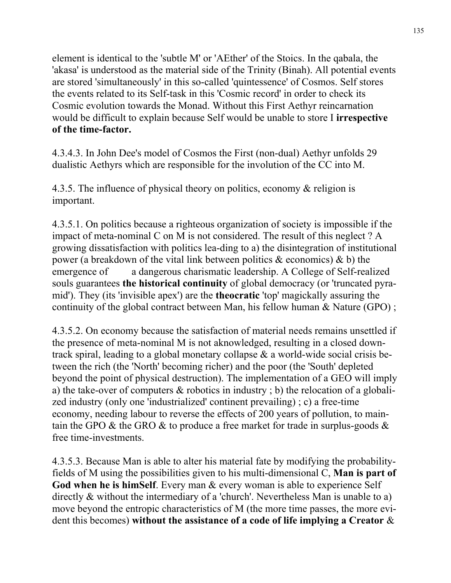element is identical to the 'subtle M' or 'AEther' of the Stoics. In the qabala, the 'akasa' is understood as the material side of the Trinity (Binah). All potential events are stored 'simultaneously' in this so-called 'quintessence' of Cosmos. Self stores the events related to its Self-task in this 'Cosmic record' in order to check its Cosmic evolution towards the Monad. Without this First Aethyr reincarnation would be difficult to explain because Self would be unable to store I **irrespective of the time-factor.** 

4.3.4.3. In John Dee's model of Cosmos the First (non-dual) Aethyr unfolds 29 dualistic Aethyrs which are responsible for the involution of the CC into M.

4.3.5. The influence of physical theory on politics, economy & religion is important.

4.3.5.1. On politics because a righteous organization of society is impossible if the impact of meta-nominal C on M is not considered. The result of this neglect ? A growing dissatisfaction with politics lea-ding to a) the disintegration of institutional power (a breakdown of the vital link between politics  $\&$  economics)  $\&$  b) the emergence of a dangerous charismatic leadership. A College of Self-realized souls guarantees **the historical continuity** of global democracy (or 'truncated pyramid'). They (its 'invisible apex') are the **theocratic** 'top' magickally assuring the continuity of the global contract between Man, his fellow human & Nature (GPO) ;

4.3.5.2. On economy because the satisfaction of material needs remains unsettled if the presence of meta-nominal M is not aknowledged, resulting in a closed downtrack spiral, leading to a global monetary collapse & a world-wide social crisis between the rich (the 'North' becoming richer) and the poor (the 'South' depleted beyond the point of physical destruction). The implementation of a GEO will imply a) the take-over of computers & robotics in industry ; b) the relocation of a globalized industry (only one 'industrialized' continent prevailing) ; c) a free-time economy, needing labour to reverse the effects of 200 years of pollution, to maintain the GPO  $\&$  the GRO  $\&$  to produce a free market for trade in surplus-goods  $\&$ free time-investments.

4.3.5.3. Because Man is able to alter his material fate by modifying the probabilityfields of M using the possibilities given to his multi-dimensional C, **Man is part of**  God when he is himSelf. Every man & every woman is able to experience Self directly & without the intermediary of a 'church'. Nevertheless Man is unable to a) move beyond the entropic characteristics of M (the more time passes, the more evident this becomes) **without the assistance of a code of life implying a Creator** &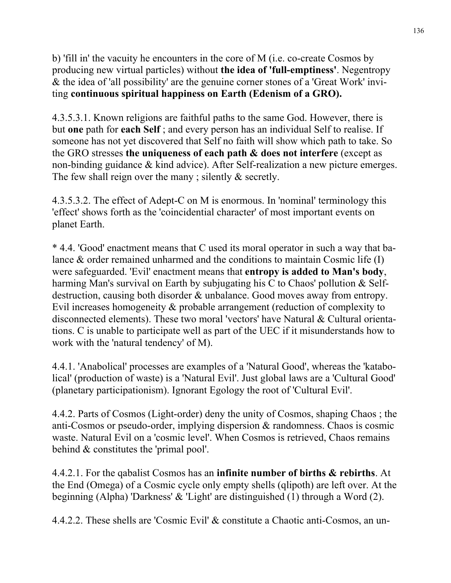b) 'fill in' the vacuity he encounters in the core of M (i.e. co-create Cosmos by producing new virtual particles) without **the idea of 'full-emptiness'**. Negentropy & the idea of 'all possibility' are the genuine corner stones of a 'Great Work' inviting **continuous spiritual happiness on Earth (Edenism of a GRO).** 

4.3.5.3.1. Known religions are faithful paths to the same God. However, there is but **one** path for **each Self** ; and every person has an individual Self to realise. If someone has not yet discovered that Self no faith will show which path to take. So the GRO stresses **the uniqueness of each path & does not interfere** (except as non-binding guidance & kind advice). After Self-realization a new picture emerges. The few shall reign over the many; silently  $\&$  secretly.

4.3.5.3.2. The effect of Adept-C on M is enormous. In 'nominal' terminology this 'effect' shows forth as the 'coincidential character' of most important events on planet Earth.

\* 4.4. 'Good' enactment means that C used its moral operator in such a way that balance & order remained unharmed and the conditions to maintain Cosmic life (I) were safeguarded. 'Evil' enactment means that **entropy is added to Man's body**, harming Man's survival on Earth by subjugating his C to Chaos' pollution & Selfdestruction, causing both disorder & unbalance. Good moves away from entropy. Evil increases homogeneity & probable arrangement (reduction of complexity to disconnected elements). These two moral 'vectors' have Natural & Cultural orientations. C is unable to participate well as part of the UEC if it misunderstands how to work with the 'natural tendency' of M).

4.4.1. 'Anabolical' processes are examples of a 'Natural Good', whereas the 'katabolical' (production of waste) is a 'Natural Evil'. Just global laws are a 'Cultural Good' (planetary participationism). Ignorant Egology the root of 'Cultural Evil'.

4.4.2. Parts of Cosmos (Light-order) deny the unity of Cosmos, shaping Chaos ; the anti-Cosmos or pseudo-order, implying dispersion & randomness. Chaos is cosmic waste. Natural Evil on a 'cosmic level'. When Cosmos is retrieved, Chaos remains behind & constitutes the 'primal pool'.

4.4.2.1. For the qabalist Cosmos has an **infinite number of births & rebirths**. At the End (Omega) of a Cosmic cycle only empty shells (qlipoth) are left over. At the beginning (Alpha) 'Darkness' & 'Light' are distinguished (1) through a Word (2).

4.4.2.2. These shells are 'Cosmic Evil' & constitute a Chaotic anti-Cosmos, an un-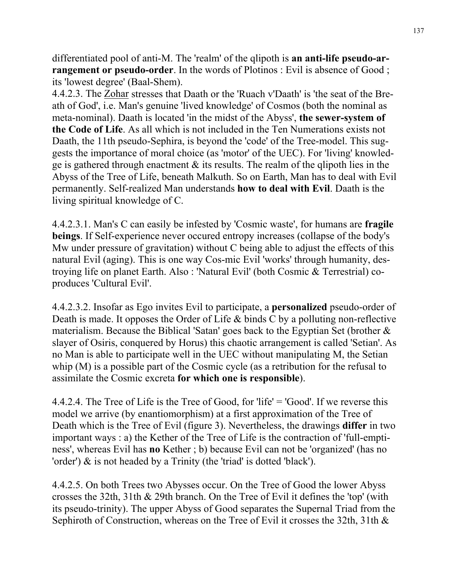differentiated pool of anti-M. The 'realm' of the qlipoth is **an anti-life pseudo-arrangement or pseudo-order**. In the words of Plotinos : Evil is absence of Good; its 'lowest degree' (Baal-Shem).

4.4.2.3. The Zohar stresses that Daath or the 'Ruach v'Daath' is 'the seat of the Breath of God', i.e. Man's genuine 'lived knowledge' of Cosmos (both the nominal as meta-nominal). Daath is located 'in the midst of the Abyss', **the sewer-system of the Code of Life**. As all which is not included in the Ten Numerations exists not Daath, the 11th pseudo-Sephira, is beyond the 'code' of the Tree-model. This suggests the importance of moral choice (as 'motor' of the UEC). For 'living' knowledge is gathered through enactment & its results. The realm of the qlipoth lies in the Abyss of the Tree of Life, beneath Malkuth. So on Earth, Man has to deal with Evil permanently. Self-realized Man understands **how to deal with Evil**. Daath is the living spiritual knowledge of C.

4.4.2.3.1. Man's C can easily be infested by 'Cosmic waste', for humans are **fragile beings**. If Self-experience never occured entropy increases (collapse of the body's Mw under pressure of gravitation) without C being able to adjust the effects of this natural Evil (aging). This is one way Cos-mic Evil 'works' through humanity, destroying life on planet Earth. Also : 'Natural Evil' (both Cosmic & Terrestrial) coproduces 'Cultural Evil'.

4.4.2.3.2. Insofar as Ego invites Evil to participate, a **personalized** pseudo-order of Death is made. It opposes the Order of Life & binds C by a polluting non-reflective materialism. Because the Biblical 'Satan' goes back to the Egyptian Set (brother  $\&$ slayer of Osiris, conquered by Horus) this chaotic arrangement is called 'Setian'. As no Man is able to participate well in the UEC without manipulating M, the Setian whip (M) is a possible part of the Cosmic cycle (as a retribution for the refusal to assimilate the Cosmic excreta **for which one is responsible**).

4.4.2.4. The Tree of Life is the Tree of Good, for 'life' = 'Good'. If we reverse this model we arrive (by enantiomorphism) at a first approximation of the Tree of Death which is the Tree of Evil (figure 3). Nevertheless, the drawings **differ** in two important ways : a) the Kether of the Tree of Life is the contraction of 'full-emptiness', whereas Evil has **no** Kether ; b) because Evil can not be 'organized' (has no 'order') & is not headed by a Trinity (the 'triad' is dotted 'black').

4.4.2.5. On both Trees two Abysses occur. On the Tree of Good the lower Abyss crosses the 32th, 31th & 29th branch. On the Tree of Evil it defines the 'top' (with its pseudo-trinity). The upper Abyss of Good separates the Supernal Triad from the Sephiroth of Construction, whereas on the Tree of Evil it crosses the 32th, 31th &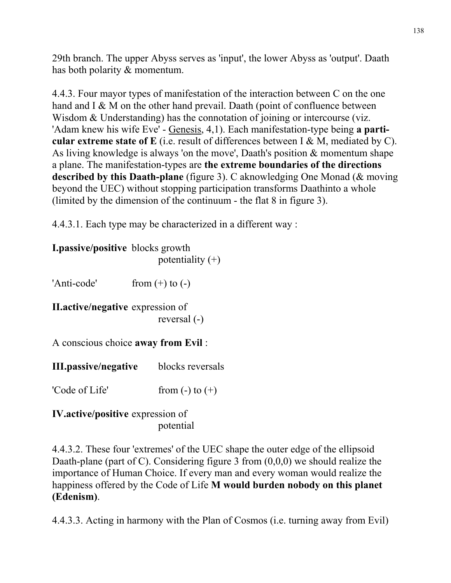29th branch. The upper Abyss serves as 'input', the lower Abyss as 'output'. Daath has both polarity & momentum.

4.4.3. Four mayor types of manifestation of the interaction between C on the one hand and I & M on the other hand prevail. Daath (point of confluence between Wisdom & Understanding) has the connotation of joining or intercourse (viz. 'Adam knew his wife Eve' - Genesis, 4,1). Each manifestation-type being **a particular extreme state of E** (i.e. result of differences between I & M, mediated by C). As living knowledge is always 'on the move', Daath's position & momentum shape a plane. The manifestation-types are **the extreme boundaries of the directions described by this Daath-plane** (figure 3). C aknowledging One Monad (& moving beyond the UEC) without stopping participation transforms Daathinto a whole (limited by the dimension of the continuum - the flat 8 in figure 3).

4.4.3.1. Each type may be characterized in a different way :

**I.passive/positive** blocks growth potentiality  $(+)$ 

'Anti-code' from  $(+)$  to  $(-)$ 

**II.active/negative** expression of reversal (-)

A conscious choice **away from Evil** :

**III.passive/negative** blocks reversals

'Code of Life' from  $(-)$  to  $(+)$ 

**IV.active/positive** expression of potential

4.4.3.2. These four 'extremes' of the UEC shape the outer edge of the ellipsoid Daath-plane (part of C). Considering figure 3 from  $(0,0,0)$  we should realize the importance of Human Choice. If every man and every woman would realize the happiness offered by the Code of Life **M would burden nobody on this planet (Edenism)**.

4.4.3.3. Acting in harmony with the Plan of Cosmos (i.e. turning away from Evil)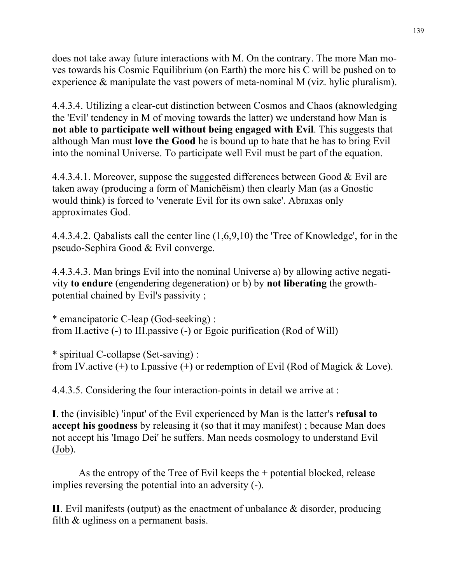does not take away future interactions with M. On the contrary. The more Man moves towards his Cosmic Equilibrium (on Earth) the more his C will be pushed on to experience & manipulate the vast powers of meta-nominal M (viz. hylic pluralism).

4.4.3.4. Utilizing a clear-cut distinction between Cosmos and Chaos (aknowledging the 'Evil' tendency in M of moving towards the latter) we understand how Man is **not able to participate well without being engaged with Evil**. This suggests that although Man must **love the Good** he is bound up to hate that he has to bring Evil into the nominal Universe. To participate well Evil must be part of the equation.

4.4.3.4.1. Moreover, suppose the suggested differences between Good & Evil are taken away (producing a form of Manichëism) then clearly Man (as a Gnostic would think) is forced to 'venerate Evil for its own sake'. Abraxas only approximates God.

4.4.3.4.2. Qabalists call the center line (1,6,9,10) the 'Tree of Knowledge', for in the pseudo-Sephira Good & Evil converge.

4.4.3.4.3. Man brings Evil into the nominal Universe a) by allowing active negativity **to endure** (engendering degeneration) or b) by **not liberating** the growthpotential chained by Evil's passivity ;

\* emancipatoric C-leap (God-seeking) : from II.active (-) to III.passive (-) or Egoic purification (Rod of Will)

\* spiritual C-collapse (Set-saving) : from IV.active  $(+)$  to I.passive  $(+)$  or redemption of Evil (Rod of Magick & Love).

4.4.3.5. Considering the four interaction-points in detail we arrive at :

**I**. the (invisible) 'input' of the Evil experienced by Man is the latter's **refusal to accept his goodness** by releasing it (so that it may manifest) ; because Man does not accept his 'Imago Dei' he suffers. Man needs cosmology to understand Evil  $(Job).$ 

 As the entropy of the Tree of Evil keeps the + potential blocked, release implies reversing the potential into an adversity (-).

**II**. Evil manifests (output) as the enactment of unbalance & disorder, producing filth & ugliness on a permanent basis.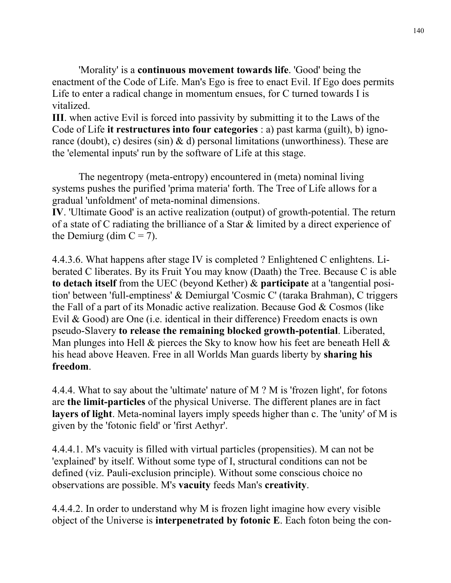'Morality' is a **continuous movement towards life**. 'Good' being the enactment of the Code of Life. Man's Ego is free to enact Evil. If Ego does permits Life to enter a radical change in momentum ensues, for C turned towards I is vitalized.

**III**. when active Evil is forced into passivity by submitting it to the Laws of the Code of Life **it restructures into four categories** : a) past karma (guilt), b) ignorance (doubt), c) desires (sin)  $\&$  d) personal limitations (unworthiness). These are the 'elemental inputs' run by the software of Life at this stage.

 The negentropy (meta-entropy) encountered in (meta) nominal living systems pushes the purified 'prima materia' forth. The Tree of Life allows for a gradual 'unfoldment' of meta-nominal dimensions.

**IV**. 'Ultimate Good' is an active realization (output) of growth-potential. The return of a state of C radiating the brilliance of a Star & limited by a direct experience of the Demiurg (dim  $C = 7$ ).

4.4.3.6. What happens after stage IV is completed ? Enlightened C enlightens. Liberated C liberates. By its Fruit You may know (Daath) the Tree. Because C is able **to detach itself** from the UEC (beyond Kether) & **participate** at a 'tangential position' between 'full-emptiness' & Demiurgal 'Cosmic C' (taraka Brahman), C triggers the Fall of a part of its Monadic active realization. Because God  $&$  Cosmos (like Evil & Good) are One (i.e. identical in their difference) Freedom enacts is own pseudo-Slavery **to release the remaining blocked growth-potential**. Liberated, Man plunges into Hell  $\&$  pierces the Sky to know how his feet are beneath Hell  $\&$ his head above Heaven. Free in all Worlds Man guards liberty by **sharing his freedom**.

4.4.4. What to say about the 'ultimate' nature of M ? M is 'frozen light', for fotons are **the limit-particles** of the physical Universe. The different planes are in fact **layers of light**. Meta-nominal layers imply speeds higher than c. The 'unity' of M is given by the 'fotonic field' or 'first Aethyr'.

4.4.4.1. M's vacuity is filled with virtual particles (propensities). M can not be 'explained' by itself. Without some type of I, structural conditions can not be defined (viz. Pauli-exclusion principle). Without some conscious choice no observations are possible. M's **vacuity** feeds Man's **creativity**.

4.4.4.2. In order to understand why M is frozen light imagine how every visible object of the Universe is **interpenetrated by fotonic E**. Each foton being the con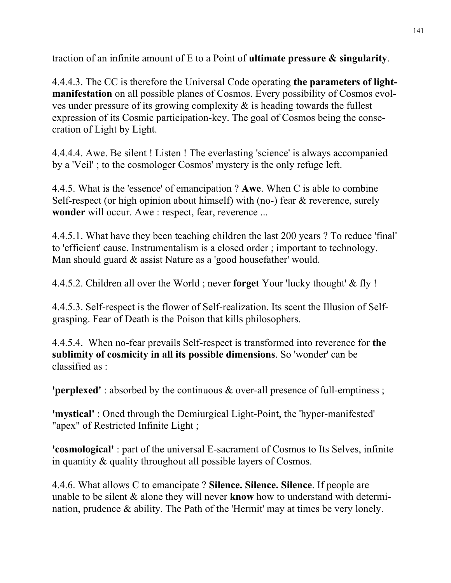traction of an infinite amount of E to a Point of **ultimate pressure & singularity**.

4.4.4.3. The CC is therefore the Universal Code operating **the parameters of lightmanifestation** on all possible planes of Cosmos. Every possibility of Cosmos evolves under pressure of its growing complexity & is heading towards the fullest expression of its Cosmic participation-key. The goal of Cosmos being the consecration of Light by Light.

4.4.4.4. Awe. Be silent ! Listen ! The everlasting 'science' is always accompanied by a 'Veil' ; to the cosmologer Cosmos' mystery is the only refuge left.

4.4.5. What is the 'essence' of emancipation ? **Awe**. When C is able to combine Self-respect (or high opinion about himself) with (no-) fear  $\&$  reverence, surely **wonder** will occur. Awe : respect, fear, reverence ...

4.4.5.1. What have they been teaching children the last 200 years ? To reduce 'final' to 'efficient' cause. Instrumentalism is a closed order ; important to technology. Man should guard & assist Nature as a 'good housefather' would.

4.4.5.2. Children all over the World ; never **forget** Your 'lucky thought' & fly !

4.4.5.3. Self-respect is the flower of Self-realization. Its scent the Illusion of Selfgrasping. Fear of Death is the Poison that kills philosophers.

4.4.5.4. When no-fear prevails Self-respect is transformed into reverence for **the sublimity of cosmicity in all its possible dimensions**. So 'wonder' can be classified as :

**'perplexed'** : absorbed by the continuous & over-all presence of full-emptiness ;

**'mystical'** : Oned through the Demiurgical Light-Point, the 'hyper-manifested' "apex" of Restricted Infinite Light ;

**'cosmological'** : part of the universal E-sacrament of Cosmos to Its Selves, infinite in quantity & quality throughout all possible layers of Cosmos.

4.4.6. What allows C to emancipate ? **Silence. Silence. Silence**. If people are unable to be silent & alone they will never **know** how to understand with determination, prudence & ability. The Path of the 'Hermit' may at times be very lonely.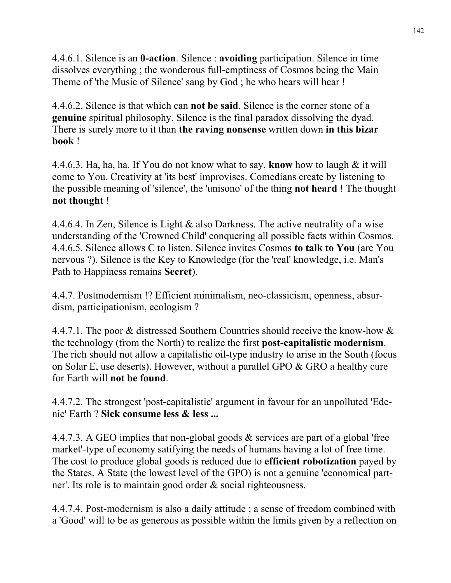4.4.6.1. Silence is an **0-action**. Silence : **avoiding** participation. Silence in time dissolves everything ; the wonderous full-emptiness of Cosmos being the Main Theme of 'the Music of Silence' sang by God ; he who hears will hear !

4.4.6.2. Silence is that which can **not be said**. Silence is the corner stone of a **genuine** spiritual philosophy. Silence is the final paradox dissolving the dyad. There is surely more to it than **the raving nonsense** written down **in this bizar book** !

4.4.6.3. Ha, ha, ha. If You do not know what to say, **know** how to laugh & it will come to You. Creativity at 'its best' improvises. Comedians create by listening to the possible meaning of 'silence', the 'unisono' of the thing **not heard** ! The thought **not thought** !

4.4.6.4. In Zen, Silence is Light & also Darkness. The active neutrality of a wise understanding of the 'Crowned Child' conquering all possible facts within Cosmos. 4.4.6.5. Silence allows C to listen. Silence invites Cosmos **to talk to You** (are You nervous ?). Silence is the Key to Knowledge (for the 'real' knowledge, i.e. Man's Path to Happiness remains **Secret**).

4.4.7. Postmodernism !? Efficient minimalism, neo-classicism, openness, absurdism, participationism, ecologism ?

4.4.7.1. The poor & distressed Southern Countries should receive the know-how & the technology (from the North) to realize the first **post-capitalistic modernism**. The rich should not allow a capitalistic oil-type industry to arise in the South (focus on Solar E, use deserts). However, without a parallel GPO & GRO a healthy cure for Earth will **not be found**.

4.4.7.2. The strongest 'post-capitalistic' argument in favour for an unpolluted 'Edenic' Earth ? **Sick consume less & less ...** 

4.4.7.3. A GEO implies that non-global goods & services are part of a global 'free market'-type of economy satifying the needs of humans having a lot of free time. The cost to produce global goods is reduced due to **efficient robotization** payed by the States. A State (the lowest level of the GPO) is not a genuine 'economical partner'. Its role is to maintain good order & social righteousness.

4.4.7.4. Post-modernism is also a daily attitude ; a sense of freedom combined with a 'Good' will to be as generous as possible within the limits given by a reflection on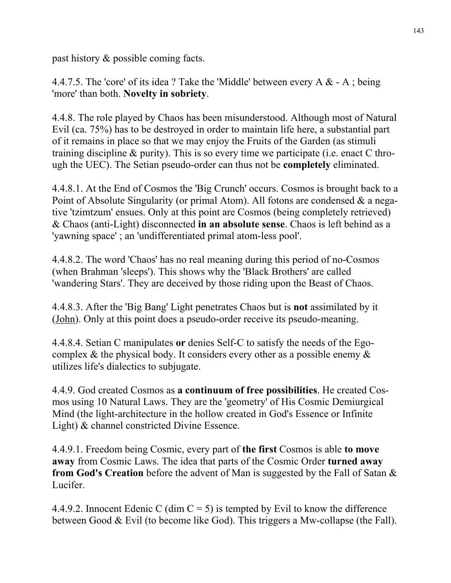past history & possible coming facts.

4.4.7.5. The 'core' of its idea ? Take the 'Middle' between every  $A \& A$ ; being 'more' than both. **Novelty in sobriety**.

4.4.8. The role played by Chaos has been misunderstood. Although most of Natural Evil (ca. 75%) has to be destroyed in order to maintain life here, a substantial part of it remains in place so that we may enjoy the Fruits of the Garden (as stimuli training discipline & purity). This is so every time we participate (i.e. enact C through the UEC). The Setian pseudo-order can thus not be **completely** eliminated.

4.4.8.1. At the End of Cosmos the 'Big Crunch' occurs. Cosmos is brought back to a Point of Absolute Singularity (or primal Atom). All fotons are condensed & a negative 'tzimtzum' ensues. Only at this point are Cosmos (being completely retrieved) & Chaos (anti-Light) disconnected **in an absolute sense**. Chaos is left behind as a 'yawning space' ; an 'undifferentiated primal atom-less pool'.

4.4.8.2. The word 'Chaos' has no real meaning during this period of no-Cosmos (when Brahman 'sleeps'). This shows why the 'Black Brothers' are called 'wandering Stars'. They are deceived by those riding upon the Beast of Chaos.

4.4.8.3. After the 'Big Bang' Light penetrates Chaos but is **not** assimilated by it (John). Only at this point does a pseudo-order receive its pseudo-meaning.

4.4.8.4. Setian C manipulates **or** denies Self-C to satisfy the needs of the Egocomplex  $\&$  the physical body. It considers every other as a possible enemy  $\&$ utilizes life's dialectics to subjugate.

4.4.9. God created Cosmos as **a continuum of free possibilities**. He created Cosmos using 10 Natural Laws. They are the 'geometry' of His Cosmic Demiurgical Mind (the light-architecture in the hollow created in God's Essence or Infinite Light) & channel constricted Divine Essence.

4.4.9.1. Freedom being Cosmic, every part of **the first** Cosmos is able **to move away** from Cosmic Laws. The idea that parts of the Cosmic Order **turned away from God's Creation** before the advent of Man is suggested by the Fall of Satan & Lucifer.

4.4.9.2. Innocent Edenic C (dim  $C = 5$ ) is tempted by Evil to know the difference between Good & Evil (to become like God). This triggers a Mw-collapse (the Fall).